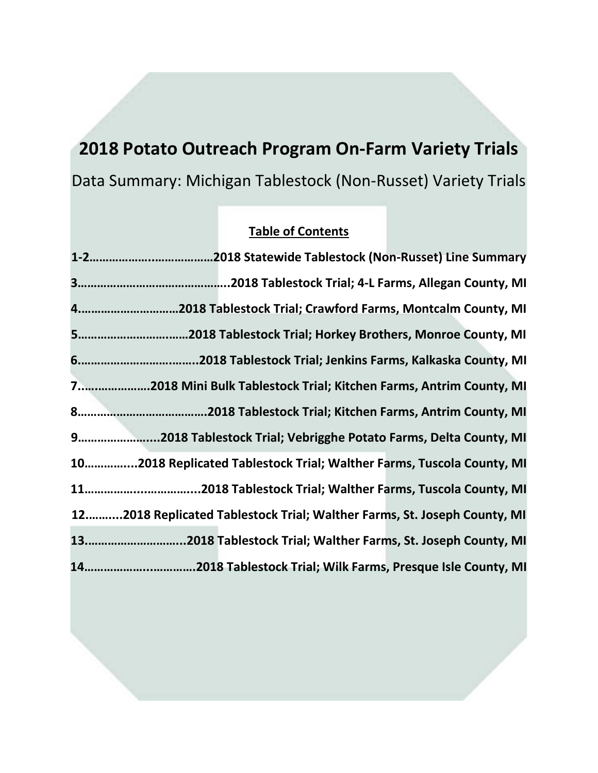# **2018 Potato Outreach Program On-Farm Variety Trials** Data Summary: Michigan Tablestock (Non-Russet) Variety Trials

## **Table of Contents**

| 42018 Tablestock Trial; Crawford Farms, Montcalm County, MI              |  |
|--------------------------------------------------------------------------|--|
|                                                                          |  |
|                                                                          |  |
| 72018 Mini Bulk Tablestock Trial; Kitchen Farms, Antrim County, MI       |  |
|                                                                          |  |
| 92018 Tablestock Trial; Vebrigghe Potato Farms, Delta County, MI         |  |
| 102018 Replicated Tablestock Trial; Walther Farms, Tuscola County, MI    |  |
|                                                                          |  |
| 122018 Replicated Tablestock Trial; Walther Farms, St. Joseph County, MI |  |
| 132018 Tablestock Trial; Walther Farms, St. Joseph County, MI            |  |
|                                                                          |  |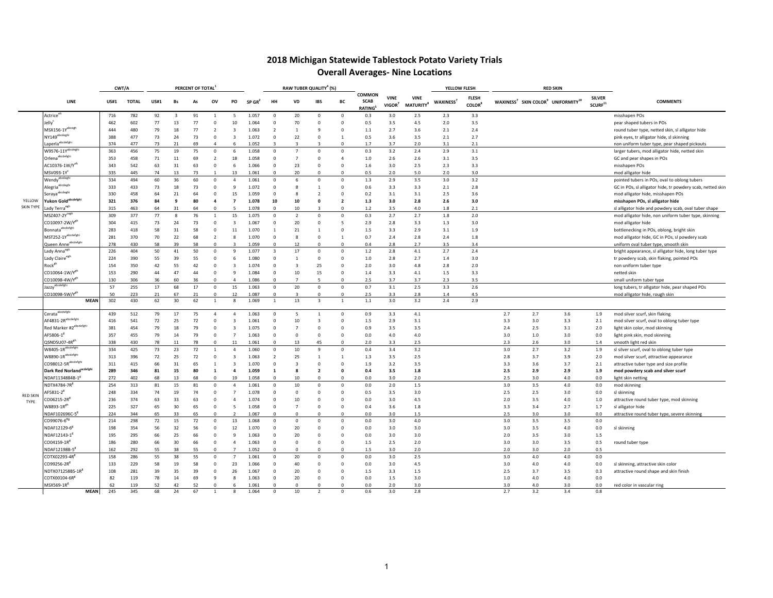### **2018 Michigan Statewide Tablestock Potato Variety Trials Overall Averages- Nine Locations**

|                  |                                    | CWT/A       |              |                |              | PERCENT OF TOTAL |                          |                          |                      |                         | RAW TUBER QUALITY <sup>4</sup> (%) |                         |                |                                               |                                   |                                            | YELLOW FLESH          |                                           |     |     | <b>RED SKIN</b>                                                        |                                      |                                                            |
|------------------|------------------------------------|-------------|--------------|----------------|--------------|------------------|--------------------------|--------------------------|----------------------|-------------------------|------------------------------------|-------------------------|----------------|-----------------------------------------------|-----------------------------------|--------------------------------------------|-----------------------|-------------------------------------------|-----|-----|------------------------------------------------------------------------|--------------------------------------|------------------------------------------------------------|
|                  | LINE                               | <b>US#1</b> | <b>TOTAL</b> | <b>US#1</b>    | <b>Bs</b>    | As               | ov                       | PO                       | $SP$ GR <sup>2</sup> | HH                      | VD                                 | <b>IBS</b>              | BC             | <b>COMMON</b><br><b>SCAB</b><br><b>RATING</b> | <b>VINE</b><br>VIGOR <sup>7</sup> | <b>VINE</b><br><b>MATURITY<sup>8</sup></b> | WAXINESS <sup>7</sup> | <b>FLESH</b><br><b>COLOR</b> <sup>8</sup> |     |     | WAXINESS <sup>7</sup> SKIN COLOR <sup>9</sup> UNIFORMITY <sup>10</sup> | <b>SILVER</b><br>SCURE <sup>11</sup> | <b>COMMENTS</b>                                            |
|                  | Actrice <sup>er</sup>              | 716         | 782          | 92             | $\mathbf{3}$ | 91               | $\mathbf{1}$             | -5                       | 1.057                | $\Omega$                | 20                                 | $\Omega$                | $^{\circ}$     | 0.3                                           | 3.0                               | 2.5                                        | 2.3                   | 3.3                                       |     |     |                                                                        |                                      | misshapen POs                                              |
|                  | Jelly <sup>c</sup>                 | 462         | 602          | 77             | 13           | 77               | $\Omega$                 | 10                       | 1.064                | $\Omega$                | 70                                 | $\Omega$                | $\mathbf{0}$   | 0.5                                           | 3.5                               | 4.5                                        | 2.0                   | 3.5                                       |     |     |                                                                        |                                      | pear shaped tubers in POs                                  |
|                  | MSX156-1Y <sup>abcegh</sup>        | 444         | 480          | 79             | 18           | 77               | $\overline{2}$           | $\overline{\mathbf{3}}$  | 1.063                | $\overline{2}$          | $\overline{1}$                     | $\overline{9}$          | $\mathsf 0$    | 1.1                                           | 2.7                               | 3.6                                        | 2.1                   | 2.4                                       |     |     |                                                                        |                                      | round tuber type, netted skin, sl alligator hide           |
|                  | NY149 <sup>abcdeghi</sup>          | 388         | 477          | 73             | 24           | 73               | $^{\circ}$               | 3                        | 1.072                | $\Omega$                | 22                                 | $^{\circ}$              | $\overline{1}$ | 0.5                                           | 3.6                               | 3.5                                        | 2.1                   | 2.7                                       |     |     |                                                                        |                                      | pink eyes, tr alligator hide, sl skinning                  |
|                  | Laperla <sup>abcdefgh</sup>        | 374         | 477          | 73             |              | 69               | $\Delta$                 |                          | 1.05                 |                         |                                    |                         | $\Omega$       |                                               | 3.7                               | 2.0                                        | 3.1                   | 2.1                                       |     |     |                                                                        |                                      | non uniform tuber type, pear shaped pickouts               |
|                  | $W9576 - 11Y^{abcdef}$             | 363         | 456          | 75             | 19           | 75               | $^{\circ}$               | -6                       | 1.058                | $\Omega$                | $\overline{7}$                     | $^{\circ}$              | $\mathbf 0$    | 0.3                                           | 3.2                               | 2.4                                        | 2.9                   | 3.1                                       |     |     |                                                                        |                                      | larger tubers, mod alligator hide, netted skin             |
|                  | Orlena <sup>abcdefghi</sup>        | 353         | 458          | 71             | 11           | 69               | $\overline{2}$           | 18                       | 1.058                | $\Omega$                | $\overline{7}$                     | $\Omega$                | $\overline{4}$ | 1.0                                           | 2.6                               | 2.6                                        | 3.1                   | 3.5                                       |     |     |                                                                        |                                      | GC and pear shapes in POs                                  |
|                  | AC10376-1W/Y <sup>e</sup>          | 343         | 542          | 63             | 31           | 63               | $\Omega$                 | -6                       | 1.066                | $\Omega$                | 23                                 | $\Omega$                | $\Omega$       | 1.6                                           | 3.0                               | 2.5                                        | 2.3                   | 3.3                                       |     |     |                                                                        |                                      | misshapen POs                                              |
|                  | MSV093-1Y                          | 335         | 445          | 74             | 13           | 73               | $\mathbf{1}$             | 13                       | 1.06:                | $\Omega$                | 20                                 | $\Omega$                | $\Omega$       | 0.5                                           | 2.0                               | 5.0                                        | 2.0                   | 3.0                                       |     |     |                                                                        |                                      | mod alligator hide                                         |
|                  | Wendy <sup>abcdegh</sup>           | 334         | 494          | 60             | 36           | 60               | $^{\circ}$               | $\overline{4}$           | 1.061                | $\Omega$                | 6                                  | $^{\circ}$              | $^{\circ}$     | 1.3                                           | 2.9                               | 3.5                                        | 3.0                   | 3.2                                       |     |     |                                                                        |                                      | pointed tubers in POs, oval to oblong tubers               |
|                  | Alegria <sup>abcdeghi</sup>        | 333         | 433          | 73             | 18           | 73               | $\Omega$                 | 9                        | 1.072                | $\Omega$                | 8                                  | $\mathbf{1}$            | $\Omega$       | 0.6                                           | 3.3                               | 3.3                                        | 2.1                   | 2.8                                       |     |     |                                                                        |                                      | GC in POs, sl alligator hide, tr powdery scab, netted skin |
|                  | Soraya <sup>abcdegh</sup>          | 330         | 458          | 64             | 21           | 64               | $\Omega$                 | 15                       | 1.059                | $\Omega$                | 8                                  | $\overline{2}$          | $\Omega$       | 0.2                                           | 3.1                               | 3.1                                        | 2.5                   | 3.6                                       |     |     |                                                                        |                                      | mod alligator hide, misshapen POs                          |
| YELLOW           | Yukon Gold <sup>abcdefghi</sup>    | 321         | 376          | 84             | $\mathbf{q}$ | 80               | $\overline{a}$           | $\overline{7}$           | 1.078                | 10                      | 10                                 | $\mathbf 0$             | $\overline{2}$ | 1.3                                           | 3.0                               | 2.8                                        | 2.6                   | 3.0                                       |     |     |                                                                        |                                      | misshapen POs, sl alligator hide                           |
| <b>SKIN TYPE</b> | Lady Terra <sup>eg</sup>           | 315         | 463          | 64             | 31           | 64               | $\Omega$                 | $\overline{a}$           | 1.078                | -C                      | 10                                 | $\overline{\mathbf{z}}$ | $\Omega$       | 1.2                                           | 3.5                               | 4.0                                        | 1.8                   | 2.1                                       |     |     |                                                                        |                                      | sl alligator hide and powdery scab, oval tuber shape       |
|                  | MSZ407-2Ycegr                      | 309         | 377          | 77             | -8           | 76               | $\overline{1}$           | 15                       | 1.075                | $\Omega$                | $\overline{2}$                     | $\Omega$                | $^{\circ}$     | 0.3                                           | 2.7                               | 2.7                                        | 1.8                   | 2.0                                       |     |     |                                                                        |                                      | mod alligator hide, non uniform tuber type, skinning       |
|                  | CO10097-2W/Y <sup>8</sup>          | 304         | 415          | 73             | 24           | 73               | $\Omega$                 | $\overline{\mathbf{3}}$  | 1.067                | $\Omega$                | 20                                 | $\Omega$                | 5              | 2.9                                           | 2.8                               | 3.3                                        | 1.3                   | 3.0                                       |     |     |                                                                        |                                      | mod alligator hide                                         |
|                  | Bonnata <sup>abcdefghi</sup>       | 283         | 418          | 58             | 31           | 58               | $^{\circ}$               | $11\,$                   | 1.070                | -1                      | 21                                 | $\mathbf{1}$            | $^{\circ}$     | 1.5                                           | 3.3                               | 2.9                                        | 3.1                   | 1.9                                       |     |     |                                                                        |                                      | bottlenecking in POs, oblong, bright skin                  |
|                  | MST252-1Yabcdefghi                 | 281         | 370          | 70             | 22           | 68               | $\overline{\phantom{a}}$ | $\mathbf{8}$             | 1.070                | $\Omega$                | $\mathbf{8}$                       | $\Omega$                | $\mathbf{1}$   | 0.7                                           | 2.4                               | 2.8                                        | 2.4                   | 1.8                                       |     |     |                                                                        |                                      | mod alligator hide, GC in POs, sl powdery scab             |
|                  | Queen Anne <sup>abcdefghi</sup>    | 278         | 430          | 58             | 39           | 58               | $\Omega$                 | $\overline{2}$           | 1.059                | $\Omega$                | 12                                 | $\Omega$                | $\Omega$       | 0.4                                           | 2.8                               | 2.7                                        | 3.5                   | 3.4                                       |     |     |                                                                        |                                      | uniform oval tuber type, smooth skin                       |
|                  | Lady Anna <sup>eg</sup>            | 226         | 404          | 50             | 41           | 50               | $^{\circ}$               | 9                        | 1.07                 | $\mathbf{3}$            | 17                                 | $^{\circ}$              | $^{\circ}$     | 1.2                                           | 2.8                               | 4.1                                        | 2.7                   | 2.4                                       |     |     |                                                                        |                                      | bright appearance, sl alligator hide, long tuber type      |
|                  | Lady Claire <sup>egr</sup>         | 224         | 390          | 55             | 39           | 55               | $^{\circ}$               | -6                       | 1.080                | $\Omega$                | $\mathbf{1}$                       | $^{\circ}$              | $^{\circ}$     | 1.0                                           | 2.8                               | 2.7                                        | 1.4                   | 3.0                                       |     |     |                                                                        |                                      | tr powdery scab, skin flaking, pointed POs                 |
|                  | Rock <sup>gh</sup>                 | 154         | 350          | 42             | 55           | 42               | $^{\circ}$               | $\overline{3}$           | 1.074                | $\Omega$                | $\overline{3}$                     | 25                      | $\Omega$       | 2.0                                           | 3.0                               | 4.8                                        | 2.8                   | 2.0                                       |     |     |                                                                        |                                      | non uniform tuber type                                     |
|                  | CO10064-1W/Y <sup>6</sup>          | 153         | 290          | $\Delta\Delta$ | 47           | 44               | $\Omega$                 | $\mathbf{q}$             | 1.084                | $\Omega$                | 10                                 | 15                      | $\mathbf{0}$   | 1.4                                           | 3.3                               | 4.1                                        | 1.5                   | 3.3                                       |     |     |                                                                        |                                      | netted skin                                                |
|                  | CO10098-4W/Y <sup>6</sup>          | 130         | 306          | 36             | 60           | 36               | $\Omega$                 |                          | 1.08                 |                         |                                    |                         | $\Omega$       | 2.5                                           | 3.7                               | 3.7                                        | 2.3                   | 3.5                                       |     |     |                                                                        |                                      | small uniform tuber type                                   |
|                  | Jazzy <sup>abcdefgh</sup>          | 57          | 255          | 17             | 68           | 17               | $^{\circ}$               | 15                       | 1.063                | $^{\circ}$              | 20                                 | $^{\circ}$              | $^{\circ}$     | 0.7                                           | 3.1                               | 2.5                                        | 3.3                   | 2.6                                       |     |     |                                                                        |                                      | long tubers, tr alligator hide, pear shaped POs            |
|                  | CO10098-5W/Y <sup>8</sup>          | 50          | 223          | 21             | 67           | 21               | $\Omega$                 | 12                       | 1.087                |                         | 3                                  | $\Omega$                | $\Omega$       | 2.5                                           | 3.3                               | 2.8                                        | 1.4                   | 4.5                                       |     |     |                                                                        |                                      | mod alligator hide, rough skin                             |
|                  | <b>MEAN</b>                        | 302         | 430          | 62             | 30           | 62               | $\mathbf{1}$             | -8                       | 1.069                | $\mathbf{1}$            | 13                                 | 3                       | $\mathbf{1}$   | 1.1                                           | 3.0                               | 3.2                                        | 2.4                   | 2.9                                       |     |     |                                                                        |                                      |                                                            |
|                  | Cerata <sup>abcdefghi</sup>        | 439         | 512          | 79             | 17           | 75               | $\overline{4}$           | $\Delta$                 | 1.063                | $\Omega$                | 5                                  | $\overline{1}$          | $\circ$        | 0.9                                           | 3.3                               | 4.1                                        |                       |                                           | 2.7 | 2.7 | 3.6                                                                    | 1.9                                  | mod silver scurf, skin flaking                             |
|                  | AF4831-2Rabcdefghi                 | 416         | 541          | 72             | 25           | 72               | $^{\circ}$               | 3                        | 1.061                | $\Omega$                | 10                                 | $\overline{\mathbf{3}}$ | $^{\circ}$     | 1.5                                           | 2.9                               | 3.1                                        |                       |                                           | 3.3 | 3.0 | 3.3                                                                    | 2.1                                  | mod silver scurf, oval to oblong tuber type                |
|                  | Red Marker #2 <sup>abcdefghi</sup> | 381         | 454          | 79             | 18           | 79               | $^{\circ}$               | 3                        | 1.075                | $\Omega$                | $\overline{7}$                     | $^{\circ}$              | $^{\circ}$     | 0.9                                           | 3.5                               | 3.5                                        |                       |                                           | 2.4 | 2.5 | 3.1                                                                    | 2.0                                  | light skin color, mod skinning                             |
|                  | $AF5806-1^8$                       | 357         | 455          | 79             | 14           | 79               | $\mathbf 0$              | $\overline{7}$           | 1.063                | $\Omega$                | $\mathbf 0$                        | $^{\circ}$              | $^{\circ}$     | 0.0                                           | 4.0                               | 4.0                                        |                       |                                           | 3.0 | 1.0 | 3.0                                                                    | 0.0                                  | light pink skin, mod skinning                              |
|                  | QSNDSU07-4R <sup>gr</sup>          | 338         | 430          | 78             | 11           | 78               | $\Omega$                 | 11                       | $1.06^{\circ}$       |                         | 13                                 | 45                      | $\Omega$       | 2.0                                           | 3.3                               | 2.5                                        |                       |                                           | 2.3 | 2.6 | 3.0                                                                    | 1.4                                  | smooth light red skin                                      |
|                  | W8405-1Rabcdefgh                   | 334         | 425          | 73             | 23           | 72               | $\mathbf{1}$             | $\Delta$                 | 1.060                | $\Omega$                | 10                                 | 9                       | $\Omega$       | 0.4                                           | 3.4                               | 3.2                                        |                       |                                           | 3.0 | 2.7 | 3.2                                                                    | 1.9                                  | sl silver scurf, oval to oblong tuber type                 |
|                  | W8890-1Rabcdefghi                  | 313         | 396          | 72             | 25           | 72               | $^{\circ}$               | 3                        | 1.063                | -2                      | 25                                 | $\mathbf{1}$            | $\mathbf{1}$   | 1.3                                           | 3.5                               | 2.5                                        |                       |                                           | 2.8 | 3.7 | 3.9                                                                    | 2.0                                  | mod silver scurf, attractive appearance                    |
|                  | CO98012-5Rabcdefgh                 | 311         | 415          | 66             | 31           | 65               | $\mathbf{1}$             | $\overline{\mathbf{3}}$  | 1.070                | $^{\circ}$              | $\overline{\mathbf{3}}$            | $^{\circ}$              | $^{\circ}$     | 1.9                                           | 3.2                               | 3.5                                        |                       |                                           | 3.3 | 3.6 | 3.7                                                                    | 2.1                                  | attractive tuber type and size profile                     |
|                  | Dark Red Norland <sup>at</sup>     | 289         | 346          | 81             | 15           | 80               | $\mathbf{1}$             | $\overline{a}$           | 1.059                | $\overline{\mathbf{1}}$ | 8                                  | $\overline{2}$          | $\Omega$       | 0.4                                           | 3.5                               | 1.8                                        |                       |                                           | 2.5 | 2.9 | 2.9                                                                    | 1.9                                  | mod powdery scab and silver scurf                          |
|                  | NDAF1134884B-1                     | 272         | 402          | 68             | 13           | 68               | $\Omega$                 | 19                       | 1.058                | $\cap$                  | 10                                 | $\Omega$                | $\Omega$       | 0.0                                           | 3.0                               | 2.0                                        |                       |                                           | 2.5 | 3.0 | 4.0                                                                    | 0.0                                  | light skin netting                                         |
|                  | $\textsf{NDTX4784-7R}^8$           | 254         | 313          | 81             | 15           | 81               | $^{\circ}$               | $\overline{a}$           | 1.061                | $\Omega$                | 10                                 | $^{\circ}$              | $^{\circ}$     | 0.0                                           | 2.0                               | $1.5\,$                                    |                       |                                           | 3.0 | 3.5 | 4.0                                                                    | 0.0                                  | mod skinning                                               |
| <b>RED SKIN</b>  | AF5831-2 <sup>8</sup>              | 248         | 334          | 74             | 19           | 74               | $\mathbf 0$              | $\overline{7}$           | 1.078                | $\circ$                 | $\mathbf 0$                        | $^{\circ}$              | $\mathbf 0$    | 0.5                                           | 3.5                               | 3.0                                        |                       |                                           | 2.5 | 2.5 | 3.0                                                                    | 0.0                                  | sl skinning                                                |
| TYPF             | CO06215-2R <sup>6</sup>            | 236         | 374          | 63             | 33           | 63               | $\Omega$                 | $\overline{a}$           | 1.074                | $\Omega$                | 10                                 | $\Omega$                | $\Omega$       | 0.0                                           | 3.0                               | 4.5                                        |                       |                                           | 2.0 | 3.5 | 4.0                                                                    | 1.0                                  | attractive round tuber type, mod skinning                  |
|                  | W8893-1R <sup>gh</sup>             | 225         | 327          | 65             | 30           | 65               | $^{\circ}$               | 5                        | 1.058                | $\Omega$                | $\overline{7}$                     | $\Omega$                | $^{\circ}$     | 0.4                                           | 3.6                               | 1.8                                        |                       |                                           | 3.3 | 3.4 | 2.7                                                                    | 1.7                                  | sl alligator hide                                          |
|                  | NDAF102696C-5                      | 224         | 344          | 65             | 33           | 65               | $\Omega$                 | $\overline{\phantom{a}}$ | 1.06                 | - C                     | $\Omega$                           | $\Omega$                | $\circ$        | 0.0                                           | 3.0                               | $1.5\,$                                    |                       |                                           | 2.5 | 3.0 | 3.0                                                                    | 0.0                                  | attractive round tuber type, severe skinning               |
|                  | CO99076-6 <sup>Rg</sup>            | 214         | 298          | 72             | 15           | 72               | $\Omega$                 | 13                       | 1.068                | $\Omega$                | $\mathbf 0$                        | $\Omega$                | $\mathbf{0}$   | 0.0                                           | 3.0                               | 4.0                                        |                       |                                           | 3.0 | 3.5 | 3.5                                                                    | 0.0                                  |                                                            |
|                  | NDAF12129-6 <sup>8</sup>           | 198         | 354          | 56             | 32           | 56               | $^{\circ}$               | 12                       | 1.070                | $^{\circ}$              | 20                                 | $^{\circ}$              | $^{\circ}$     | 0.0                                           | 3.0                               | 3.0                                        |                       |                                           | 3.0 | 3.5 | 4.0                                                                    | 0.0                                  | sl skinning                                                |
|                  | NDAF12143-1                        | 195         | 295          | 66             | 25           | 66               | $^{\circ}$               | 9                        | 1.063                | $\Omega$                | 20                                 | $^{\circ}$              | $^{\circ}$     | 0.0                                           | 3.0                               | 3.0                                        |                       |                                           | 2.0 | 3.5 | 3.0                                                                    | 1.5                                  |                                                            |
|                  | CO04159-1R <sup>8</sup>            | 186         | 280          | 66             | 30           | 66               | $^{\circ}$               | $\overline{4}$           | 1.063                | $\Omega$                | $\mathbf 0$                        | $^{\circ}$              | $\mathbf 0$    | 1.5                                           | 2.5                               | 2.0                                        |                       |                                           | 3.0 | 3.0 | 3.5                                                                    | 0.5                                  | round tuber type                                           |
|                  | NDAF12198B-5                       | 162         | 292          | 55             | 38           | 55               | $\Omega$                 |                          | 1.052                |                         | $\Omega$                           | $\Omega$                | $\Omega$       | 1.5                                           | 3.0                               | 2.0                                        |                       |                                           | 2.0 | 3.0 | 2.0                                                                    | 0.5                                  |                                                            |
|                  | COTX02293-4R                       | 158         | 286          | 55             | 38           | 55               | $^{\circ}$               | $\overline{7}$           | 1.061                | $\Omega$                | 20                                 | $^{\circ}$              | $^{\circ}$     | 0.0                                           | 3.0                               | 2.5                                        |                       |                                           | 3.0 | 4.0 | 4.0                                                                    | 0.0                                  |                                                            |
|                  | CO99256-2R <sup>8</sup>            | 133         | 229          | 58             | 19           | 58               | $^{\circ}$               | 23                       | 1.066                | $\Omega$                | 40                                 | $^{\circ}$              | $^{\circ}$     | $0.0\,$                                       | 3.0                               | 4.5                                        |                       |                                           | 3.0 | 4.0 | 4.0                                                                    | 0.0                                  | sl skinning, attractive skin color                         |
|                  | NDTX071258BS-1R <sup>8</sup>       | 108         | 281          | 39             | 35           | 39               | $\Omega$                 | 26                       | 1.06                 |                         | 20                                 | $\Omega$                | $\Omega$       | 1.5                                           | 3.3                               | 1.5                                        |                       |                                           | 2.5 | 3.7 | 3.5                                                                    | 0.3                                  | attractive round shape and skin finish                     |
|                  | COTX00104-6R <sup>8</sup>          | 82          | 119          | 78             | 14           | 69               | q                        |                          | 1.063                |                         | 20                                 | $\Omega$                | $\Omega$       | 0.0                                           | 1.5                               | 3.0                                        |                       |                                           | 1.0 | 4.0 | 4.0                                                                    | 0.0                                  |                                                            |
|                  | $M$ SX569-1 $R^8$                  | 62          | 119          | 52             | 42           | 52               | $\Omega$                 | -6                       | 1.061                | $\Omega$                | $\Omega$                           | $\Omega$                | $\Omega$       | 0.0                                           | 2.0                               | 3.0                                        |                       |                                           | 3.0 | 4.0 | 3.0                                                                    | 0.0                                  | red color in vascular ring                                 |
|                  | <b>MEAN</b>                        | 245         | 345          | 68             | 24           | 67               |                          |                          | 1.064                | $\Omega$                | 10                                 |                         | $\Omega$       | 0.6                                           | 3.0                               | 2.8                                        |                       |                                           | 2.7 | 3.2 | 3.4                                                                    | 0.8                                  |                                                            |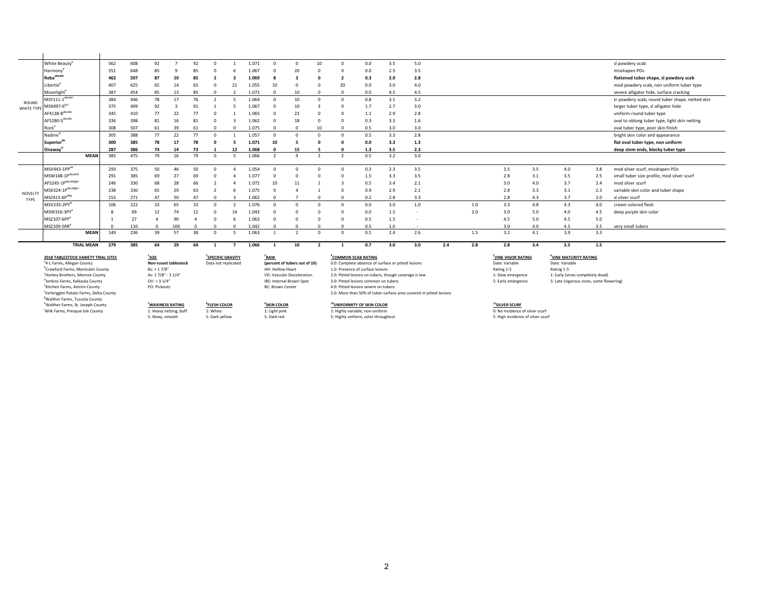|            | White Beauty <sup>e</sup>  |             | 562              | 608 | 92       |          | 92       |          | .071            |                 |    | 10       | $\Omega$   | 0.0 | 3.5        | 5.0                      |     |            |            |     |     | sl powdery scab                                 |
|------------|----------------------------|-------------|------------------|-----|----------|----------|----------|----------|-----------------|-----------------|----|----------|------------|-----|------------|--------------------------|-----|------------|------------|-----|-----|-------------------------------------------------|
|            | Harmony®                   |             | 551              | 648 | 85       |          | 85       |          | .067            |                 | 20 |          | U          | 0.0 | 2.5        | 3.5                      |     |            |            |     |     | misshapen POs                                   |
|            | Rebaabcdei                 |             | 462              | 507 | 87       | 10       | 85       |          | .069            |                 |    |          |            | 0.3 | 2.9        | 2.8                      |     |            |            |     |     | flattened tuber shape, sl powdery scab          |
|            | Libertie <sup>e</sup>      |             | 407              | 625 | 65       | 14       | 65       | 21       | .055            | 10 <sup>1</sup> |    |          | 20         | 0.0 | 3.0        | 4.0                      |     |            |            |     |     | mod powdery scab, non uniform tuber type        |
|            | Moonlight <sup>e</sup>     |             | 387              | 454 | 85       | 13       | 85       |          | .072            |                 | 10 |          | $\Omega$   | 0.0 | 4.5        | 4.5                      |     |            |            |     |     | severe alligator hide, surface cracking         |
| ROUND      | MSY111-1 <sup>abcdei</sup> |             | 384              | 446 | 78       | 17       | 76       |          | .064            | $\Omega$        | 10 |          | $\Omega$   | 0.8 | 3.1        | 3.2                      |     |            |            |     |     | tr powdery scab, round tuber shape, netted skin |
| WHITE TYPE | MSX497-6 <sup>bci</sup>    |             | 375              | 409 | 92       |          |          |          | .067            |                 | 10 |          | U          | 1.7 | 2.7        | 3.0                      |     |            |            |     |     | larger tuber type, sl alligator hide            |
|            | AF4138-8 <sup>abcdei</sup> |             | 345              | 410 | 77       | 22       |          |          | .065            |                 | 23 |          | $\Omega$   | 1.1 | 2.9        | 2.8                      |     |            |            |     |     | uniform round tuber type                        |
|            | AF5280-5 <sup>abcdei</sup> |             | 336              | 398 | 81       | 16       |          |          | .062            |                 | 18 |          | U          | 0.3 | 3.3        | 1.6                      |     |            |            |     |     | oval to oblong tuber type, light skin netting   |
|            | Rocke                      |             | 308              | 507 | 61       | 39       | 61       |          | .075            | $\Omega$        |    | 10       |            | 0.5 | 3.0        | 3.0                      |     |            |            |     |     | oval tuber type, poor skin finish               |
|            | Nadine <sup>ei</sup>       |             | 305              | 388 | 77       | 22       | 77       |          | .057            | $\Omega$        |    |          | $\Omega$   | 0.5 | 3.3        | 2.8                      |     |            |            |     |     | bright skin color and appearance                |
|            | Superiorde                 |             | 300              | 385 | 78       |          | 78       |          | .071            | 10              |    |          | n          | 0.0 | 3.3        | 1.3                      |     |            |            |     |     | flat oval tuber type, non uniform               |
|            | Onaway <sup>®</sup>        |             | 287              | 386 | 74       | 14       | 73       | 12       | .068            |                 | 15 |          | $\sqrt{2}$ | 1.3 | 3.5        | 2.3                      |     |            |            |     |     | deep stem ends, blocky tuber type               |
|            |                            | <b>MEAN</b> | 385              | 475 | 79       | 16       | 79       |          | .066            | n,              |    |          |            | 0.5 | 3.2        | 3.0                      |     |            |            |     |     |                                                 |
|            | MSV443-1PP <sup>ae</sup>   |             | 293              | 375 | 50       | 46       | 50       |          | .054            |                 |    |          | $\Omega$   | 0.3 | 2.3        | 3.5                      |     | 3.5        | 3.5        | 4.0 | 3.8 | mod silver scurf, misshapen POs                 |
|            | MSW148-1Pabcdefi           |             | 291              | 385 | 69       | 27       | 69       |          | .077            |                 |    |          |            |     |            |                          |     | 2.8        | 3.1        | 3.5 | 2.5 | small tuber size profile, mod silver scurf      |
|            | AF5245-1Pabcdefghi         |             |                  |     |          |          |          |          | 07 <sub>2</sub> |                 |    |          |            | 1.5 | 3.3        | 3.5                      |     |            |            | 3.7 |     |                                                 |
|            | MSX324-1Pabcdfghi          |             | 246              | 330 | 68<br>65 | 28<br>29 | 66<br>63 |          |                 | 10              | 11 |          |            | 0.5 | 3.4<br>2.9 | 2.1                      |     | 3.0<br>2.8 | 4.0<br>3.3 |     | 2.4 | mod silver scurf                                |
| NOVELTY    | MSZ413-6P <sup>abg</sup>   |             | 238              | 330 |          |          |          |          | .075            |                 |    |          |            | 0.9 |            | 2.1                      |     | 2.8        |            | 3.1 | 2.3 | variable skin color and tuber shape             |
| TYPE       |                            |             | 153              | 271 | 47       | 50       |          |          | .062            |                 |    |          |            | 0.2 | 2.8        | 3.3                      |     |            | 4.3        | 3.7 | 2.0 | sl silver scurf                                 |
|            | MSV235-2PY <sup>ar</sup>   |             | 106              | 222 | 33       | 65       | 33       |          | .076            |                 |    |          | $\Omega$   | 0.0 | 3.0        | 1.0                      | 1.0 | 3.3        | 4.8        | 4.3 | 4.0 | cream colored flesh                             |
|            | MSW316-3PY <sup>a</sup>    |             | $\boldsymbol{8}$ | 69  | 12       | 74       | 12       | 14       | .043            |                 |    |          | $\Omega$   | 0.0 | 1.5        | $\overline{\phantom{a}}$ | 2.0 | 3.0        | 5.0        | 4.0 | 4.5 | deep purple skin color                          |
|            | MS7107-6PP <sup>a</sup>    |             |                  | 27  |          | 90       |          |          | .063            |                 |    |          | U          | 0.5 | 1.5        | - 11                     |     | 4.5        | 5.0        | 4.5 | 5.0 |                                                 |
|            | MSZ109-5RR <sup>a</sup>    |             | $\Omega$         | 110 |          | 100      |          | $\Omega$ | .042            |                 |    |          |            | 0.5 | 1.0        | $\sim$                   |     | 3.0        | 4.0        | 4.5 | 3.5 | very small tubers                               |
|            |                            | <b>MEAN</b> | 149              | 236 | 39       | 57       | 38       |          | 1.063           |                 |    | $\Omega$ | $\Omega$   | 0.5 | 2.4        | 2.6                      | 1.5 | 3.2        | 4.1        | 3.9 | 3.3 |                                                 |

TRIALMEAN 279 385 64 29 64 1 7 1.066 1 10 2 1 0.7 3.0 3.0 2.4 2.8 2.8 3.4 3.5 1.5

**2018 TABLESTOCK VARIETY TRIAL SITES <sup>1</sup>** <sup>a</sup>4-L Farms, Allegan County <sup>b</sup>Crawford Farms, Montcalm County "Horkey Brothers, Monroe County Jenkins Farms, Kalkaska County <sup>e</sup>Kitchen Farms, Antrim County <sup>f</sup>Verbrigghe Potato Farms, Delta County g Walther Farms, Tuscola County **Walther Farms, St. Joseph County 7** Wilk Farms, Presque Isle County

**SIZE**<br>**Non-russet tablestock** Data not replicated **WAXINESS RATING** <sup>8</sup>**FLESH COLOR** <sup>9</sup>**SKIN COLOR**<br>1: Heavy netting, buff 1: White 1: With 1: Ught pink

**SPECIFIC GRAVITY <sup>3</sup> RAW <sup>4</sup> (percent of tubers out of 10)** Crawford Farms, Montcalm County Bs: < 1 7/8" HH: Hollow Heart 1.0: Presence of surface lesions Rating 1-5 Rating 1-5 Rating 1-5 Horkey Brothers, Monroe County As: 1 7/8" - 3 1/4"<br>As: 1 7/8" - 3 1/4" Vines completely dead)<br>OV: > 3 1/4" (Discoloration 2.0: Pitted lesions on tubers, though coverage is low 1: Slow emergence 1: Early (vines completely d **8 FLESH COLOR**

### Wilk Farms, Presque Isle County 1: Heavy netting, buff 1: White 1: Light pink 1: Highly variable, non-uniform 0: No incidence of silver scurf 5: Waxy, smooth 5: Dark red 5: Highly uniform, color throughout 5: High incidence of silver scurf 5: Dark yellow

OV: > 3 1/4" 
BS: Internal Brown Spot 3.0: Pitted lesions common on tubers Starms, Starms, Starms, Starms, Starms, Starms, Starms, Starms, Starms, Starms, Starms, Starms, Starms, Starms, Starms, Starms, Starms, Starms, Sta 4.0: Pitted lesions severe on tubers 5.0: More than 50% of tuber surface area covered in pitted lesions **SKIN COLOR 10**<br> **10UNIFORMITY OF SKIN COLOR**<br> **1**: Highly variable, non-uniform

### **COMMON SCAB RATING**<br> **COMMON SCAB RATING**<br> **COMMON SCAB RATING**<br> **5** Date: Variable **VINE VIGOR RATING 6**<br>Date: Variable **blue** Date: Variable **VINE MATURITY RATING** external Face of the County of the County of the County of the County of the County of the County of the County of the County of the County of the County of the County of the County of the County of the County of the Count

2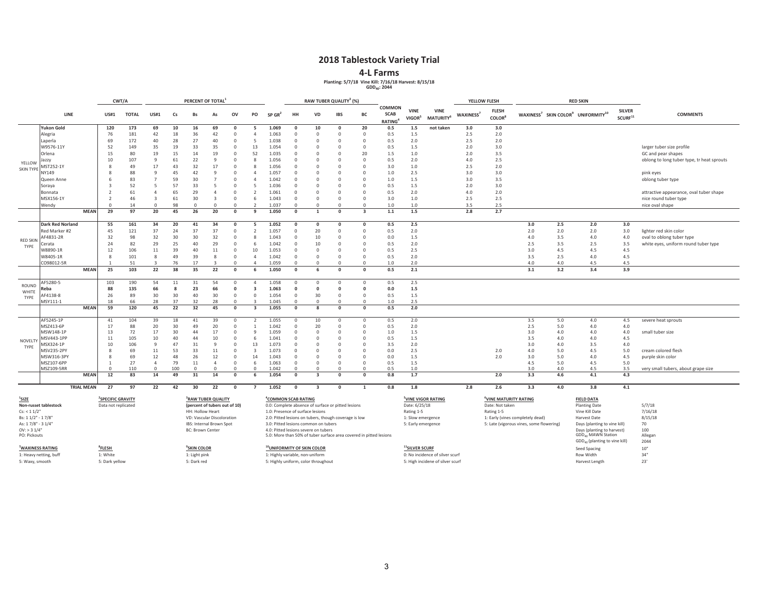### **2018 Tablestock Variety Trial**

### **4-L Farms**

**Planting: 5/7/18 Vine Kill: 7/16/18 Harvest: 8/15/18 GDD40: 2044**

|                            |                          |                   | CWT/A<br>PERCENT OF TOTAL     |              |                |          |                               |                |            |                         |                                        | RAW TUBER QUALITY <sup>3</sup> (%) |                                                       |                      |                                                                    |                                               |                             |                                             | YELLOW FLESH          |                                   |                                          | <b>RED SKIN</b> |                                                                        |                                        |                                            |
|----------------------------|--------------------------|-------------------|-------------------------------|--------------|----------------|----------|-------------------------------|----------------|------------|-------------------------|----------------------------------------|------------------------------------|-------------------------------------------------------|----------------------|--------------------------------------------------------------------|-----------------------------------------------|-----------------------------|---------------------------------------------|-----------------------|-----------------------------------|------------------------------------------|-----------------|------------------------------------------------------------------------|----------------------------------------|--------------------------------------------|
|                            | LINE                     |                   | <b>US#1</b>                   | <b>TOTAL</b> | <b>US#1</b>    | Cs       | <b>Bs</b>                     | As             | ov         | PO                      | $SP$ GR <sup>2</sup>                   | HH                                 | VD                                                    | <b>IBS</b>           | BC                                                                 | <b>COMMON</b><br><b>SCAB</b><br><b>RATING</b> | <b>VINE</b><br><b>VIGOR</b> | <b>VINE</b><br><b>MATURITY</b> <sup>b</sup> | WAXINESS <sup>7</sup> | <b>FLESH</b><br><b>COLOR</b>      |                                          |                 | WAXINESS <sup>7</sup> SKIN COLOR <sup>9</sup> UNIFORMITY <sup>10</sup> | <b>SILVER</b><br>$\mathsf{SCURF}^{11}$ | <b>COMMENTS</b>                            |
|                            | <b>Yukon Gold</b>        |                   | 120                           | 173          | 69             | 10       | 16                            | 69             | $\Omega$   | 5                       | 1.069                                  | $\Omega$                           | 10                                                    | $\mathbf{0}$         | 20                                                                 | 0.5                                           | 1.5                         | not taken                                   | 3.0                   | 3.0                               |                                          |                 |                                                                        |                                        |                                            |
|                            | Alegria                  |                   | 76                            | 181          | 42             | 18       | 36                            | 42             | $\Omega$   | $\Delta$                | 1.063                                  | $\Omega$                           | $\Omega$                                              | $\mathbf 0$          | $\Omega$                                                           | 0.5                                           | 1.5                         |                                             | 2.5                   | 2.0                               |                                          |                 |                                                                        |                                        |                                            |
|                            | Laperla                  |                   | 69                            | 172          | 40             | 28       | 27                            | 40             | $\Omega$   | 5                       | 1.038                                  | $\overline{0}$                     | 0                                                     | $\mathbf 0$          | $\Omega$                                                           | 0.5                                           | 2.0                         |                                             | 2.5                   | 2.0                               |                                          |                 |                                                                        |                                        |                                            |
|                            | W9576-11Y                |                   | 52                            | 149          | 35             | 19       | 33                            | 35             | $\Omega$   | 13                      | 1.054                                  | $^{\circ}$                         | $\Omega$                                              | $\Omega$             | $^{\circ}$                                                         | 0.5                                           | 1.5                         |                                             | 2.0                   | 3.0                               |                                          |                 |                                                                        |                                        | larger tuber size profile                  |
|                            | Orlena                   |                   | 15                            | 80           | 19             | 15       | 14                            | 19             | $^{\circ}$ | 52                      | 1.035                                  | $\overline{0}$                     | $\mathbf 0$                                           | $\mathbf 0$          | 20                                                                 | 1.5                                           | 1.0                         |                                             | 2.0                   | 3.5                               |                                          |                 |                                                                        |                                        | GC and pear shapes                         |
|                            | Jazzy                    |                   | 10                            | 107          | -9             | 61       | 22                            | 9              | $\Omega$   | 8                       | 1.056                                  | $^{\circ}$                         | 0                                                     | $\mathbf 0$          | $\Omega$                                                           | 0.5                                           | 2.0                         |                                             | 4.0                   | 2.5                               |                                          |                 |                                                                        |                                        | oblong to long tuber type, tr heat sprouts |
| YELLOW<br><b>SKIN TYPE</b> | MST252-1Y                |                   | 8                             | 49           | 17             | 43       | 32                            | 17             | $\Omega$   | 8                       | 1.056                                  | $^{\circ}$                         | $\Omega$                                              | $\mathbf 0$          | $\Omega$                                                           | 3.0                                           | 1.0                         |                                             | 2.5                   | 2.0                               |                                          |                 |                                                                        |                                        |                                            |
|                            | NY149                    |                   | 8                             | 88           | -9             | 45       | 42                            | 9              | $\Omega$   | $\Delta$                | 1.057                                  | $\Omega$                           | 0                                                     | $\Omega$             | $\Omega$                                                           | 1.0                                           | 2.5                         |                                             | 3.0                   | 3.0                               |                                          |                 |                                                                        |                                        | pink eyes                                  |
|                            | Queen Anne               |                   |                               | 83           | $\overline{7}$ | 59       | 30                            |                |            | $\Delta$                | 1.042                                  | $\Omega$                           | $\Omega$                                              | $\Omega$             | $\Omega$                                                           | $1.0$                                         | 1.5                         |                                             | 3.0                   | 3.5                               |                                          |                 |                                                                        |                                        | oblong tuber type                          |
|                            | Soraya                   |                   | $\mathbf{B}$                  | 52           | -5             | 57       | 33                            | 5              | $\Omega$   | 5                       | 1.036                                  | $\Omega$                           | $\Omega$                                              | $\Omega$             | $\Omega$                                                           | 0.5                                           | 1.5                         |                                             | 2.0                   | 3.0                               |                                          |                 |                                                                        |                                        |                                            |
|                            | Bonnata                  |                   |                               | 61           | $\overline{4}$ | 65       | 29                            | $\overline{4}$ |            |                         | 1.061                                  | $\Omega$                           | O                                                     | $\Omega$             | $\Omega$                                                           | 0.5                                           | 2.0                         |                                             | 4.0                   | 2.0                               |                                          |                 |                                                                        |                                        | attractive appearance, oval tuber shape    |
|                            | MSX156-1Y                |                   |                               | 46           | $\mathbf{3}$   | 61       | 30                            | $\overline{3}$ | $\Omega$   | 6                       | 1.043                                  | $\overline{0}$                     | $\Omega$                                              | $\Omega$             | $\Omega$                                                           | 3.0                                           | 1.0                         |                                             | 2.5                   | 2.5                               |                                          |                 |                                                                        |                                        | nice round tuber type                      |
|                            | Wendy                    |                   | $\Omega$                      | 14           | $\Omega$       | 98       | $\Omega$                      | $\Omega$       | $\Omega$   | $\mathfrak{p}$          | 1.037                                  | $\Omega$                           | $\Omega$                                              | $\Omega$             | $\Omega$                                                           | 1.0                                           | 1.0                         |                                             | 3.5                   | 2.5                               |                                          |                 |                                                                        |                                        | nice oval shape                            |
|                            |                          | <b>MEAN</b>       | 29                            | 97           | 20             | 45       | 26                            | 20             | $\Omega$   | $\mathbf{q}$            | 1.050                                  | $\Omega$                           | $\mathbf{1}$                                          | $\Omega$             | $\overline{\mathbf{3}}$                                            | $1.1\,$                                       | $1.5$                       |                                             | 2.8                   | 2.7                               |                                          |                 |                                                                        |                                        |                                            |
|                            | <b>Dark Red Norland</b>  |                   | 55                            | 161          | 34             | 20       | 41                            | 34             | $\Omega$   | 5                       | 1.052                                  | $\Omega$                           | $\Omega$                                              | $\Omega$             | 0                                                                  | 0.5                                           | 2.5                         |                                             |                       |                                   | 3.0                                      | 2.5             | 2.0                                                                    | 3.0                                    |                                            |
|                            | Red Marker #2            |                   | 45                            | 121          | 37             | 24       | 37                            | 37             | $\Omega$   | $\mathcal{P}$           | 1.057                                  | $\Omega$                           | 20                                                    | $^{\circ}$           | $\Omega$                                                           | 0.5                                           | 2.0                         |                                             |                       |                                   | 2.0                                      | 2.0             | 2.0                                                                    | 3.0                                    | lighter red skin color                     |
|                            | AF4831-2R                |                   | 32                            | 98           | 32             | 30       | 30                            | 32             | $\Omega$   | 8                       | 1.043                                  | $\Omega$                           | 10                                                    | $\Omega$             | $\Omega$                                                           | 0.0                                           | 1.5                         |                                             |                       |                                   | 4.0                                      | 3.5             | 4.0                                                                    | 4.0                                    | oval to oblong tuber type                  |
| <b>RED SKIN</b>            | Cerata                   |                   | 24                            | 82           | 29             | 25       | 40                            | 29             | $\Omega$   | 6                       | 1.042                                  | $\Omega$                           | 10                                                    | $\Omega$             | $\Omega$                                                           | 0.5                                           | 2.0                         |                                             |                       |                                   | 2.5                                      | 3.5             | 2.5                                                                    | 3.5                                    | white eyes, uniform round tuber type       |
| TYPE                       | W8890-1R                 |                   | 12                            | 106          | 11             | 39       | 40                            | 11             | $\Omega$   | 10                      | 1.053                                  | $\Omega$                           | $\Omega$                                              | $\Omega$             | $\Omega$                                                           | 0.5                                           | 2.5                         |                                             |                       |                                   | 3.0                                      | 4.5             | 4.5                                                                    | 4.5                                    |                                            |
|                            | W8405-1R                 |                   | -8                            | 101          | $\mathcal{R}$  | 49       | 39                            | 8              | $\Omega$   | $\Delta$                | 1.042                                  | $\overline{0}$                     | $\Omega$                                              | $\Omega$             | $\Omega$                                                           | 0.5                                           | 2.0                         |                                             |                       |                                   | 3.5                                      | 2.5             | 4.0                                                                    | 4.5                                    |                                            |
|                            | CO98012-5R               |                   |                               | 51           | $\mathbf{R}$   | 76       | 17                            | $\mathbf{R}$   | $\Omega$   | $\Delta$                | 1.059                                  | $\overline{0}$                     | $\Omega$                                              | $\Omega$             | $\Omega$                                                           | 1.0                                           | 2.0                         |                                             |                       |                                   | 4.0                                      | 4.0             | 4.5                                                                    | 4.5                                    |                                            |
|                            |                          | <b>MEAN</b>       | 25                            | 103          | 22             | 38       | 35                            | 22             | $\Omega$   | 6                       | 1.050                                  | $\Omega$                           | 6                                                     | $\Omega$             | $\Omega$                                                           | 0.5                                           | 2.1                         |                                             |                       |                                   | 3.1                                      | 3.2             | 3.4                                                                    | 3.9                                    |                                            |
|                            |                          |                   |                               |              |                |          |                               |                |            |                         |                                        |                                    |                                                       |                      |                                                                    |                                               |                             |                                             |                       |                                   |                                          |                 |                                                                        |                                        |                                            |
| ROUND                      | AF5280-5                 |                   | 103                           | 190          | 54             | 11       | 31                            | 54             | $\Omega$   | $\Delta$                | 1.058                                  | $^{\circ}$                         | $\Omega$                                              | $\Omega$             | $\Omega$                                                           | 0.5                                           | 2.5                         |                                             |                       |                                   |                                          |                 |                                                                        |                                        |                                            |
| WHITE                      | Reba                     |                   | 88                            | 135          | 66             | - 8      | 23                            | 66             | $\Omega$   | 3                       | 1.063                                  | $\Omega$                           | $\mathbf{0}$                                          | $\Omega$             | $\Omega$                                                           | 0.0                                           | 1.5                         |                                             |                       |                                   |                                          |                 |                                                                        |                                        |                                            |
| TYPE                       | AF4138-8                 |                   | 26                            | 89           | 30             | 30       | 40                            | 30             | $\Omega$   | $\Omega$                | 1.054                                  | $\mathbf 0$                        | 30                                                    | $\Omega$             | $\Omega$                                                           | 0.5                                           | 1.5                         |                                             |                       |                                   |                                          |                 |                                                                        |                                        |                                            |
|                            | MSY111-1                 |                   | 18                            | 66           | 28             | 37       | 32                            | 28             | $\Omega$   |                         | 1.045                                  | $\Omega$                           | $\Omega$                                              | $\Omega$             | $\Omega$                                                           | 1.0                                           | 2.5                         |                                             |                       |                                   |                                          |                 |                                                                        |                                        |                                            |
|                            |                          | <b>MEAN</b>       | 59                            | 120          | 45             | 22       | 32                            | 45             | $\Omega$   | $\overline{\mathbf{3}}$ | 1.055                                  | $\Omega$                           | 8                                                     | $\Omega$             | $\Omega$                                                           | 0.5                                           | 2.0                         |                                             |                       |                                   |                                          |                 |                                                                        |                                        |                                            |
|                            | AF5245-1P                |                   | 41                            | 104          | 39             | 18       | 41                            | 39             | $\Omega$   | $\mathcal{P}$           | 1.055                                  | $\Omega$                           | 10                                                    | $\Omega$             | $\Omega$                                                           | 0.5                                           | 2.0                         |                                             |                       |                                   | 3.5                                      | 5.0             | 4.0                                                                    | 4.5                                    | severe heat sprouts                        |
|                            | MSZ413-6P                |                   | 17                            | 88           | 20             | 30       | 49                            | 20             | $\Omega$   |                         | 1.042                                  | $\Omega$                           | 20                                                    | $\Omega$             | $\Omega$                                                           | 0.5                                           | 2.0                         |                                             |                       |                                   | 2.5                                      | 5.0             | 4.0                                                                    | 4.0                                    |                                            |
|                            | MSW148-1P                |                   | 13                            | 72           | 17             | 30       | 44                            | 17             | $\Omega$   | 9                       | 1.059                                  | $^{\circ}$                         | $\Omega$                                              | $\Omega$             | $\Omega$                                                           | $1.0$                                         | 1.5                         |                                             |                       |                                   | 3.0                                      | 4.0             | 4.0                                                                    | 4.0                                    | small tuber size                           |
| NOVELTY                    | MSV443-1PP               |                   | 11                            | 105          | 10             | 40       | 44                            | 10             | $\Omega$   | 6                       | 1.041                                  | $^{\circ}$                         | $\mathbf 0$                                           | $\mathbf 0$          | $\Omega$                                                           | 0.5                                           | 1.5                         |                                             |                       |                                   | 3.5                                      | 4.0             | 4.0                                                                    | 4.5                                    |                                            |
| TYPE                       | MSX324-1P                |                   | 10                            | 106          | 9              | 47       | 31                            | 9              | $\Omega$   | 13                      | 1.073                                  | $\Omega$<br>$\Omega$               | $\Omega$<br>$\Omega$                                  | $\Omega$<br>$\Omega$ | $\Omega$<br>$\Omega$                                               | 3.5                                           | 2.0                         |                                             |                       |                                   | 3.0                                      | 4.0             | 3.5                                                                    | 4.0                                    |                                            |
|                            | MSV235-2PY<br>MSW316-3PY |                   | 8<br>$\mathcal{R}$            | 69<br>69     | $11\,$<br>12   | 53<br>48 | 33<br>26                      | 11<br>12       | $\Omega$   | 3<br>14                 | 1.073<br>1.043                         | $\overline{0}$                     | $\Omega$                                              | $\Omega$             | $\Omega$                                                           | 0.0<br>0.0                                    | 2.5<br>1.5                  |                                             |                       | 2.0<br>2.0                        | 4.0<br>3.0                               | 5.0<br>5.0      | 4.5<br>4.0                                                             | 5.0<br>4.5                             | cream colored flesh                        |
|                            | MSZ107-6PP               |                   |                               | 27           | $\overline{4}$ | 79       | 11                            | $\overline{4}$ | $\Omega$   | 6                       | 1.063                                  | $\Omega$                           | $\Omega$                                              | $\Omega$             | $\Omega$                                                           | 0.5                                           | 1.5                         |                                             |                       |                                   | 4.5                                      | 5.0             | 4.5                                                                    | 5.0                                    | purple skin color                          |
|                            | MSZ109-5RR               |                   | $\Omega$                      | 110          | $\Omega$       | 100      | $\Omega$                      | $\Omega$       | $\Omega$   | $\Omega$                | 1.042                                  | $\Omega$                           | $\Omega$                                              | $\Omega$             | $\Omega$                                                           | 0.5                                           | 1.0                         |                                             |                       |                                   | 3.0                                      | 4.0             | 4.5                                                                    | 3.5                                    | very small tubers, about grape size        |
|                            |                          | <b>MEAN</b>       | 12                            | 83           | 14             | 49       | 31                            | 14             | $\Omega$   | 6                       | 1.054                                  | $\Omega$                           | $\overline{\mathbf{3}}$                               | $\Omega$             | $\Omega$                                                           | 0.8                                           | 1.7                         |                                             |                       | 2.0                               | 3.3                                      | 4.6             | 4.1                                                                    | 4.3                                    |                                            |
|                            |                          | <b>TRIAL MEAN</b> | 27                            | 97           | 22             | 42       | 30                            | 22             | $\Omega$   |                         | 1.052                                  | $\Omega$                           | 3                                                     | $\Omega$             | $\mathbf{1}$                                                       | 0.8                                           | 1.8                         |                                             | 2.8                   | 2.6                               | 3.3                                      | 4.0             | 3.8                                                                    | 4.1                                    |                                            |
| <sup>1</sup> SIZE          |                          |                   | <sup>2</sup> SPECIFIC GRAVITY |              |                |          | RAW TUBER QUALITY             |                |            |                         | <sup>4</sup> COMMON SCAB RATING        |                                    |                                                       |                      |                                                                    |                                               |                             | <sup>5</sup> VINE VIGOR RATING              |                       | <sup>6</sup> VINE MATURITY RATING |                                          |                 | <b>FIELD DATA</b>                                                      |                                        |                                            |
|                            | Non-russet tablestock    |                   | Data not replicated           |              |                |          | (percent of tubers out of 10) |                |            |                         |                                        |                                    | 0.0: Complete absence of surface or pitted lesions    |                      |                                                                    |                                               | Date: 6/25/18               |                                             |                       | Date: Not taken                   |                                          |                 | <b>Planting Date</b>                                                   |                                        | 5/7/18                                     |
| Cs: < 11/2"                |                          |                   |                               |              |                |          | <b>HH: Hollow Heart</b>       |                |            |                         | 1.0: Presence of surface lesions       |                                    |                                                       |                      |                                                                    |                                               | Rating 1-5                  |                                             |                       | Rating 1-5                        |                                          |                 | Vine Kill Date                                                         |                                        | 7/16/18                                    |
| Bs: 1 1/2" - 1 7/8'        |                          |                   |                               |              |                |          | VD: Vascular Discoloration    |                |            |                         |                                        |                                    | 2.0: Pitted lesions on tubers, though coverage is low |                      |                                                                    |                                               | 1: Slow emergence           |                                             |                       |                                   | 1: Early (vines completely dead)         |                 | Harvest Date                                                           |                                        | 8/15/18                                    |
| As: 17/8" - 31/4"          |                          |                   |                               |              |                |          | IBS: Internal Brown Spot      |                |            |                         |                                        |                                    | 3.0: Pitted lesions common on tubers                  |                      |                                                                    |                                               | 5: Early emergence          |                                             |                       |                                   | 5: Late (vigorous vines, some flowering) |                 | Days (planting to vine kill)                                           |                                        | 70                                         |
| $OV:$ > 3 $1/4"$           |                          |                   |                               |              |                |          | <b>BC: Brown Center</b>       |                |            |                         |                                        |                                    | 4.0: Pitted lesions severe on tubers                  |                      |                                                                    |                                               |                             |                                             |                       |                                   |                                          |                 | Days (planting to harvest)                                             |                                        | 100                                        |
| PO: Pickouts               |                          |                   |                               |              |                |          |                               |                |            |                         |                                        |                                    |                                                       |                      | 5.0: More than 50% of tuber surface area covered in pitted lesions |                                               |                             |                                             |                       |                                   |                                          |                 | <b>GDD<sub>40</sub> MAWN Station</b>                                   |                                        | Allegan                                    |
|                            |                          |                   |                               |              |                |          |                               |                |            |                         |                                        |                                    |                                                       |                      |                                                                    |                                               |                             |                                             |                       |                                   |                                          |                 | GDD <sub>40</sub> (planting to vine kill)                              |                                        | 2044                                       |
| <b>WAXINESS RATING</b>     |                          |                   | <sup>8</sup> FLESH            |              |                |          | <sup>9</sup> SKIN COLOR       |                |            |                         | <sup>10</sup> UNIFORMITY OF SKIN COLOR |                                    |                                                       |                      |                                                                    |                                               | <sup>11</sup> SILVER SCURF  |                                             |                       |                                   |                                          |                 | Seed Spacing                                                           |                                        | $10"$                                      |
|                            | 1: Heavy netting, buff   |                   | 1: White                      |              |                |          | 1: Light pink                 |                |            |                         | 1: Highly variable, non-uniform        |                                    |                                                       |                      |                                                                    |                                               |                             | 0: No incidence of silver scurf             |                       |                                   |                                          |                 | Row Width                                                              |                                        | 34"                                        |
| 5: Waxy, smooth            |                          |                   | 5: Dark yellow                |              |                |          | 5: Dark red                   |                |            |                         |                                        |                                    | 5: Highly uniform, color throughout                   |                      |                                                                    |                                               |                             | 5: High incidene of silver scurf            |                       |                                   |                                          |                 | Harvest Length                                                         |                                        | 23'                                        |

### 3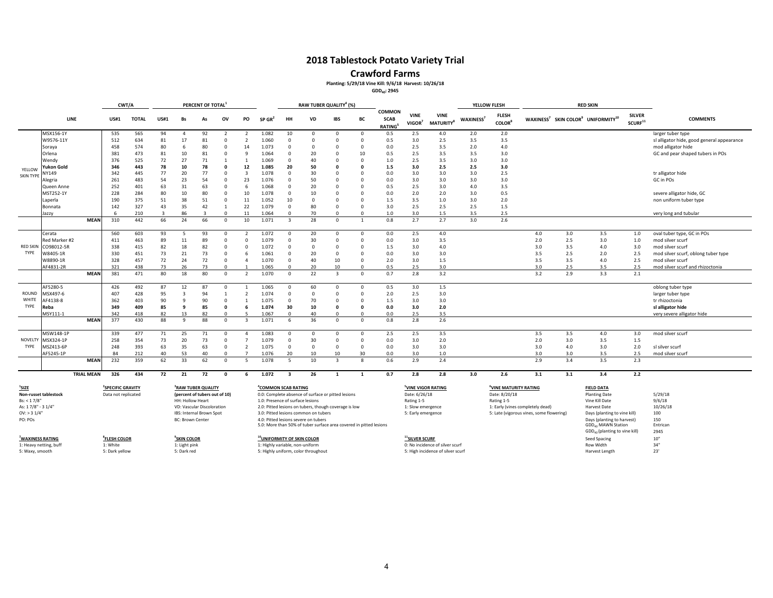### **Crawford Farms**

### **Planting: 5/29/18 Vine Kill: 9/6/18 Harvest: 10/26/18**

**GDD40: 2945**

|                            |                       |                   |                                                      | CWT/A        |              |                                                                                     | PERCENT OF TOTAL |                          |                          |                                                                                         |                | RAW TUBER QUALITY <sup>4</sup> (%)                                 |                         |                    |                                               |                                                               |                                             |                       | YELLOW FLESH                              |                                          |     | <b>RED SKIN</b>                                                        |                                      |                                            |
|----------------------------|-----------------------|-------------------|------------------------------------------------------|--------------|--------------|-------------------------------------------------------------------------------------|------------------|--------------------------|--------------------------|-----------------------------------------------------------------------------------------|----------------|--------------------------------------------------------------------|-------------------------|--------------------|-----------------------------------------------|---------------------------------------------------------------|---------------------------------------------|-----------------------|-------------------------------------------|------------------------------------------|-----|------------------------------------------------------------------------|--------------------------------------|--------------------------------------------|
|                            | LINE                  |                   | <b>US#1</b>                                          | <b>TOTAL</b> | <b>US#1</b>  | Bs                                                                                  | As               | ov                       | PO                       | $SP$ GR <sup>2</sup>                                                                    | HH             | <b>VD</b>                                                          | <b>IBS</b>              | BC                 | <b>COMMON</b><br><b>SCAB</b><br><b>RATING</b> | <b>VINE</b><br>VIGOR <sup>7</sup>                             | <b>VINE</b><br><b>MATURITY</b> <sup>8</sup> | WAXINESS <sup>7</sup> | <b>FLESH</b><br><b>COLOR</b> <sup>8</sup> |                                          |     | WAXINESS <sup>7</sup> SKIN COLOR <sup>9</sup> UNIFORMITY <sup>10</sup> | <b>SILVER</b><br>SCURE <sup>11</sup> | <b>COMMENTS</b>                            |
|                            | MSX156-1Y             |                   | 535                                                  | 565          | 94           | $\overline{4}$                                                                      | 92               | $\overline{\phantom{a}}$ | $\overline{\phantom{a}}$ | 1.082                                                                                   | 10             | $\Omega$                                                           | $\Omega$                | $\Omega$           | 0.5                                           | 2.5                                                           | 4.0                                         | 2.0                   | 2.0                                       |                                          |     |                                                                        |                                      | larger tuber type                          |
|                            | W9576-11Y             |                   | 512                                                  | 634          | 81           | 17                                                                                  | 81               | $\Omega$                 | $\overline{2}$           | 1.060                                                                                   | $\mathsf{C}$   | $\mathbf{0}$                                                       | $\Omega$                | $\Omega$           | 0.5                                           | 3.0                                                           | 2.5                                         | 3.5                   | 3.5                                       |                                          |     |                                                                        |                                      | sl alligator hide, good general appearance |
|                            | Soraya                |                   | 458                                                  | 574          | 80           | 6                                                                                   | 80               | $\Omega$                 | 14                       | 1.073                                                                                   | $\Omega$       | $\mathbf{0}$                                                       | $\Omega$                | $\Omega$           | 0.0                                           | 2.5                                                           | 3.5                                         | 2.0                   | 4.0                                       |                                          |     |                                                                        |                                      | mod alligator hide                         |
|                            | Orlena                |                   | 381                                                  | 473          | 81           | 10                                                                                  | 81               | $\Omega$                 | 9                        | 1.064                                                                                   | $\Omega$       | 20                                                                 | $\Omega$                | 10                 | 0.5                                           | 2.5                                                           | 3.5                                         | 3.5                   | 3.0                                       |                                          |     |                                                                        |                                      | GC and pear shaped tubers in POs           |
|                            | Wendy                 |                   | 376                                                  | 525          | 72           | 27                                                                                  | 71               |                          | 1                        | 1.069                                                                                   | $\mathsf{C}$   | 40                                                                 | $\Omega$                | $\Omega$           | 1.0                                           | 2.5                                                           | 3.5                                         | 3.0                   | 3.0                                       |                                          |     |                                                                        |                                      |                                            |
| YELLOW                     | Yukon Gold            |                   | 346                                                  | 443          | 78           | 10                                                                                  | 78               | $\Omega$                 | 12                       | 1.085                                                                                   | 20             | 50                                                                 | $\Omega$                | $\mathbf{0}$       | 1.5                                           | 3.0                                                           | 2.5                                         | 2.5                   | 3.0                                       |                                          |     |                                                                        |                                      |                                            |
| <b>SKIN TYPE</b>           | NY149                 |                   | 342                                                  | 445          | 77           | 20                                                                                  | 77               | $\Omega$                 | 3                        | 1.078                                                                                   | $\Omega$       | 30                                                                 | $\Omega$                | $\Omega$           | 0.0                                           | 3.0                                                           | 3.0                                         | 3.0                   | 2.5                                       |                                          |     |                                                                        |                                      | tr alligator hide                          |
|                            | Alegria               |                   | 261                                                  | 483          | 54           | 23                                                                                  | 54               | $\Omega$                 | 23                       | 1.076                                                                                   | c              | 50                                                                 | $\Omega$                | $\Omega$           | 0.0                                           | 3.0                                                           | 3.0                                         | 3.0                   | 3.0                                       |                                          |     |                                                                        |                                      | GC in POs                                  |
|                            | Queen Anne            |                   | 252                                                  | 401          | 63           | 31                                                                                  | 63               | $\Omega$                 | 6                        | 1.068                                                                                   | $\mathsf{C}$   | 20                                                                 | $\Omega$                | $\Omega$           | 0.5                                           | 2.5                                                           | 3.0                                         | 4.0                   | 3.5                                       |                                          |     |                                                                        |                                      |                                            |
|                            | MST252-1Y             |                   | 228                                                  | 284          | 80           | 10                                                                                  | 80               | $\Omega$                 | 10                       | 1.078                                                                                   | $\mathbf 0$    | 10                                                                 | $\Omega$                | $\Omega$           | 0.0                                           | 2.0                                                           | 2.0                                         | 3.0                   | 0.5                                       |                                          |     |                                                                        |                                      | severe alligator hide, GC                  |
|                            | Laperla               |                   | 190                                                  | 375          | 51           | 38                                                                                  | 51               | $\Omega$                 | 11                       | 1.052                                                                                   | 10             | $\Omega$                                                           | $\Omega$                | $\Omega$           | 1.5                                           | 3.5                                                           | 1.0                                         | 3.0                   | 2.0                                       |                                          |     |                                                                        |                                      | non uniform tuber type                     |
|                            | Bonnata               |                   | 142                                                  | 327          | 43           | 35                                                                                  | 42               | $\overline{1}$           | 22                       | 1.079                                                                                   | $\Omega$       | 80                                                                 | $\Omega$                | $\Omega$           | 3.0                                           | 2.5                                                           | 2.5                                         | 2.5                   | 1.5                                       |                                          |     |                                                                        |                                      |                                            |
|                            | Jazzv                 |                   | -6                                                   | 210          | $\mathbf{R}$ | 86                                                                                  | $\mathbf{R}$     | $\Omega$                 | 11                       | 1.064                                                                                   | $\Omega$       | 70                                                                 | $\Omega$                | $\Omega$           | 1.0                                           | 3.0                                                           | 1.5                                         | 3.5                   | 2.5                                       |                                          |     |                                                                        |                                      | very long and tubular                      |
|                            |                       | <b>MEAN</b>       | 310                                                  | 442          | 66           | 24                                                                                  | 66               | $\Omega$                 | 10                       | 1.071                                                                                   | $\overline{3}$ | 28                                                                 | $\mathbf{0}$            | $\overline{1}$     | 0.8                                           | 2.7                                                           | 2.7                                         | 3.0                   | 2.6                                       |                                          |     |                                                                        |                                      |                                            |
|                            | Cerata                |                   | 560                                                  | 603          | 93           | -5                                                                                  | 93               | $\Omega$                 | 2                        | 1.072                                                                                   | $\Omega$       | 20                                                                 | $\Omega$                | $\Omega$           | 0.0                                           | 2.5                                                           | 4.0                                         |                       |                                           | 4.0                                      | 3.0 | 3.5                                                                    | 1.0                                  | oval tuber type, GC in POs                 |
|                            | Red Marker #2         |                   | 411                                                  | 463          | 89           | 11                                                                                  | 89               | $\Omega$                 | $\Omega$                 | 1.079                                                                                   | $\Omega$       | 30                                                                 | $\Omega$                | $\Omega$           | 0.0                                           | 3.0                                                           | 3.5                                         |                       |                                           | 2.0                                      | 2.5 | 3.0                                                                    | 1.0                                  | mod silver scurf                           |
| <b>RED SKIN</b>            | CO98012-5R            |                   | 338                                                  | 415          | 82           | 18                                                                                  | 82               | $\Omega$                 | $\mathbf 0$              | 1.072                                                                                   | -C             | $\mathbf{0}$                                                       | $\mathbf{0}$            | $\Omega$           | 1.5                                           | 3.0                                                           | 4.0                                         |                       |                                           | 3.0                                      | 3.5 | 4.0                                                                    | 3.0                                  | mod silver scurf                           |
| TYPE                       | W8405-1R              |                   | 330                                                  | 451          | 73           | 21                                                                                  | 73               | $\Omega$                 | 6                        | 1.061                                                                                   | $\Omega$       | 20                                                                 | $\Omega$                | $\Omega$           | 0.0                                           | 3.0                                                           | 3.0                                         |                       |                                           | 3.5                                      | 2.5 | 2.0                                                                    | 2.5                                  | mod silver scurf, oblong tuber type        |
|                            | W8890-1R              |                   | 328                                                  | 457          | 72           | 24                                                                                  | 72               | $\Omega$                 | $\Delta$                 | 1.070                                                                                   | $\mathsf{C}$   | 40                                                                 | 10                      | $\Omega$           | 2.0                                           | 3.0                                                           | 1.5                                         |                       |                                           | 3.5                                      | 3.5 | 4.0                                                                    | 2.5                                  | mod silver scurf                           |
|                            | AF4831-2R             |                   | 321                                                  | 438          | 73           | 26                                                                                  | 73               | $\Omega$                 |                          | 1.065                                                                                   | $\Omega$       | 20                                                                 | 10                      | $\Omega$           | 0.5                                           | 2.5                                                           | 3.0                                         |                       |                                           | 3.0                                      | 2.5 | 3.5                                                                    | 2.5                                  | mod silver scurf and rhizoctonia           |
|                            |                       | <b>MEAN</b>       | 381                                                  | 471          | 80           | 18                                                                                  | 80               | $\Omega$                 | $\overline{\phantom{a}}$ | 1.070                                                                                   | $^{\circ}$     | 22                                                                 | $\overline{\mathbf{3}}$ | $\Omega$           | 0.7                                           | 2.8                                                           | 3.2                                         |                       |                                           | 3.2                                      | 2.9 | 3.3                                                                    | 2.1                                  |                                            |
|                            | AF5280-5              |                   | 426                                                  | 492          | 87           | 12                                                                                  | 87               | $\Omega$                 |                          | 1.065                                                                                   | $\Omega$       | 60                                                                 | $\Omega$                | $\Omega$           | 0.5                                           | 3.0                                                           | 1.5                                         |                       |                                           |                                          |     |                                                                        |                                      | oblong tuber type                          |
| <b>ROUND</b>               | MSX497-6              |                   | 407                                                  | 428          | 95           | $\overline{3}$                                                                      | 94               | $\overline{1}$           | $\overline{\phantom{a}}$ | 1.074                                                                                   | $\Omega$       | $\mathbf 0$                                                        | $\Omega$                | $\Omega$           | 2.0                                           | 2.5                                                           | 3.0                                         |                       |                                           |                                          |     |                                                                        |                                      | larger tuber type                          |
| WHITE                      | AF4138-8              |                   | 362                                                  | 403          | 90           | -9                                                                                  | 90               | $\Omega$                 | 1                        | 1.075                                                                                   | 0              | 70                                                                 | $\Omega$                | $\Omega$           | 1.5                                           | 3.0                                                           | 3.0                                         |                       |                                           |                                          |     |                                                                        |                                      | tr rhizoctonia                             |
| TYPE                       | Reba                  |                   | 349                                                  | 409          | 85           | 9                                                                                   | 85               | $\Omega$                 | 6                        | 1.074                                                                                   | 30             | 10                                                                 | $\Omega$                | $\mathbf{0}$       | 0.0                                           | 3.0                                                           | 2.0                                         |                       |                                           |                                          |     |                                                                        |                                      | sl alligator hide                          |
|                            | MSY111-1              |                   | 342                                                  | 418          | 82           | 13                                                                                  | 82               | $\Omega$                 | 5                        | 1.067                                                                                   | $\Omega$       | 40                                                                 | $\Omega$                | $\Omega$           | 0.0                                           | 2.5                                                           | 3.5                                         |                       |                                           |                                          |     |                                                                        |                                      | very severe alligator hide                 |
|                            |                       | <b>MEAN</b>       | 377                                                  | 430          | 88           | q                                                                                   | 88               | $\Omega$                 | $\mathbf{3}$             | 1.071                                                                                   | -6             | 36                                                                 | $\Omega$                | $\Omega$           | 0.8                                           | 2.8                                                           | 2.6                                         |                       |                                           |                                          |     |                                                                        |                                      |                                            |
|                            | MSW148-1P             |                   | 339                                                  | 477          | 71           | 25                                                                                  | 71               | $\Omega$                 | $\Delta$                 | 1.083                                                                                   | $^{\circ}$     | $\mathbf 0$                                                        | $\mathbf{0}$            | $\Omega$           | 2.5                                           | 2.5                                                           | 3.5                                         |                       |                                           | 3.5                                      | 3.5 | 4.0                                                                    | 3.0                                  | mod silver scurf                           |
| <b>NOVELTY</b>             | MSX324-1P             |                   | 258                                                  | 354          | 73           | 20                                                                                  | 73               | $\Omega$                 | $\overline{7}$           | 1.079                                                                                   | $\Omega$       | 30                                                                 | $\Omega$                | $\Omega$           | 0.0                                           | 3.0                                                           | 2.0                                         |                       |                                           | 2.0                                      | 3.0 | 3.5                                                                    | 1.5                                  |                                            |
| TYPE                       | MSZ413-6P             |                   | 248                                                  | 393          | 63           | 35                                                                                  | 63               | $\Omega$                 | $\overline{2}$           | 1.075                                                                                   | $\Omega$       | $\Omega$                                                           | $\mathbf{0}$            | $\Omega$           | 0.0                                           | 3.0                                                           | 3.0                                         |                       |                                           | 3.0                                      | 4.0 | 3.0                                                                    | 2.0                                  | sl silver scurf                            |
|                            | AF5245-1P             |                   | 84                                                   | 212          | 40           | 53                                                                                  | 40               |                          |                          | 1.076                                                                                   | 20             | 10                                                                 | 10                      | 30                 | 0.0                                           | 3.0                                                           | 1.0                                         |                       |                                           | 3.0                                      | 3.0 | 3.5                                                                    | 2.5                                  | mod silver scurf                           |
|                            |                       | <b>MEAN</b>       | 232                                                  | 359          | 62           | 33                                                                                  | 62               | $\Omega$                 | 5                        | 1.078                                                                                   | 5              | 10                                                                 | $\overline{\mathbf{z}}$ | $\mathbf{\hat{z}}$ | 0.6                                           | 2.9                                                           | 2.4                                         |                       |                                           | 2.9                                      | 3.4 | 3.5                                                                    | 2.3                                  |                                            |
|                            |                       | <b>TRIAL MEAN</b> | 326                                                  | 434          | 72           | 21                                                                                  | 72               | $\Omega$                 | 6                        | 1.072                                                                                   | 3              | 26                                                                 | 1                       | $\mathbf{1}$       | 0.7                                           | 2.8                                                           | 2.8                                         | 3.0                   | 2.6                                       | 3.1                                      | 3.1 | 3.4                                                                    | 2.2                                  |                                            |
| $^{1}$ SIZE<br>Bs: < 17/8" | Non-russet tablestock |                   | <sup>2</sup> SPECIFIC GRAVITY<br>Data not replicated |              |              | <sup>3</sup> RAW TUBER QUALITY<br>(percent of tubers out of 10)<br>HH: Hollow Heart |                  |                          |                          | <b><i><u><sup>4</sup>COMMON SCAB RATING</u></i></b><br>1.0: Presence of surface lesions |                | 0.0: Complete absence of surface or pitted lesions                 |                         |                    |                                               | <sup>5</sup> VINE VIGOR RATING<br>Date: 6/26/18<br>Rating 1-5 |                                             |                       | Date: 8/20/18<br>Rating 1-5               | <sup>6</sup> VINE MATURITY RATING        |     | <b>FIELD DATA</b><br><b>Planting Date</b><br>Vine Kill Date            |                                      | 5/29/18<br>9/6/18                          |
| As: 17/8" - 31/4"          |                       |                   |                                                      |              |              | VD: Vascular Discoloration                                                          |                  |                          |                          |                                                                                         |                | 2.0: Pitted lesions on tubers, though coverage is low              |                         |                    |                                               | 1: Slow emergence                                             |                                             |                       |                                           | 1: Early (vines completely dead)         |     | Harvest Date                                                           |                                      | 10/26/18                                   |
| OV: > 31/4"                |                       |                   |                                                      |              |              | IBS: Internal Brown Spot                                                            |                  |                          |                          |                                                                                         |                | 3.0: Pitted lesions common on tubers                               |                         |                    |                                               | 5: Early emergence                                            |                                             |                       |                                           | 5: Late (vigorous vines, some flowering) |     | Days (planting to vine kill)                                           |                                      | 100                                        |
| PO: POs                    |                       |                   |                                                      |              |              | <b>BC: Brown Center</b>                                                             |                  |                          |                          |                                                                                         |                | 4.0: Pitted lesions severe on tubers                               |                         |                    |                                               |                                                               |                                             |                       |                                           |                                          |     | Days (planting to harvest)                                             |                                      | 150                                        |
|                            |                       |                   |                                                      |              |              |                                                                                     |                  |                          |                          |                                                                                         |                | 5.0: More than 50% of tuber surface area covered in pitted lesions |                         |                    |                                               |                                                               |                                             |                       |                                           |                                          |     | GDD <sub>40</sub> MAWN Station                                         |                                      | Entrican                                   |
|                            |                       |                   |                                                      |              |              |                                                                                     |                  |                          |                          |                                                                                         |                |                                                                    |                         |                    |                                               |                                                               |                                             |                       |                                           |                                          |     | GDD <sub>40</sub> (planting to vine kill)                              |                                      | 2945                                       |

**7 WAXINESS RATING <sup>9</sup> 8 FLESH COLOR** 5: Dark yellow

 $\overline{GDD}_{40}$  MAWN Station Entri<br>  $\overline{GDD}_{40}$  (planting to vine kill) 2945<br>
Seed Spacing 10" **SKIN COLOR 10UNIFORMITY OF SKIN COLOR 11SILVER SCURF** Seed Spacing 10" 1: Heavy netting, buff the state of the state of the state of the state of the state of the state of the state of the state of the state of the state of the state of the state of the state of the state of the state of the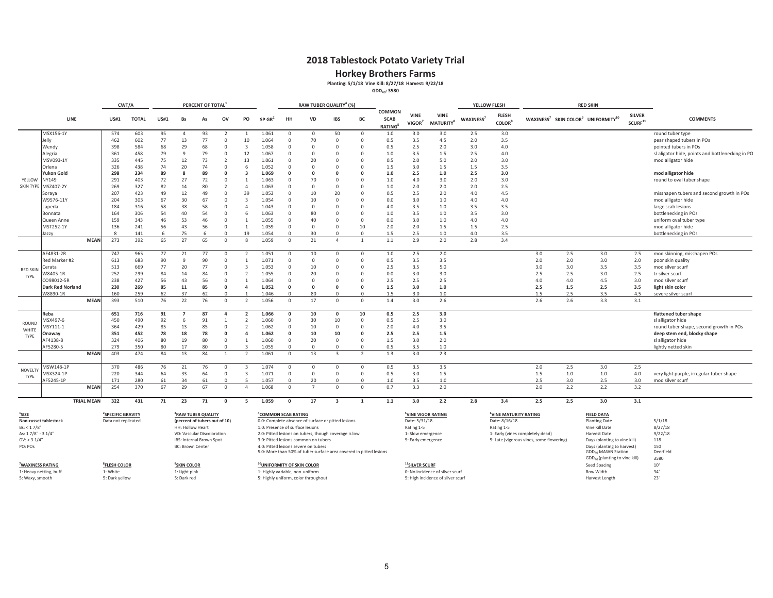**Horkey Brothers Farms**<br>Planting: 5/1/18 Vine Kill: 8/27/18 Harvest: 9/22/18<br><sup>GDD<sub>40</sub>: 3580</sup>

| COMMON<br><b>VINE</b><br><b>VINE</b><br><b>FLESH</b><br><b>SILVER</b><br>WAXINESS <sup>7</sup> SKIN COLOR <sup>9</sup> UNIFORMITY <sup>10</sup><br><b>SCAB</b><br>WAXINESS <sup>7</sup><br>LINE<br><b>US#1</b><br><b>TOTAL</b><br><b>US#1</b><br>Bs<br>ov<br>PO<br>HH<br><b>VD</b><br><b>IBS</b><br>BC<br><b>COMMENTS</b><br>As<br>SP GR'<br>$\mathsf{SCURF}^{11}$<br>VIGOR <sup>7</sup><br><b>MATURITY</b> <sup>8</sup><br><b>COLOR</b> <sup>8</sup><br><b>RATING</b><br>MSX156-1Y<br>1.061<br>3.0<br>3.0<br>2.5<br>3.0<br>574<br>603<br>95<br>93<br>$\mathbf{0}$<br>50<br>$\mathbf 0$<br>$1.0$<br>round tuber type<br>$\Omega$<br>$\overline{4}$<br>2<br>$\overline{1}$<br>462<br>602<br>77<br>13<br>77<br>10<br>1.064<br>70<br>$\Omega$<br>$\circ$<br>3.5<br>4.5<br>2.0<br>3.5<br>Jelly<br>$\Omega$<br>$\circ$<br>0.5<br>pear shaped tubers in POs<br>29<br>68<br>2.5<br>398<br>68<br>2.0<br>4.0<br>Wendy<br>584<br>1.058<br>$\Omega$<br>$\Omega$<br>$\Omega$<br>0.5<br>3.0<br>pointed tubers in POs<br>$\Omega$<br>3<br>$\Omega$<br>361<br>458<br>79<br>9<br>79<br>12<br>1.067<br>1.0<br>3.5<br>1.5<br>2.5<br>4.0<br>sl aligator hide, points and bottlenecking in PC<br>Alegria<br>$\Omega$<br>$\Omega$<br>$\Omega$<br>$\Omega$<br>$\Omega$<br>MSV093-1Y<br>335<br>445<br>75<br>12<br>73<br>13<br>1.061<br>20<br>$\Omega$<br>$\Omega$<br>0.5<br>2.0<br>5.0<br>2.0<br>3.0<br>mod alligator hide<br>$\overline{2}$<br>$\circ$<br>326<br>438<br>20<br>74<br>3.0<br>3.5<br>74<br>1.052<br>$\Omega$<br>$\Omega$<br>1.5<br>1.5<br>Orlena<br>$\Omega$<br>6<br>$\Omega$<br>$\Omega$<br>1.5<br>89<br>Yukon Gold<br>298<br>334<br>89<br>8<br>1.069<br>$\Omega$<br>$\Omega$<br>1.0<br>2.5<br>1.0<br>2.5<br>3.0<br>mod alligator hide<br>$\Omega$<br>$\Omega$<br>$\Omega$<br>YELLOW<br>403<br>72<br>27<br>72<br>70<br>4.0<br>NY149<br>291<br>1.063<br>$\Omega$<br>$\Omega$<br>1.0<br>3.0<br>2.0<br>3.0<br>round to oval tuber shape<br>$\Omega$<br>$\Omega$<br><b>SKIN TYPE</b><br>MSZ407-2Y<br>269<br>327<br>82<br>14<br>80<br>1.063<br>$\Omega$<br>$\Omega$<br>1.0<br>2.0<br>2.0<br>2.0<br>2.5<br>$\overline{\phantom{a}}$<br>4<br>$\Omega$<br>$\Omega$<br>423<br>12<br>49<br>39<br>1.053<br>20<br>2.5<br>4.5<br>207<br>49<br>10<br>$\Omega$<br>0.5<br>2.0<br>4.0<br>misshapen tubers and second growth in POs<br>0<br>$\mathbf{0}$<br>Soraya<br>30<br>67<br>W9576-11Y<br>204<br>303<br>67<br>1.054<br>10<br>$\Omega$<br>$\Omega$<br>0.0<br>3.0<br>1.0<br>4.0<br>4.0<br>$\Omega$<br>$\overline{3}$<br>$\Omega$<br>mod alligator hide<br>38<br>58<br>3.5<br>Laperla<br>184<br>316<br>58<br>1.043<br>$\Omega$<br>$\Omega$<br>4.0<br>1.0<br>3.5<br>3.5<br>large scab lesions<br>$\Omega$<br>Δ<br>$\Omega$<br>$\Omega$<br>306<br>54<br>40<br>54<br>1.063<br>80<br>$\Omega$<br>$1.0$<br>3.5<br>3.5<br>3.0<br>164<br>6<br>$\Omega$<br>1.0<br>bottlenecking in POs<br>Bonnata<br>$\Omega$<br>$\Omega$<br>159<br>53<br>46<br>40<br>3.0<br>4.0<br>343<br>46<br>1.055<br>$\Omega$<br>0.0<br>1.0<br>4.0<br>$\Omega$<br>$\Omega$<br>uniform oval tuber type<br>Queen Anne<br>$\Omega$<br>$\overline{1}$<br>56<br>MST252-1Y<br>136<br>241<br>56<br>43<br>1.059<br>$\Omega$<br>10<br>2.0<br>2.0<br>2.5<br>mod alligator hide<br>$\Omega$<br>$\Omega$<br>$\Omega$<br>1.5<br>1.5<br>$\overline{1}$<br>75<br>19<br>30<br>2.5<br>3.5<br>bottlenecking in POs<br>141<br>б<br>6<br>1.054<br>$\Omega$<br>$\Omega$<br>$\Omega$<br>1.5<br>1.0<br>4.0<br>Jazzv<br>$\Omega$<br><b>MEAN</b><br>273<br>65<br>27<br>2.9<br>2.8<br>3.4<br>392<br>65<br>1.059<br>$\Omega$<br>21<br>$1.1\,$<br>2.0<br>$\Omega$<br>$\mathbf{R}$<br>$\Delta$<br>$\overline{1}$<br>AF4831-2R<br>965<br>77<br>1.051<br>2.5<br>2.0<br>3.0<br>2.5<br>3.0<br>2.5<br>mod skinning, misshapen POs<br>747<br>77<br>21<br>$\Omega$<br>$\Omega$<br>10<br>$\Omega$<br>$\mathbf 0$<br>1.0<br>90<br>90<br>2.0<br>3.0<br>Red Marker #2<br>613<br>683<br>9<br>1.071<br>$\Omega$<br>$\mathbf 0$<br>$\Omega$<br>$\circ$<br>0.5<br>3.5<br>3.5<br>2.0<br>2.0<br>poor skin quality<br>$\Omega$<br>669<br>77<br>20<br>77<br>1.053<br>10<br>3.5<br>5.0<br>3.0<br>3.0<br>3.5<br>3.5<br>513<br>$\Omega$<br>$\Omega$<br>2.5<br>mod silver scurf<br>$\Omega$<br>$\mathbf{3}$<br>$\Omega$<br>Cerata<br><b>RED SKIN</b><br>252<br>20<br>3.0<br>2.5<br>2.5<br>3.0<br>2.5<br>299<br>84<br>14<br>84<br>1.055<br>$\Omega$<br>0.0<br>3.0<br>N8405-1R<br>$\Omega$<br>$\Omega$<br>tr silver scurf<br>$\Omega$<br>$\overline{\phantom{a}}$<br>TYPE<br>56<br>CO98012-5R<br>238<br>427<br>56<br>43<br>1.064<br>2.5<br>2.5<br>2.5<br>4.0<br>4.0<br>4.5<br>3.0<br>mod silver scurf<br>$\Omega$<br>$\Omega$<br>$\Omega$<br>$\Omega$<br>$\Omega$<br>$\overline{1}$<br><b>Dark Red Norland</b><br>230<br>269<br>85<br>11<br>85<br>1.052<br>$\Omega$<br>$\Omega$<br>1.5<br>3.0<br>1.0<br>2.5<br>1.5<br>2.5<br>3.5<br>light skin color<br>$\Omega$<br>$\mathbf{0}$<br>$\Omega$<br>$\overline{a}$<br>259<br>62<br>37<br>62<br>80<br>$\circ$<br>3.0<br>2.5<br>3.5<br>W8890-1R<br>160<br>1.046<br>$\Omega$<br>$\Omega$<br>1.5<br>1.0<br>1.5<br>4.5<br>severe silver scurf<br>$\cap$<br><b>MEAN</b><br>393<br>3.0<br>2.6<br>2.6<br>3.3<br>3.1<br>510<br>76<br>22<br>76<br>1.056<br>17<br>1.4<br>2.6<br>$\Omega$<br>$^{\circ}$<br>$\Omega$<br>$\overline{\phantom{a}}$<br>$\Omega$<br>2.5<br>Reba<br>651<br>716<br>91<br>87<br>1.066<br>10<br>$\mathbf{0}$<br>10<br>0.5<br>3.0<br>flattened tuber shape<br>$\overline{ }$<br>$\overline{a}$<br>$\overline{2}$<br>$\Omega$<br>VISX497-6<br>450<br>490<br>92<br>91<br>1.060<br>30<br>10<br>$\mathbb O$<br>2.5<br>3.0<br>6<br>0.5<br>sl alligator hide<br>1<br>$\overline{\phantom{a}}$<br>$\mathbf{0}$<br><b>ROUND</b><br>85<br>13<br>85<br>4.0<br>364<br>429<br>1.062<br>10<br>$\Omega$<br>$\Omega$<br>2.0<br>3.5<br>round tuber shape, second growth in POs<br>VISY111-1<br>$\Omega$<br>$\overline{\phantom{a}}$<br>$\Omega$<br>WHITE<br>351<br>452<br>78<br>18<br>78<br>1.062<br>10<br>10<br>$\Omega$<br>2.5<br>2.5<br>1.5<br>deep stem end, blocky shape<br><b>Jnaway</b><br>$\Omega$<br>$\Delta$<br>$\Omega$<br>TYPE<br>AF4138-8<br>324<br>406<br>80<br>19<br>80<br>1.060<br>20<br>$\Omega$<br>$\Omega$<br>1.5<br>3.0<br>2.0<br>sl alligator hide<br>$\Omega$<br>$\Omega$<br>AF5280-5<br>80<br>279<br>350<br>80<br>17<br>$\Omega$<br>$\circ$<br>3.5<br>1.0<br>lightly netted skin<br>$\cap$<br>1.055<br>$\Omega$<br>0.5<br>$\cap$<br>403<br>84<br>13<br>3.0<br>2.3<br><b>MEAN</b><br>474<br>84<br>1.061<br>13<br>$\overline{z}$<br>1.3<br>$\Omega$<br>$\overline{\mathbf{z}}$<br>$\overline{1}$<br>3.5<br>2.0<br>2.5<br>3.0<br>2.5<br>MSW148-1P<br>370<br>486<br>76<br>21<br>76<br>1.074<br>$\Omega$<br>$\Omega$<br>0.5<br>3.5<br>$\mathbf{0}$<br>$\overline{3}$<br>$\Omega$<br>$\Omega$<br>NOVELTY<br>220<br>344<br>64<br>33<br>64<br>1.071<br>$\overline{0}$<br>$\circ$<br>3.0<br>1.5<br>1.5<br>$1.0$<br>$1.0$<br>VISX324-1P<br>$\Omega$<br>0.5<br>4.0<br>$\Omega$<br>$\overline{3}$<br>$\Omega$<br>very light purple, irregular tuber shape<br>TYPE<br>34<br>AF5245-1P<br>61<br>61<br>20<br>3.5<br>2.5<br>3.0<br>3.0<br>171<br>280<br>1.057<br>$\Omega$<br>$\Omega$<br>1.0<br>1.0<br>2.5<br>mod silver scurf<br>$\Omega$<br>$\Omega$<br>2.2<br>254<br>29<br>3.3<br>2.0<br>2.0<br>2.2<br>3.2<br><b>MEAN</b><br>370<br>67<br>67<br>1.068<br>0.7<br>$\Omega$<br>$\Omega$<br>$\Omega$<br>$\Delta$<br>$\Omega$<br><b>TRIAL MEAN</b><br>322<br>431<br>71<br>23<br>71<br>1.059<br>17<br>3.0<br>2.2<br>2.8<br>3.4<br>2.5<br>2.5<br>3.0<br>3.1<br>$\Omega$<br>$\Omega$<br>$\overline{\mathbf{3}}$<br>1.1<br>-5<br>-1<br>$^{1}$ SIZE<br><sup>4</sup> COMMON SCAB RATING<br><sup>6</sup> VINE MATURITY RATING<br><sup>2</sup> SPECIFIC GRAVITY<br><sup>3</sup> RAW TUBER QUALITY<br><sup>5</sup> VINE VIGOR RATING<br><b>FIELD DATA</b><br>5/1/18<br>Non-russet tablestock<br>Data not replicated<br>(percent of tubers out of 10)<br>0.0: Complete absence of surface or pitted lesions<br>Date: 5/31/18<br>Date: 8/16/18<br><b>Planting Date</b><br>8/27/18<br>Rating 1-5<br>Bs: < 1.7/8"<br>HH: Hollow Heart<br>1.0: Presence of surface lesions<br>Rating 1-5<br>Vine Kill Date<br>9/22/18<br>As: 17/8" - 31/4"<br>VD: Vascular Discoloration<br>2.0: Pitted lesions on tubers, though coverage is low<br>1: Slow emergence<br>1: Early (vines completely dead)<br>Harvest Date<br>$OV:$ > 3 $1/4"$<br>IBS: Internal Brown Spot<br>5: Late (vigorous vines, some flowering)<br>Days (planting to vine kill)<br>118<br>3.0: Pitted lesions common on tubers<br>5: Early emergence<br>150<br>PO: POs<br><b>BC: Brown Center</b><br>4.0: Pitted lesions severe on tubers<br>Days (planting to harvest)<br>GDD <sub>40</sub> MAWN Station<br>5.0: More than 50% of tuber surface area covered in pitted lesions<br>Deerfield<br>GDD <sub>40</sub> (planting to vine kill)<br>3580<br><sup>7</sup> WAXINESS RATING<br><sup>8</sup> FLESH COLOR<br><sup>9</sup> SKIN COLOR<br><sup>10</sup> UNIFORMITY OF SKIN COLOR<br><sup>11</sup> SILVER SCURF<br>$10"$<br>Seed Spacing<br>34"<br>1: Heavy netting, buff<br>1: White<br>1: Highly variable, non-uniform<br>0: No incidence of silver scurf<br>1: Light pink<br>Row Width<br>5: Dark red<br>5: High incidence of silver scurf<br>5: Waxy, smooth<br>5: Dark yellow<br>5: Highly uniform, color throughout |  |  | CWT/A |  | PERCENT OF TOTAL |  |  | RAW TUBER QUALITY <sup>4</sup> (%) |  |  | YELLOW FLESH |  | <b>RED SKIN</b> |     |
|-----------------------------------------------------------------------------------------------------------------------------------------------------------------------------------------------------------------------------------------------------------------------------------------------------------------------------------------------------------------------------------------------------------------------------------------------------------------------------------------------------------------------------------------------------------------------------------------------------------------------------------------------------------------------------------------------------------------------------------------------------------------------------------------------------------------------------------------------------------------------------------------------------------------------------------------------------------------------------------------------------------------------------------------------------------------------------------------------------------------------------------------------------------------------------------------------------------------------------------------------------------------------------------------------------------------------------------------------------------------------------------------------------------------------------------------------------------------------------------------------------------------------------------------------------------------------------------------------------------------------------------------------------------------------------------------------------------------------------------------------------------------------------------------------------------------------------------------------------------------------------------------------------------------------------------------------------------------------------------------------------------------------------------------------------------------------------------------------------------------------------------------------------------------------------------------------------------------------------------------------------------------------------------------------------------------------------------------------------------------------------------------------------------------------------------------------------------------------------------------------------------------------------------------------------------------------------------------------------------------------------------------------------------------------------------------------------------------------------------------------------------------------------------------------------------------------------------------------------------------------------------------------------------------------------------------------------------------------------------------------------------------------------------------------------------------------------------------------------------------------------------------------------------------------------------------------------------------------------------------------------------------------------------------------------------------------------------------------------------------------------------------------------------------------------------------------------------------------------------------------------------------------------------------------------------------------------------------------------------------------------------------------------------------------------------------------------------------------------------------------------------------------------------------------------------------------------------------------------------------------------------------------------------------------------------------------------------------------------------------------------------------------------------------------------------------------------------------------------------------------------------------------------------------------------------------------------------------------------------------------------------------------------------------------------------------------------------------------------------------------------------------------------------------------------------------------------------------------------------------------------------------------------------------------------------------------------------------------------------------------------------------------------------------------------------------------------------------------------------------------------------------------------------------------------------------------------------------------------------------------------------------------------------------------------------------------------------------------------------------------------------------------------------------------------------------------------------------------------------------------------------------------------------------------------------------------------------------------------------------------------------------------------------------------------------------------------------------------------------------------------------------------------------------------------------------------------------------------------------------------------------------------------------------------------------------------------------------------------------------------------------------------------------------------------------------------------------------------------------------------------------------------------------------------------------------------------------------------------------------------------------------------------------------------------------------------------------------------------------------------------------------------------------------------------------------------------------------------------------------------------------------------------------------------------------------------------------------------------------------------------------------------------------------------------------------------------------------------------------------------------------------------------------------------------------------------------------------------------------------------------------------------------------------------------------------------------------------------------------------------------------------------------------------------------------------------------------------------------------------------------------------------------------------------------------------------------------------------------------------------------------------------------------------------------------------------------------------------------------------------------------------------------------------------------------------------------------------------------------------------------------------------------------------------------------------------------------------------------------------------------------------------------------------------------------------------------------------------------------------------------------------------------------------------------------------------------------------------------------------------------------------------------------------------------------------------------------------------------------------------------------------------------------------------------------------------------------------------------------------------------------------------------------------------------------------------------------------------------------------------------------------------------------------------------------------------------------------------------------------------------------------------------------------------------------------------------------------------------------------------------------------------------------------------------------------------------------------------------------------------------------------------------------------------------------------------------------------------------------------------------------------------------------------------------------------------------------------------------------------------------------------------------------------------------------------------------------------------------------------------------------------------------------------------------------------------------------------------------------------------------------------------------------------------------------------------------------------------------------------------------------------------------------------------------------------------------------------------------------------------------------------------------------------------------------------------------------------------------------------------------------------------------------------------------------------------------------------------------------------------------------------------------------------------|--|--|-------|--|------------------|--|--|------------------------------------|--|--|--------------|--|-----------------|-----|
|                                                                                                                                                                                                                                                                                                                                                                                                                                                                                                                                                                                                                                                                                                                                                                                                                                                                                                                                                                                                                                                                                                                                                                                                                                                                                                                                                                                                                                                                                                                                                                                                                                                                                                                                                                                                                                                                                                                                                                                                                                                                                                                                                                                                                                                                                                                                                                                                                                                                                                                                                                                                                                                                                                                                                                                                                                                                                                                                                                                                                                                                                                                                                                                                                                                                                                                                                                                                                                                                                                                                                                                                                                                                                                                                                                                                                                                                                                                                                                                                                                                                                                                                                                                                                                                                                                                                                                                                                                                                                                                                                                                                                                                                                                                                                                                                                                                                                                                                                                                                                                                                                                                                                                                                                                                                                                                                                                                                                                                                                                                                                                                                                                                                                                                                                                                                                                                                                                                                                                                                                                                                                                                                                                                                                                                                                                                                                                                                                                                                                                                                                                                                                                                                                                                                                                                                                                                                                                                                                                                                                                                                                                                                                                                                                                                                                                                                                                                                                                                                                                                                                                                                                                                                                                                                                                                                                                                                                                                                                                                                                                                                                                                                                                                                                                                                                                                                                                                                                                                                                                                                                                                                                                                                                                                                                                                                                                                                                                                                                                                                                                                                                                                                                                                                                                                                                               |  |  |       |  |                  |  |  |                                    |  |  |              |  |                 |     |
|                                                                                                                                                                                                                                                                                                                                                                                                                                                                                                                                                                                                                                                                                                                                                                                                                                                                                                                                                                                                                                                                                                                                                                                                                                                                                                                                                                                                                                                                                                                                                                                                                                                                                                                                                                                                                                                                                                                                                                                                                                                                                                                                                                                                                                                                                                                                                                                                                                                                                                                                                                                                                                                                                                                                                                                                                                                                                                                                                                                                                                                                                                                                                                                                                                                                                                                                                                                                                                                                                                                                                                                                                                                                                                                                                                                                                                                                                                                                                                                                                                                                                                                                                                                                                                                                                                                                                                                                                                                                                                                                                                                                                                                                                                                                                                                                                                                                                                                                                                                                                                                                                                                                                                                                                                                                                                                                                                                                                                                                                                                                                                                                                                                                                                                                                                                                                                                                                                                                                                                                                                                                                                                                                                                                                                                                                                                                                                                                                                                                                                                                                                                                                                                                                                                                                                                                                                                                                                                                                                                                                                                                                                                                                                                                                                                                                                                                                                                                                                                                                                                                                                                                                                                                                                                                                                                                                                                                                                                                                                                                                                                                                                                                                                                                                                                                                                                                                                                                                                                                                                                                                                                                                                                                                                                                                                                                                                                                                                                                                                                                                                                                                                                                                                                                                                                                                               |  |  |       |  |                  |  |  |                                    |  |  |              |  |                 |     |
|                                                                                                                                                                                                                                                                                                                                                                                                                                                                                                                                                                                                                                                                                                                                                                                                                                                                                                                                                                                                                                                                                                                                                                                                                                                                                                                                                                                                                                                                                                                                                                                                                                                                                                                                                                                                                                                                                                                                                                                                                                                                                                                                                                                                                                                                                                                                                                                                                                                                                                                                                                                                                                                                                                                                                                                                                                                                                                                                                                                                                                                                                                                                                                                                                                                                                                                                                                                                                                                                                                                                                                                                                                                                                                                                                                                                                                                                                                                                                                                                                                                                                                                                                                                                                                                                                                                                                                                                                                                                                                                                                                                                                                                                                                                                                                                                                                                                                                                                                                                                                                                                                                                                                                                                                                                                                                                                                                                                                                                                                                                                                                                                                                                                                                                                                                                                                                                                                                                                                                                                                                                                                                                                                                                                                                                                                                                                                                                                                                                                                                                                                                                                                                                                                                                                                                                                                                                                                                                                                                                                                                                                                                                                                                                                                                                                                                                                                                                                                                                                                                                                                                                                                                                                                                                                                                                                                                                                                                                                                                                                                                                                                                                                                                                                                                                                                                                                                                                                                                                                                                                                                                                                                                                                                                                                                                                                                                                                                                                                                                                                                                                                                                                                                                                                                                                                                               |  |  |       |  |                  |  |  |                                    |  |  |              |  |                 |     |
|                                                                                                                                                                                                                                                                                                                                                                                                                                                                                                                                                                                                                                                                                                                                                                                                                                                                                                                                                                                                                                                                                                                                                                                                                                                                                                                                                                                                                                                                                                                                                                                                                                                                                                                                                                                                                                                                                                                                                                                                                                                                                                                                                                                                                                                                                                                                                                                                                                                                                                                                                                                                                                                                                                                                                                                                                                                                                                                                                                                                                                                                                                                                                                                                                                                                                                                                                                                                                                                                                                                                                                                                                                                                                                                                                                                                                                                                                                                                                                                                                                                                                                                                                                                                                                                                                                                                                                                                                                                                                                                                                                                                                                                                                                                                                                                                                                                                                                                                                                                                                                                                                                                                                                                                                                                                                                                                                                                                                                                                                                                                                                                                                                                                                                                                                                                                                                                                                                                                                                                                                                                                                                                                                                                                                                                                                                                                                                                                                                                                                                                                                                                                                                                                                                                                                                                                                                                                                                                                                                                                                                                                                                                                                                                                                                                                                                                                                                                                                                                                                                                                                                                                                                                                                                                                                                                                                                                                                                                                                                                                                                                                                                                                                                                                                                                                                                                                                                                                                                                                                                                                                                                                                                                                                                                                                                                                                                                                                                                                                                                                                                                                                                                                                                                                                                                                                               |  |  |       |  |                  |  |  |                                    |  |  |              |  |                 |     |
|                                                                                                                                                                                                                                                                                                                                                                                                                                                                                                                                                                                                                                                                                                                                                                                                                                                                                                                                                                                                                                                                                                                                                                                                                                                                                                                                                                                                                                                                                                                                                                                                                                                                                                                                                                                                                                                                                                                                                                                                                                                                                                                                                                                                                                                                                                                                                                                                                                                                                                                                                                                                                                                                                                                                                                                                                                                                                                                                                                                                                                                                                                                                                                                                                                                                                                                                                                                                                                                                                                                                                                                                                                                                                                                                                                                                                                                                                                                                                                                                                                                                                                                                                                                                                                                                                                                                                                                                                                                                                                                                                                                                                                                                                                                                                                                                                                                                                                                                                                                                                                                                                                                                                                                                                                                                                                                                                                                                                                                                                                                                                                                                                                                                                                                                                                                                                                                                                                                                                                                                                                                                                                                                                                                                                                                                                                                                                                                                                                                                                                                                                                                                                                                                                                                                                                                                                                                                                                                                                                                                                                                                                                                                                                                                                                                                                                                                                                                                                                                                                                                                                                                                                                                                                                                                                                                                                                                                                                                                                                                                                                                                                                                                                                                                                                                                                                                                                                                                                                                                                                                                                                                                                                                                                                                                                                                                                                                                                                                                                                                                                                                                                                                                                                                                                                                                                               |  |  |       |  |                  |  |  |                                    |  |  |              |  |                 |     |
|                                                                                                                                                                                                                                                                                                                                                                                                                                                                                                                                                                                                                                                                                                                                                                                                                                                                                                                                                                                                                                                                                                                                                                                                                                                                                                                                                                                                                                                                                                                                                                                                                                                                                                                                                                                                                                                                                                                                                                                                                                                                                                                                                                                                                                                                                                                                                                                                                                                                                                                                                                                                                                                                                                                                                                                                                                                                                                                                                                                                                                                                                                                                                                                                                                                                                                                                                                                                                                                                                                                                                                                                                                                                                                                                                                                                                                                                                                                                                                                                                                                                                                                                                                                                                                                                                                                                                                                                                                                                                                                                                                                                                                                                                                                                                                                                                                                                                                                                                                                                                                                                                                                                                                                                                                                                                                                                                                                                                                                                                                                                                                                                                                                                                                                                                                                                                                                                                                                                                                                                                                                                                                                                                                                                                                                                                                                                                                                                                                                                                                                                                                                                                                                                                                                                                                                                                                                                                                                                                                                                                                                                                                                                                                                                                                                                                                                                                                                                                                                                                                                                                                                                                                                                                                                                                                                                                                                                                                                                                                                                                                                                                                                                                                                                                                                                                                                                                                                                                                                                                                                                                                                                                                                                                                                                                                                                                                                                                                                                                                                                                                                                                                                                                                                                                                                                                               |  |  |       |  |                  |  |  |                                    |  |  |              |  |                 |     |
|                                                                                                                                                                                                                                                                                                                                                                                                                                                                                                                                                                                                                                                                                                                                                                                                                                                                                                                                                                                                                                                                                                                                                                                                                                                                                                                                                                                                                                                                                                                                                                                                                                                                                                                                                                                                                                                                                                                                                                                                                                                                                                                                                                                                                                                                                                                                                                                                                                                                                                                                                                                                                                                                                                                                                                                                                                                                                                                                                                                                                                                                                                                                                                                                                                                                                                                                                                                                                                                                                                                                                                                                                                                                                                                                                                                                                                                                                                                                                                                                                                                                                                                                                                                                                                                                                                                                                                                                                                                                                                                                                                                                                                                                                                                                                                                                                                                                                                                                                                                                                                                                                                                                                                                                                                                                                                                                                                                                                                                                                                                                                                                                                                                                                                                                                                                                                                                                                                                                                                                                                                                                                                                                                                                                                                                                                                                                                                                                                                                                                                                                                                                                                                                                                                                                                                                                                                                                                                                                                                                                                                                                                                                                                                                                                                                                                                                                                                                                                                                                                                                                                                                                                                                                                                                                                                                                                                                                                                                                                                                                                                                                                                                                                                                                                                                                                                                                                                                                                                                                                                                                                                                                                                                                                                                                                                                                                                                                                                                                                                                                                                                                                                                                                                                                                                                                                               |  |  |       |  |                  |  |  |                                    |  |  |              |  |                 |     |
|                                                                                                                                                                                                                                                                                                                                                                                                                                                                                                                                                                                                                                                                                                                                                                                                                                                                                                                                                                                                                                                                                                                                                                                                                                                                                                                                                                                                                                                                                                                                                                                                                                                                                                                                                                                                                                                                                                                                                                                                                                                                                                                                                                                                                                                                                                                                                                                                                                                                                                                                                                                                                                                                                                                                                                                                                                                                                                                                                                                                                                                                                                                                                                                                                                                                                                                                                                                                                                                                                                                                                                                                                                                                                                                                                                                                                                                                                                                                                                                                                                                                                                                                                                                                                                                                                                                                                                                                                                                                                                                                                                                                                                                                                                                                                                                                                                                                                                                                                                                                                                                                                                                                                                                                                                                                                                                                                                                                                                                                                                                                                                                                                                                                                                                                                                                                                                                                                                                                                                                                                                                                                                                                                                                                                                                                                                                                                                                                                                                                                                                                                                                                                                                                                                                                                                                                                                                                                                                                                                                                                                                                                                                                                                                                                                                                                                                                                                                                                                                                                                                                                                                                                                                                                                                                                                                                                                                                                                                                                                                                                                                                                                                                                                                                                                                                                                                                                                                                                                                                                                                                                                                                                                                                                                                                                                                                                                                                                                                                                                                                                                                                                                                                                                                                                                                                                               |  |  |       |  |                  |  |  |                                    |  |  |              |  |                 |     |
|                                                                                                                                                                                                                                                                                                                                                                                                                                                                                                                                                                                                                                                                                                                                                                                                                                                                                                                                                                                                                                                                                                                                                                                                                                                                                                                                                                                                                                                                                                                                                                                                                                                                                                                                                                                                                                                                                                                                                                                                                                                                                                                                                                                                                                                                                                                                                                                                                                                                                                                                                                                                                                                                                                                                                                                                                                                                                                                                                                                                                                                                                                                                                                                                                                                                                                                                                                                                                                                                                                                                                                                                                                                                                                                                                                                                                                                                                                                                                                                                                                                                                                                                                                                                                                                                                                                                                                                                                                                                                                                                                                                                                                                                                                                                                                                                                                                                                                                                                                                                                                                                                                                                                                                                                                                                                                                                                                                                                                                                                                                                                                                                                                                                                                                                                                                                                                                                                                                                                                                                                                                                                                                                                                                                                                                                                                                                                                                                                                                                                                                                                                                                                                                                                                                                                                                                                                                                                                                                                                                                                                                                                                                                                                                                                                                                                                                                                                                                                                                                                                                                                                                                                                                                                                                                                                                                                                                                                                                                                                                                                                                                                                                                                                                                                                                                                                                                                                                                                                                                                                                                                                                                                                                                                                                                                                                                                                                                                                                                                                                                                                                                                                                                                                                                                                                                                               |  |  |       |  |                  |  |  |                                    |  |  |              |  |                 |     |
|                                                                                                                                                                                                                                                                                                                                                                                                                                                                                                                                                                                                                                                                                                                                                                                                                                                                                                                                                                                                                                                                                                                                                                                                                                                                                                                                                                                                                                                                                                                                                                                                                                                                                                                                                                                                                                                                                                                                                                                                                                                                                                                                                                                                                                                                                                                                                                                                                                                                                                                                                                                                                                                                                                                                                                                                                                                                                                                                                                                                                                                                                                                                                                                                                                                                                                                                                                                                                                                                                                                                                                                                                                                                                                                                                                                                                                                                                                                                                                                                                                                                                                                                                                                                                                                                                                                                                                                                                                                                                                                                                                                                                                                                                                                                                                                                                                                                                                                                                                                                                                                                                                                                                                                                                                                                                                                                                                                                                                                                                                                                                                                                                                                                                                                                                                                                                                                                                                                                                                                                                                                                                                                                                                                                                                                                                                                                                                                                                                                                                                                                                                                                                                                                                                                                                                                                                                                                                                                                                                                                                                                                                                                                                                                                                                                                                                                                                                                                                                                                                                                                                                                                                                                                                                                                                                                                                                                                                                                                                                                                                                                                                                                                                                                                                                                                                                                                                                                                                                                                                                                                                                                                                                                                                                                                                                                                                                                                                                                                                                                                                                                                                                                                                                                                                                                                                               |  |  |       |  |                  |  |  |                                    |  |  |              |  |                 |     |
|                                                                                                                                                                                                                                                                                                                                                                                                                                                                                                                                                                                                                                                                                                                                                                                                                                                                                                                                                                                                                                                                                                                                                                                                                                                                                                                                                                                                                                                                                                                                                                                                                                                                                                                                                                                                                                                                                                                                                                                                                                                                                                                                                                                                                                                                                                                                                                                                                                                                                                                                                                                                                                                                                                                                                                                                                                                                                                                                                                                                                                                                                                                                                                                                                                                                                                                                                                                                                                                                                                                                                                                                                                                                                                                                                                                                                                                                                                                                                                                                                                                                                                                                                                                                                                                                                                                                                                                                                                                                                                                                                                                                                                                                                                                                                                                                                                                                                                                                                                                                                                                                                                                                                                                                                                                                                                                                                                                                                                                                                                                                                                                                                                                                                                                                                                                                                                                                                                                                                                                                                                                                                                                                                                                                                                                                                                                                                                                                                                                                                                                                                                                                                                                                                                                                                                                                                                                                                                                                                                                                                                                                                                                                                                                                                                                                                                                                                                                                                                                                                                                                                                                                                                                                                                                                                                                                                                                                                                                                                                                                                                                                                                                                                                                                                                                                                                                                                                                                                                                                                                                                                                                                                                                                                                                                                                                                                                                                                                                                                                                                                                                                                                                                                                                                                                                                                               |  |  |       |  |                  |  |  |                                    |  |  |              |  |                 |     |
|                                                                                                                                                                                                                                                                                                                                                                                                                                                                                                                                                                                                                                                                                                                                                                                                                                                                                                                                                                                                                                                                                                                                                                                                                                                                                                                                                                                                                                                                                                                                                                                                                                                                                                                                                                                                                                                                                                                                                                                                                                                                                                                                                                                                                                                                                                                                                                                                                                                                                                                                                                                                                                                                                                                                                                                                                                                                                                                                                                                                                                                                                                                                                                                                                                                                                                                                                                                                                                                                                                                                                                                                                                                                                                                                                                                                                                                                                                                                                                                                                                                                                                                                                                                                                                                                                                                                                                                                                                                                                                                                                                                                                                                                                                                                                                                                                                                                                                                                                                                                                                                                                                                                                                                                                                                                                                                                                                                                                                                                                                                                                                                                                                                                                                                                                                                                                                                                                                                                                                                                                                                                                                                                                                                                                                                                                                                                                                                                                                                                                                                                                                                                                                                                                                                                                                                                                                                                                                                                                                                                                                                                                                                                                                                                                                                                                                                                                                                                                                                                                                                                                                                                                                                                                                                                                                                                                                                                                                                                                                                                                                                                                                                                                                                                                                                                                                                                                                                                                                                                                                                                                                                                                                                                                                                                                                                                                                                                                                                                                                                                                                                                                                                                                                                                                                                                                               |  |  |       |  |                  |  |  |                                    |  |  |              |  |                 |     |
|                                                                                                                                                                                                                                                                                                                                                                                                                                                                                                                                                                                                                                                                                                                                                                                                                                                                                                                                                                                                                                                                                                                                                                                                                                                                                                                                                                                                                                                                                                                                                                                                                                                                                                                                                                                                                                                                                                                                                                                                                                                                                                                                                                                                                                                                                                                                                                                                                                                                                                                                                                                                                                                                                                                                                                                                                                                                                                                                                                                                                                                                                                                                                                                                                                                                                                                                                                                                                                                                                                                                                                                                                                                                                                                                                                                                                                                                                                                                                                                                                                                                                                                                                                                                                                                                                                                                                                                                                                                                                                                                                                                                                                                                                                                                                                                                                                                                                                                                                                                                                                                                                                                                                                                                                                                                                                                                                                                                                                                                                                                                                                                                                                                                                                                                                                                                                                                                                                                                                                                                                                                                                                                                                                                                                                                                                                                                                                                                                                                                                                                                                                                                                                                                                                                                                                                                                                                                                                                                                                                                                                                                                                                                                                                                                                                                                                                                                                                                                                                                                                                                                                                                                                                                                                                                                                                                                                                                                                                                                                                                                                                                                                                                                                                                                                                                                                                                                                                                                                                                                                                                                                                                                                                                                                                                                                                                                                                                                                                                                                                                                                                                                                                                                                                                                                                                                               |  |  |       |  |                  |  |  |                                    |  |  |              |  |                 |     |
|                                                                                                                                                                                                                                                                                                                                                                                                                                                                                                                                                                                                                                                                                                                                                                                                                                                                                                                                                                                                                                                                                                                                                                                                                                                                                                                                                                                                                                                                                                                                                                                                                                                                                                                                                                                                                                                                                                                                                                                                                                                                                                                                                                                                                                                                                                                                                                                                                                                                                                                                                                                                                                                                                                                                                                                                                                                                                                                                                                                                                                                                                                                                                                                                                                                                                                                                                                                                                                                                                                                                                                                                                                                                                                                                                                                                                                                                                                                                                                                                                                                                                                                                                                                                                                                                                                                                                                                                                                                                                                                                                                                                                                                                                                                                                                                                                                                                                                                                                                                                                                                                                                                                                                                                                                                                                                                                                                                                                                                                                                                                                                                                                                                                                                                                                                                                                                                                                                                                                                                                                                                                                                                                                                                                                                                                                                                                                                                                                                                                                                                                                                                                                                                                                                                                                                                                                                                                                                                                                                                                                                                                                                                                                                                                                                                                                                                                                                                                                                                                                                                                                                                                                                                                                                                                                                                                                                                                                                                                                                                                                                                                                                                                                                                                                                                                                                                                                                                                                                                                                                                                                                                                                                                                                                                                                                                                                                                                                                                                                                                                                                                                                                                                                                                                                                                                                               |  |  |       |  |                  |  |  |                                    |  |  |              |  |                 |     |
|                                                                                                                                                                                                                                                                                                                                                                                                                                                                                                                                                                                                                                                                                                                                                                                                                                                                                                                                                                                                                                                                                                                                                                                                                                                                                                                                                                                                                                                                                                                                                                                                                                                                                                                                                                                                                                                                                                                                                                                                                                                                                                                                                                                                                                                                                                                                                                                                                                                                                                                                                                                                                                                                                                                                                                                                                                                                                                                                                                                                                                                                                                                                                                                                                                                                                                                                                                                                                                                                                                                                                                                                                                                                                                                                                                                                                                                                                                                                                                                                                                                                                                                                                                                                                                                                                                                                                                                                                                                                                                                                                                                                                                                                                                                                                                                                                                                                                                                                                                                                                                                                                                                                                                                                                                                                                                                                                                                                                                                                                                                                                                                                                                                                                                                                                                                                                                                                                                                                                                                                                                                                                                                                                                                                                                                                                                                                                                                                                                                                                                                                                                                                                                                                                                                                                                                                                                                                                                                                                                                                                                                                                                                                                                                                                                                                                                                                                                                                                                                                                                                                                                                                                                                                                                                                                                                                                                                                                                                                                                                                                                                                                                                                                                                                                                                                                                                                                                                                                                                                                                                                                                                                                                                                                                                                                                                                                                                                                                                                                                                                                                                                                                                                                                                                                                                                                               |  |  |       |  |                  |  |  |                                    |  |  |              |  |                 |     |
|                                                                                                                                                                                                                                                                                                                                                                                                                                                                                                                                                                                                                                                                                                                                                                                                                                                                                                                                                                                                                                                                                                                                                                                                                                                                                                                                                                                                                                                                                                                                                                                                                                                                                                                                                                                                                                                                                                                                                                                                                                                                                                                                                                                                                                                                                                                                                                                                                                                                                                                                                                                                                                                                                                                                                                                                                                                                                                                                                                                                                                                                                                                                                                                                                                                                                                                                                                                                                                                                                                                                                                                                                                                                                                                                                                                                                                                                                                                                                                                                                                                                                                                                                                                                                                                                                                                                                                                                                                                                                                                                                                                                                                                                                                                                                                                                                                                                                                                                                                                                                                                                                                                                                                                                                                                                                                                                                                                                                                                                                                                                                                                                                                                                                                                                                                                                                                                                                                                                                                                                                                                                                                                                                                                                                                                                                                                                                                                                                                                                                                                                                                                                                                                                                                                                                                                                                                                                                                                                                                                                                                                                                                                                                                                                                                                                                                                                                                                                                                                                                                                                                                                                                                                                                                                                                                                                                                                                                                                                                                                                                                                                                                                                                                                                                                                                                                                                                                                                                                                                                                                                                                                                                                                                                                                                                                                                                                                                                                                                                                                                                                                                                                                                                                                                                                                                                               |  |  |       |  |                  |  |  |                                    |  |  |              |  |                 |     |
|                                                                                                                                                                                                                                                                                                                                                                                                                                                                                                                                                                                                                                                                                                                                                                                                                                                                                                                                                                                                                                                                                                                                                                                                                                                                                                                                                                                                                                                                                                                                                                                                                                                                                                                                                                                                                                                                                                                                                                                                                                                                                                                                                                                                                                                                                                                                                                                                                                                                                                                                                                                                                                                                                                                                                                                                                                                                                                                                                                                                                                                                                                                                                                                                                                                                                                                                                                                                                                                                                                                                                                                                                                                                                                                                                                                                                                                                                                                                                                                                                                                                                                                                                                                                                                                                                                                                                                                                                                                                                                                                                                                                                                                                                                                                                                                                                                                                                                                                                                                                                                                                                                                                                                                                                                                                                                                                                                                                                                                                                                                                                                                                                                                                                                                                                                                                                                                                                                                                                                                                                                                                                                                                                                                                                                                                                                                                                                                                                                                                                                                                                                                                                                                                                                                                                                                                                                                                                                                                                                                                                                                                                                                                                                                                                                                                                                                                                                                                                                                                                                                                                                                                                                                                                                                                                                                                                                                                                                                                                                                                                                                                                                                                                                                                                                                                                                                                                                                                                                                                                                                                                                                                                                                                                                                                                                                                                                                                                                                                                                                                                                                                                                                                                                                                                                                                                               |  |  |       |  |                  |  |  |                                    |  |  |              |  |                 |     |
|                                                                                                                                                                                                                                                                                                                                                                                                                                                                                                                                                                                                                                                                                                                                                                                                                                                                                                                                                                                                                                                                                                                                                                                                                                                                                                                                                                                                                                                                                                                                                                                                                                                                                                                                                                                                                                                                                                                                                                                                                                                                                                                                                                                                                                                                                                                                                                                                                                                                                                                                                                                                                                                                                                                                                                                                                                                                                                                                                                                                                                                                                                                                                                                                                                                                                                                                                                                                                                                                                                                                                                                                                                                                                                                                                                                                                                                                                                                                                                                                                                                                                                                                                                                                                                                                                                                                                                                                                                                                                                                                                                                                                                                                                                                                                                                                                                                                                                                                                                                                                                                                                                                                                                                                                                                                                                                                                                                                                                                                                                                                                                                                                                                                                                                                                                                                                                                                                                                                                                                                                                                                                                                                                                                                                                                                                                                                                                                                                                                                                                                                                                                                                                                                                                                                                                                                                                                                                                                                                                                                                                                                                                                                                                                                                                                                                                                                                                                                                                                                                                                                                                                                                                                                                                                                                                                                                                                                                                                                                                                                                                                                                                                                                                                                                                                                                                                                                                                                                                                                                                                                                                                                                                                                                                                                                                                                                                                                                                                                                                                                                                                                                                                                                                                                                                                                                               |  |  |       |  |                  |  |  |                                    |  |  |              |  |                 |     |
|                                                                                                                                                                                                                                                                                                                                                                                                                                                                                                                                                                                                                                                                                                                                                                                                                                                                                                                                                                                                                                                                                                                                                                                                                                                                                                                                                                                                                                                                                                                                                                                                                                                                                                                                                                                                                                                                                                                                                                                                                                                                                                                                                                                                                                                                                                                                                                                                                                                                                                                                                                                                                                                                                                                                                                                                                                                                                                                                                                                                                                                                                                                                                                                                                                                                                                                                                                                                                                                                                                                                                                                                                                                                                                                                                                                                                                                                                                                                                                                                                                                                                                                                                                                                                                                                                                                                                                                                                                                                                                                                                                                                                                                                                                                                                                                                                                                                                                                                                                                                                                                                                                                                                                                                                                                                                                                                                                                                                                                                                                                                                                                                                                                                                                                                                                                                                                                                                                                                                                                                                                                                                                                                                                                                                                                                                                                                                                                                                                                                                                                                                                                                                                                                                                                                                                                                                                                                                                                                                                                                                                                                                                                                                                                                                                                                                                                                                                                                                                                                                                                                                                                                                                                                                                                                                                                                                                                                                                                                                                                                                                                                                                                                                                                                                                                                                                                                                                                                                                                                                                                                                                                                                                                                                                                                                                                                                                                                                                                                                                                                                                                                                                                                                                                                                                                                                               |  |  |       |  |                  |  |  |                                    |  |  |              |  |                 |     |
|                                                                                                                                                                                                                                                                                                                                                                                                                                                                                                                                                                                                                                                                                                                                                                                                                                                                                                                                                                                                                                                                                                                                                                                                                                                                                                                                                                                                                                                                                                                                                                                                                                                                                                                                                                                                                                                                                                                                                                                                                                                                                                                                                                                                                                                                                                                                                                                                                                                                                                                                                                                                                                                                                                                                                                                                                                                                                                                                                                                                                                                                                                                                                                                                                                                                                                                                                                                                                                                                                                                                                                                                                                                                                                                                                                                                                                                                                                                                                                                                                                                                                                                                                                                                                                                                                                                                                                                                                                                                                                                                                                                                                                                                                                                                                                                                                                                                                                                                                                                                                                                                                                                                                                                                                                                                                                                                                                                                                                                                                                                                                                                                                                                                                                                                                                                                                                                                                                                                                                                                                                                                                                                                                                                                                                                                                                                                                                                                                                                                                                                                                                                                                                                                                                                                                                                                                                                                                                                                                                                                                                                                                                                                                                                                                                                                                                                                                                                                                                                                                                                                                                                                                                                                                                                                                                                                                                                                                                                                                                                                                                                                                                                                                                                                                                                                                                                                                                                                                                                                                                                                                                                                                                                                                                                                                                                                                                                                                                                                                                                                                                                                                                                                                                                                                                                                                               |  |  |       |  |                  |  |  |                                    |  |  |              |  |                 |     |
|                                                                                                                                                                                                                                                                                                                                                                                                                                                                                                                                                                                                                                                                                                                                                                                                                                                                                                                                                                                                                                                                                                                                                                                                                                                                                                                                                                                                                                                                                                                                                                                                                                                                                                                                                                                                                                                                                                                                                                                                                                                                                                                                                                                                                                                                                                                                                                                                                                                                                                                                                                                                                                                                                                                                                                                                                                                                                                                                                                                                                                                                                                                                                                                                                                                                                                                                                                                                                                                                                                                                                                                                                                                                                                                                                                                                                                                                                                                                                                                                                                                                                                                                                                                                                                                                                                                                                                                                                                                                                                                                                                                                                                                                                                                                                                                                                                                                                                                                                                                                                                                                                                                                                                                                                                                                                                                                                                                                                                                                                                                                                                                                                                                                                                                                                                                                                                                                                                                                                                                                                                                                                                                                                                                                                                                                                                                                                                                                                                                                                                                                                                                                                                                                                                                                                                                                                                                                                                                                                                                                                                                                                                                                                                                                                                                                                                                                                                                                                                                                                                                                                                                                                                                                                                                                                                                                                                                                                                                                                                                                                                                                                                                                                                                                                                                                                                                                                                                                                                                                                                                                                                                                                                                                                                                                                                                                                                                                                                                                                                                                                                                                                                                                                                                                                                                                                               |  |  |       |  |                  |  |  |                                    |  |  |              |  |                 |     |
|                                                                                                                                                                                                                                                                                                                                                                                                                                                                                                                                                                                                                                                                                                                                                                                                                                                                                                                                                                                                                                                                                                                                                                                                                                                                                                                                                                                                                                                                                                                                                                                                                                                                                                                                                                                                                                                                                                                                                                                                                                                                                                                                                                                                                                                                                                                                                                                                                                                                                                                                                                                                                                                                                                                                                                                                                                                                                                                                                                                                                                                                                                                                                                                                                                                                                                                                                                                                                                                                                                                                                                                                                                                                                                                                                                                                                                                                                                                                                                                                                                                                                                                                                                                                                                                                                                                                                                                                                                                                                                                                                                                                                                                                                                                                                                                                                                                                                                                                                                                                                                                                                                                                                                                                                                                                                                                                                                                                                                                                                                                                                                                                                                                                                                                                                                                                                                                                                                                                                                                                                                                                                                                                                                                                                                                                                                                                                                                                                                                                                                                                                                                                                                                                                                                                                                                                                                                                                                                                                                                                                                                                                                                                                                                                                                                                                                                                                                                                                                                                                                                                                                                                                                                                                                                                                                                                                                                                                                                                                                                                                                                                                                                                                                                                                                                                                                                                                                                                                                                                                                                                                                                                                                                                                                                                                                                                                                                                                                                                                                                                                                                                                                                                                                                                                                                                                               |  |  |       |  |                  |  |  |                                    |  |  |              |  |                 |     |
|                                                                                                                                                                                                                                                                                                                                                                                                                                                                                                                                                                                                                                                                                                                                                                                                                                                                                                                                                                                                                                                                                                                                                                                                                                                                                                                                                                                                                                                                                                                                                                                                                                                                                                                                                                                                                                                                                                                                                                                                                                                                                                                                                                                                                                                                                                                                                                                                                                                                                                                                                                                                                                                                                                                                                                                                                                                                                                                                                                                                                                                                                                                                                                                                                                                                                                                                                                                                                                                                                                                                                                                                                                                                                                                                                                                                                                                                                                                                                                                                                                                                                                                                                                                                                                                                                                                                                                                                                                                                                                                                                                                                                                                                                                                                                                                                                                                                                                                                                                                                                                                                                                                                                                                                                                                                                                                                                                                                                                                                                                                                                                                                                                                                                                                                                                                                                                                                                                                                                                                                                                                                                                                                                                                                                                                                                                                                                                                                                                                                                                                                                                                                                                                                                                                                                                                                                                                                                                                                                                                                                                                                                                                                                                                                                                                                                                                                                                                                                                                                                                                                                                                                                                                                                                                                                                                                                                                                                                                                                                                                                                                                                                                                                                                                                                                                                                                                                                                                                                                                                                                                                                                                                                                                                                                                                                                                                                                                                                                                                                                                                                                                                                                                                                                                                                                                                               |  |  |       |  |                  |  |  |                                    |  |  |              |  |                 |     |
|                                                                                                                                                                                                                                                                                                                                                                                                                                                                                                                                                                                                                                                                                                                                                                                                                                                                                                                                                                                                                                                                                                                                                                                                                                                                                                                                                                                                                                                                                                                                                                                                                                                                                                                                                                                                                                                                                                                                                                                                                                                                                                                                                                                                                                                                                                                                                                                                                                                                                                                                                                                                                                                                                                                                                                                                                                                                                                                                                                                                                                                                                                                                                                                                                                                                                                                                                                                                                                                                                                                                                                                                                                                                                                                                                                                                                                                                                                                                                                                                                                                                                                                                                                                                                                                                                                                                                                                                                                                                                                                                                                                                                                                                                                                                                                                                                                                                                                                                                                                                                                                                                                                                                                                                                                                                                                                                                                                                                                                                                                                                                                                                                                                                                                                                                                                                                                                                                                                                                                                                                                                                                                                                                                                                                                                                                                                                                                                                                                                                                                                                                                                                                                                                                                                                                                                                                                                                                                                                                                                                                                                                                                                                                                                                                                                                                                                                                                                                                                                                                                                                                                                                                                                                                                                                                                                                                                                                                                                                                                                                                                                                                                                                                                                                                                                                                                                                                                                                                                                                                                                                                                                                                                                                                                                                                                                                                                                                                                                                                                                                                                                                                                                                                                                                                                                                                               |  |  |       |  |                  |  |  |                                    |  |  |              |  |                 |     |
|                                                                                                                                                                                                                                                                                                                                                                                                                                                                                                                                                                                                                                                                                                                                                                                                                                                                                                                                                                                                                                                                                                                                                                                                                                                                                                                                                                                                                                                                                                                                                                                                                                                                                                                                                                                                                                                                                                                                                                                                                                                                                                                                                                                                                                                                                                                                                                                                                                                                                                                                                                                                                                                                                                                                                                                                                                                                                                                                                                                                                                                                                                                                                                                                                                                                                                                                                                                                                                                                                                                                                                                                                                                                                                                                                                                                                                                                                                                                                                                                                                                                                                                                                                                                                                                                                                                                                                                                                                                                                                                                                                                                                                                                                                                                                                                                                                                                                                                                                                                                                                                                                                                                                                                                                                                                                                                                                                                                                                                                                                                                                                                                                                                                                                                                                                                                                                                                                                                                                                                                                                                                                                                                                                                                                                                                                                                                                                                                                                                                                                                                                                                                                                                                                                                                                                                                                                                                                                                                                                                                                                                                                                                                                                                                                                                                                                                                                                                                                                                                                                                                                                                                                                                                                                                                                                                                                                                                                                                                                                                                                                                                                                                                                                                                                                                                                                                                                                                                                                                                                                                                                                                                                                                                                                                                                                                                                                                                                                                                                                                                                                                                                                                                                                                                                                                                                               |  |  |       |  |                  |  |  |                                    |  |  |              |  |                 |     |
|                                                                                                                                                                                                                                                                                                                                                                                                                                                                                                                                                                                                                                                                                                                                                                                                                                                                                                                                                                                                                                                                                                                                                                                                                                                                                                                                                                                                                                                                                                                                                                                                                                                                                                                                                                                                                                                                                                                                                                                                                                                                                                                                                                                                                                                                                                                                                                                                                                                                                                                                                                                                                                                                                                                                                                                                                                                                                                                                                                                                                                                                                                                                                                                                                                                                                                                                                                                                                                                                                                                                                                                                                                                                                                                                                                                                                                                                                                                                                                                                                                                                                                                                                                                                                                                                                                                                                                                                                                                                                                                                                                                                                                                                                                                                                                                                                                                                                                                                                                                                                                                                                                                                                                                                                                                                                                                                                                                                                                                                                                                                                                                                                                                                                                                                                                                                                                                                                                                                                                                                                                                                                                                                                                                                                                                                                                                                                                                                                                                                                                                                                                                                                                                                                                                                                                                                                                                                                                                                                                                                                                                                                                                                                                                                                                                                                                                                                                                                                                                                                                                                                                                                                                                                                                                                                                                                                                                                                                                                                                                                                                                                                                                                                                                                                                                                                                                                                                                                                                                                                                                                                                                                                                                                                                                                                                                                                                                                                                                                                                                                                                                                                                                                                                                                                                                                                               |  |  |       |  |                  |  |  |                                    |  |  |              |  |                 |     |
|                                                                                                                                                                                                                                                                                                                                                                                                                                                                                                                                                                                                                                                                                                                                                                                                                                                                                                                                                                                                                                                                                                                                                                                                                                                                                                                                                                                                                                                                                                                                                                                                                                                                                                                                                                                                                                                                                                                                                                                                                                                                                                                                                                                                                                                                                                                                                                                                                                                                                                                                                                                                                                                                                                                                                                                                                                                                                                                                                                                                                                                                                                                                                                                                                                                                                                                                                                                                                                                                                                                                                                                                                                                                                                                                                                                                                                                                                                                                                                                                                                                                                                                                                                                                                                                                                                                                                                                                                                                                                                                                                                                                                                                                                                                                                                                                                                                                                                                                                                                                                                                                                                                                                                                                                                                                                                                                                                                                                                                                                                                                                                                                                                                                                                                                                                                                                                                                                                                                                                                                                                                                                                                                                                                                                                                                                                                                                                                                                                                                                                                                                                                                                                                                                                                                                                                                                                                                                                                                                                                                                                                                                                                                                                                                                                                                                                                                                                                                                                                                                                                                                                                                                                                                                                                                                                                                                                                                                                                                                                                                                                                                                                                                                                                                                                                                                                                                                                                                                                                                                                                                                                                                                                                                                                                                                                                                                                                                                                                                                                                                                                                                                                                                                                                                                                                                                               |  |  |       |  |                  |  |  |                                    |  |  |              |  |                 |     |
|                                                                                                                                                                                                                                                                                                                                                                                                                                                                                                                                                                                                                                                                                                                                                                                                                                                                                                                                                                                                                                                                                                                                                                                                                                                                                                                                                                                                                                                                                                                                                                                                                                                                                                                                                                                                                                                                                                                                                                                                                                                                                                                                                                                                                                                                                                                                                                                                                                                                                                                                                                                                                                                                                                                                                                                                                                                                                                                                                                                                                                                                                                                                                                                                                                                                                                                                                                                                                                                                                                                                                                                                                                                                                                                                                                                                                                                                                                                                                                                                                                                                                                                                                                                                                                                                                                                                                                                                                                                                                                                                                                                                                                                                                                                                                                                                                                                                                                                                                                                                                                                                                                                                                                                                                                                                                                                                                                                                                                                                                                                                                                                                                                                                                                                                                                                                                                                                                                                                                                                                                                                                                                                                                                                                                                                                                                                                                                                                                                                                                                                                                                                                                                                                                                                                                                                                                                                                                                                                                                                                                                                                                                                                                                                                                                                                                                                                                                                                                                                                                                                                                                                                                                                                                                                                                                                                                                                                                                                                                                                                                                                                                                                                                                                                                                                                                                                                                                                                                                                                                                                                                                                                                                                                                                                                                                                                                                                                                                                                                                                                                                                                                                                                                                                                                                                                                               |  |  |       |  |                  |  |  |                                    |  |  |              |  |                 |     |
|                                                                                                                                                                                                                                                                                                                                                                                                                                                                                                                                                                                                                                                                                                                                                                                                                                                                                                                                                                                                                                                                                                                                                                                                                                                                                                                                                                                                                                                                                                                                                                                                                                                                                                                                                                                                                                                                                                                                                                                                                                                                                                                                                                                                                                                                                                                                                                                                                                                                                                                                                                                                                                                                                                                                                                                                                                                                                                                                                                                                                                                                                                                                                                                                                                                                                                                                                                                                                                                                                                                                                                                                                                                                                                                                                                                                                                                                                                                                                                                                                                                                                                                                                                                                                                                                                                                                                                                                                                                                                                                                                                                                                                                                                                                                                                                                                                                                                                                                                                                                                                                                                                                                                                                                                                                                                                                                                                                                                                                                                                                                                                                                                                                                                                                                                                                                                                                                                                                                                                                                                                                                                                                                                                                                                                                                                                                                                                                                                                                                                                                                                                                                                                                                                                                                                                                                                                                                                                                                                                                                                                                                                                                                                                                                                                                                                                                                                                                                                                                                                                                                                                                                                                                                                                                                                                                                                                                                                                                                                                                                                                                                                                                                                                                                                                                                                                                                                                                                                                                                                                                                                                                                                                                                                                                                                                                                                                                                                                                                                                                                                                                                                                                                                                                                                                                                                               |  |  |       |  |                  |  |  |                                    |  |  |              |  |                 |     |
|                                                                                                                                                                                                                                                                                                                                                                                                                                                                                                                                                                                                                                                                                                                                                                                                                                                                                                                                                                                                                                                                                                                                                                                                                                                                                                                                                                                                                                                                                                                                                                                                                                                                                                                                                                                                                                                                                                                                                                                                                                                                                                                                                                                                                                                                                                                                                                                                                                                                                                                                                                                                                                                                                                                                                                                                                                                                                                                                                                                                                                                                                                                                                                                                                                                                                                                                                                                                                                                                                                                                                                                                                                                                                                                                                                                                                                                                                                                                                                                                                                                                                                                                                                                                                                                                                                                                                                                                                                                                                                                                                                                                                                                                                                                                                                                                                                                                                                                                                                                                                                                                                                                                                                                                                                                                                                                                                                                                                                                                                                                                                                                                                                                                                                                                                                                                                                                                                                                                                                                                                                                                                                                                                                                                                                                                                                                                                                                                                                                                                                                                                                                                                                                                                                                                                                                                                                                                                                                                                                                                                                                                                                                                                                                                                                                                                                                                                                                                                                                                                                                                                                                                                                                                                                                                                                                                                                                                                                                                                                                                                                                                                                                                                                                                                                                                                                                                                                                                                                                                                                                                                                                                                                                                                                                                                                                                                                                                                                                                                                                                                                                                                                                                                                                                                                                                                               |  |  |       |  |                  |  |  |                                    |  |  |              |  |                 |     |
|                                                                                                                                                                                                                                                                                                                                                                                                                                                                                                                                                                                                                                                                                                                                                                                                                                                                                                                                                                                                                                                                                                                                                                                                                                                                                                                                                                                                                                                                                                                                                                                                                                                                                                                                                                                                                                                                                                                                                                                                                                                                                                                                                                                                                                                                                                                                                                                                                                                                                                                                                                                                                                                                                                                                                                                                                                                                                                                                                                                                                                                                                                                                                                                                                                                                                                                                                                                                                                                                                                                                                                                                                                                                                                                                                                                                                                                                                                                                                                                                                                                                                                                                                                                                                                                                                                                                                                                                                                                                                                                                                                                                                                                                                                                                                                                                                                                                                                                                                                                                                                                                                                                                                                                                                                                                                                                                                                                                                                                                                                                                                                                                                                                                                                                                                                                                                                                                                                                                                                                                                                                                                                                                                                                                                                                                                                                                                                                                                                                                                                                                                                                                                                                                                                                                                                                                                                                                                                                                                                                                                                                                                                                                                                                                                                                                                                                                                                                                                                                                                                                                                                                                                                                                                                                                                                                                                                                                                                                                                                                                                                                                                                                                                                                                                                                                                                                                                                                                                                                                                                                                                                                                                                                                                                                                                                                                                                                                                                                                                                                                                                                                                                                                                                                                                                                                                               |  |  |       |  |                  |  |  |                                    |  |  |              |  |                 |     |
|                                                                                                                                                                                                                                                                                                                                                                                                                                                                                                                                                                                                                                                                                                                                                                                                                                                                                                                                                                                                                                                                                                                                                                                                                                                                                                                                                                                                                                                                                                                                                                                                                                                                                                                                                                                                                                                                                                                                                                                                                                                                                                                                                                                                                                                                                                                                                                                                                                                                                                                                                                                                                                                                                                                                                                                                                                                                                                                                                                                                                                                                                                                                                                                                                                                                                                                                                                                                                                                                                                                                                                                                                                                                                                                                                                                                                                                                                                                                                                                                                                                                                                                                                                                                                                                                                                                                                                                                                                                                                                                                                                                                                                                                                                                                                                                                                                                                                                                                                                                                                                                                                                                                                                                                                                                                                                                                                                                                                                                                                                                                                                                                                                                                                                                                                                                                                                                                                                                                                                                                                                                                                                                                                                                                                                                                                                                                                                                                                                                                                                                                                                                                                                                                                                                                                                                                                                                                                                                                                                                                                                                                                                                                                                                                                                                                                                                                                                                                                                                                                                                                                                                                                                                                                                                                                                                                                                                                                                                                                                                                                                                                                                                                                                                                                                                                                                                                                                                                                                                                                                                                                                                                                                                                                                                                                                                                                                                                                                                                                                                                                                                                                                                                                                                                                                                                                               |  |  |       |  |                  |  |  |                                    |  |  |              |  |                 |     |
|                                                                                                                                                                                                                                                                                                                                                                                                                                                                                                                                                                                                                                                                                                                                                                                                                                                                                                                                                                                                                                                                                                                                                                                                                                                                                                                                                                                                                                                                                                                                                                                                                                                                                                                                                                                                                                                                                                                                                                                                                                                                                                                                                                                                                                                                                                                                                                                                                                                                                                                                                                                                                                                                                                                                                                                                                                                                                                                                                                                                                                                                                                                                                                                                                                                                                                                                                                                                                                                                                                                                                                                                                                                                                                                                                                                                                                                                                                                                                                                                                                                                                                                                                                                                                                                                                                                                                                                                                                                                                                                                                                                                                                                                                                                                                                                                                                                                                                                                                                                                                                                                                                                                                                                                                                                                                                                                                                                                                                                                                                                                                                                                                                                                                                                                                                                                                                                                                                                                                                                                                                                                                                                                                                                                                                                                                                                                                                                                                                                                                                                                                                                                                                                                                                                                                                                                                                                                                                                                                                                                                                                                                                                                                                                                                                                                                                                                                                                                                                                                                                                                                                                                                                                                                                                                                                                                                                                                                                                                                                                                                                                                                                                                                                                                                                                                                                                                                                                                                                                                                                                                                                                                                                                                                                                                                                                                                                                                                                                                                                                                                                                                                                                                                                                                                                                                                               |  |  |       |  |                  |  |  |                                    |  |  |              |  |                 |     |
|                                                                                                                                                                                                                                                                                                                                                                                                                                                                                                                                                                                                                                                                                                                                                                                                                                                                                                                                                                                                                                                                                                                                                                                                                                                                                                                                                                                                                                                                                                                                                                                                                                                                                                                                                                                                                                                                                                                                                                                                                                                                                                                                                                                                                                                                                                                                                                                                                                                                                                                                                                                                                                                                                                                                                                                                                                                                                                                                                                                                                                                                                                                                                                                                                                                                                                                                                                                                                                                                                                                                                                                                                                                                                                                                                                                                                                                                                                                                                                                                                                                                                                                                                                                                                                                                                                                                                                                                                                                                                                                                                                                                                                                                                                                                                                                                                                                                                                                                                                                                                                                                                                                                                                                                                                                                                                                                                                                                                                                                                                                                                                                                                                                                                                                                                                                                                                                                                                                                                                                                                                                                                                                                                                                                                                                                                                                                                                                                                                                                                                                                                                                                                                                                                                                                                                                                                                                                                                                                                                                                                                                                                                                                                                                                                                                                                                                                                                                                                                                                                                                                                                                                                                                                                                                                                                                                                                                                                                                                                                                                                                                                                                                                                                                                                                                                                                                                                                                                                                                                                                                                                                                                                                                                                                                                                                                                                                                                                                                                                                                                                                                                                                                                                                                                                                                                                               |  |  |       |  |                  |  |  |                                    |  |  |              |  |                 |     |
|                                                                                                                                                                                                                                                                                                                                                                                                                                                                                                                                                                                                                                                                                                                                                                                                                                                                                                                                                                                                                                                                                                                                                                                                                                                                                                                                                                                                                                                                                                                                                                                                                                                                                                                                                                                                                                                                                                                                                                                                                                                                                                                                                                                                                                                                                                                                                                                                                                                                                                                                                                                                                                                                                                                                                                                                                                                                                                                                                                                                                                                                                                                                                                                                                                                                                                                                                                                                                                                                                                                                                                                                                                                                                                                                                                                                                                                                                                                                                                                                                                                                                                                                                                                                                                                                                                                                                                                                                                                                                                                                                                                                                                                                                                                                                                                                                                                                                                                                                                                                                                                                                                                                                                                                                                                                                                                                                                                                                                                                                                                                                                                                                                                                                                                                                                                                                                                                                                                                                                                                                                                                                                                                                                                                                                                                                                                                                                                                                                                                                                                                                                                                                                                                                                                                                                                                                                                                                                                                                                                                                                                                                                                                                                                                                                                                                                                                                                                                                                                                                                                                                                                                                                                                                                                                                                                                                                                                                                                                                                                                                                                                                                                                                                                                                                                                                                                                                                                                                                                                                                                                                                                                                                                                                                                                                                                                                                                                                                                                                                                                                                                                                                                                                                                                                                                                                               |  |  |       |  |                  |  |  |                                    |  |  |              |  |                 |     |
|                                                                                                                                                                                                                                                                                                                                                                                                                                                                                                                                                                                                                                                                                                                                                                                                                                                                                                                                                                                                                                                                                                                                                                                                                                                                                                                                                                                                                                                                                                                                                                                                                                                                                                                                                                                                                                                                                                                                                                                                                                                                                                                                                                                                                                                                                                                                                                                                                                                                                                                                                                                                                                                                                                                                                                                                                                                                                                                                                                                                                                                                                                                                                                                                                                                                                                                                                                                                                                                                                                                                                                                                                                                                                                                                                                                                                                                                                                                                                                                                                                                                                                                                                                                                                                                                                                                                                                                                                                                                                                                                                                                                                                                                                                                                                                                                                                                                                                                                                                                                                                                                                                                                                                                                                                                                                                                                                                                                                                                                                                                                                                                                                                                                                                                                                                                                                                                                                                                                                                                                                                                                                                                                                                                                                                                                                                                                                                                                                                                                                                                                                                                                                                                                                                                                                                                                                                                                                                                                                                                                                                                                                                                                                                                                                                                                                                                                                                                                                                                                                                                                                                                                                                                                                                                                                                                                                                                                                                                                                                                                                                                                                                                                                                                                                                                                                                                                                                                                                                                                                                                                                                                                                                                                                                                                                                                                                                                                                                                                                                                                                                                                                                                                                                                                                                                                                               |  |  |       |  |                  |  |  |                                    |  |  |              |  |                 |     |
|                                                                                                                                                                                                                                                                                                                                                                                                                                                                                                                                                                                                                                                                                                                                                                                                                                                                                                                                                                                                                                                                                                                                                                                                                                                                                                                                                                                                                                                                                                                                                                                                                                                                                                                                                                                                                                                                                                                                                                                                                                                                                                                                                                                                                                                                                                                                                                                                                                                                                                                                                                                                                                                                                                                                                                                                                                                                                                                                                                                                                                                                                                                                                                                                                                                                                                                                                                                                                                                                                                                                                                                                                                                                                                                                                                                                                                                                                                                                                                                                                                                                                                                                                                                                                                                                                                                                                                                                                                                                                                                                                                                                                                                                                                                                                                                                                                                                                                                                                                                                                                                                                                                                                                                                                                                                                                                                                                                                                                                                                                                                                                                                                                                                                                                                                                                                                                                                                                                                                                                                                                                                                                                                                                                                                                                                                                                                                                                                                                                                                                                                                                                                                                                                                                                                                                                                                                                                                                                                                                                                                                                                                                                                                                                                                                                                                                                                                                                                                                                                                                                                                                                                                                                                                                                                                                                                                                                                                                                                                                                                                                                                                                                                                                                                                                                                                                                                                                                                                                                                                                                                                                                                                                                                                                                                                                                                                                                                                                                                                                                                                                                                                                                                                                                                                                                                                               |  |  |       |  |                  |  |  |                                    |  |  |              |  |                 |     |
|                                                                                                                                                                                                                                                                                                                                                                                                                                                                                                                                                                                                                                                                                                                                                                                                                                                                                                                                                                                                                                                                                                                                                                                                                                                                                                                                                                                                                                                                                                                                                                                                                                                                                                                                                                                                                                                                                                                                                                                                                                                                                                                                                                                                                                                                                                                                                                                                                                                                                                                                                                                                                                                                                                                                                                                                                                                                                                                                                                                                                                                                                                                                                                                                                                                                                                                                                                                                                                                                                                                                                                                                                                                                                                                                                                                                                                                                                                                                                                                                                                                                                                                                                                                                                                                                                                                                                                                                                                                                                                                                                                                                                                                                                                                                                                                                                                                                                                                                                                                                                                                                                                                                                                                                                                                                                                                                                                                                                                                                                                                                                                                                                                                                                                                                                                                                                                                                                                                                                                                                                                                                                                                                                                                                                                                                                                                                                                                                                                                                                                                                                                                                                                                                                                                                                                                                                                                                                                                                                                                                                                                                                                                                                                                                                                                                                                                                                                                                                                                                                                                                                                                                                                                                                                                                                                                                                                                                                                                                                                                                                                                                                                                                                                                                                                                                                                                                                                                                                                                                                                                                                                                                                                                                                                                                                                                                                                                                                                                                                                                                                                                                                                                                                                                                                                                                                               |  |  |       |  |                  |  |  |                                    |  |  |              |  |                 |     |
|                                                                                                                                                                                                                                                                                                                                                                                                                                                                                                                                                                                                                                                                                                                                                                                                                                                                                                                                                                                                                                                                                                                                                                                                                                                                                                                                                                                                                                                                                                                                                                                                                                                                                                                                                                                                                                                                                                                                                                                                                                                                                                                                                                                                                                                                                                                                                                                                                                                                                                                                                                                                                                                                                                                                                                                                                                                                                                                                                                                                                                                                                                                                                                                                                                                                                                                                                                                                                                                                                                                                                                                                                                                                                                                                                                                                                                                                                                                                                                                                                                                                                                                                                                                                                                                                                                                                                                                                                                                                                                                                                                                                                                                                                                                                                                                                                                                                                                                                                                                                                                                                                                                                                                                                                                                                                                                                                                                                                                                                                                                                                                                                                                                                                                                                                                                                                                                                                                                                                                                                                                                                                                                                                                                                                                                                                                                                                                                                                                                                                                                                                                                                                                                                                                                                                                                                                                                                                                                                                                                                                                                                                                                                                                                                                                                                                                                                                                                                                                                                                                                                                                                                                                                                                                                                                                                                                                                                                                                                                                                                                                                                                                                                                                                                                                                                                                                                                                                                                                                                                                                                                                                                                                                                                                                                                                                                                                                                                                                                                                                                                                                                                                                                                                                                                                                                                               |  |  |       |  |                  |  |  |                                    |  |  |              |  |                 |     |
|                                                                                                                                                                                                                                                                                                                                                                                                                                                                                                                                                                                                                                                                                                                                                                                                                                                                                                                                                                                                                                                                                                                                                                                                                                                                                                                                                                                                                                                                                                                                                                                                                                                                                                                                                                                                                                                                                                                                                                                                                                                                                                                                                                                                                                                                                                                                                                                                                                                                                                                                                                                                                                                                                                                                                                                                                                                                                                                                                                                                                                                                                                                                                                                                                                                                                                                                                                                                                                                                                                                                                                                                                                                                                                                                                                                                                                                                                                                                                                                                                                                                                                                                                                                                                                                                                                                                                                                                                                                                                                                                                                                                                                                                                                                                                                                                                                                                                                                                                                                                                                                                                                                                                                                                                                                                                                                                                                                                                                                                                                                                                                                                                                                                                                                                                                                                                                                                                                                                                                                                                                                                                                                                                                                                                                                                                                                                                                                                                                                                                                                                                                                                                                                                                                                                                                                                                                                                                                                                                                                                                                                                                                                                                                                                                                                                                                                                                                                                                                                                                                                                                                                                                                                                                                                                                                                                                                                                                                                                                                                                                                                                                                                                                                                                                                                                                                                                                                                                                                                                                                                                                                                                                                                                                                                                                                                                                                                                                                                                                                                                                                                                                                                                                                                                                                                                                               |  |  |       |  |                  |  |  |                                    |  |  |              |  |                 |     |
|                                                                                                                                                                                                                                                                                                                                                                                                                                                                                                                                                                                                                                                                                                                                                                                                                                                                                                                                                                                                                                                                                                                                                                                                                                                                                                                                                                                                                                                                                                                                                                                                                                                                                                                                                                                                                                                                                                                                                                                                                                                                                                                                                                                                                                                                                                                                                                                                                                                                                                                                                                                                                                                                                                                                                                                                                                                                                                                                                                                                                                                                                                                                                                                                                                                                                                                                                                                                                                                                                                                                                                                                                                                                                                                                                                                                                                                                                                                                                                                                                                                                                                                                                                                                                                                                                                                                                                                                                                                                                                                                                                                                                                                                                                                                                                                                                                                                                                                                                                                                                                                                                                                                                                                                                                                                                                                                                                                                                                                                                                                                                                                                                                                                                                                                                                                                                                                                                                                                                                                                                                                                                                                                                                                                                                                                                                                                                                                                                                                                                                                                                                                                                                                                                                                                                                                                                                                                                                                                                                                                                                                                                                                                                                                                                                                                                                                                                                                                                                                                                                                                                                                                                                                                                                                                                                                                                                                                                                                                                                                                                                                                                                                                                                                                                                                                                                                                                                                                                                                                                                                                                                                                                                                                                                                                                                                                                                                                                                                                                                                                                                                                                                                                                                                                                                                                                               |  |  |       |  |                  |  |  |                                    |  |  |              |  |                 |     |
|                                                                                                                                                                                                                                                                                                                                                                                                                                                                                                                                                                                                                                                                                                                                                                                                                                                                                                                                                                                                                                                                                                                                                                                                                                                                                                                                                                                                                                                                                                                                                                                                                                                                                                                                                                                                                                                                                                                                                                                                                                                                                                                                                                                                                                                                                                                                                                                                                                                                                                                                                                                                                                                                                                                                                                                                                                                                                                                                                                                                                                                                                                                                                                                                                                                                                                                                                                                                                                                                                                                                                                                                                                                                                                                                                                                                                                                                                                                                                                                                                                                                                                                                                                                                                                                                                                                                                                                                                                                                                                                                                                                                                                                                                                                                                                                                                                                                                                                                                                                                                                                                                                                                                                                                                                                                                                                                                                                                                                                                                                                                                                                                                                                                                                                                                                                                                                                                                                                                                                                                                                                                                                                                                                                                                                                                                                                                                                                                                                                                                                                                                                                                                                                                                                                                                                                                                                                                                                                                                                                                                                                                                                                                                                                                                                                                                                                                                                                                                                                                                                                                                                                                                                                                                                                                                                                                                                                                                                                                                                                                                                                                                                                                                                                                                                                                                                                                                                                                                                                                                                                                                                                                                                                                                                                                                                                                                                                                                                                                                                                                                                                                                                                                                                                                                                                                                               |  |  |       |  |                  |  |  |                                    |  |  |              |  |                 |     |
|                                                                                                                                                                                                                                                                                                                                                                                                                                                                                                                                                                                                                                                                                                                                                                                                                                                                                                                                                                                                                                                                                                                                                                                                                                                                                                                                                                                                                                                                                                                                                                                                                                                                                                                                                                                                                                                                                                                                                                                                                                                                                                                                                                                                                                                                                                                                                                                                                                                                                                                                                                                                                                                                                                                                                                                                                                                                                                                                                                                                                                                                                                                                                                                                                                                                                                                                                                                                                                                                                                                                                                                                                                                                                                                                                                                                                                                                                                                                                                                                                                                                                                                                                                                                                                                                                                                                                                                                                                                                                                                                                                                                                                                                                                                                                                                                                                                                                                                                                                                                                                                                                                                                                                                                                                                                                                                                                                                                                                                                                                                                                                                                                                                                                                                                                                                                                                                                                                                                                                                                                                                                                                                                                                                                                                                                                                                                                                                                                                                                                                                                                                                                                                                                                                                                                                                                                                                                                                                                                                                                                                                                                                                                                                                                                                                                                                                                                                                                                                                                                                                                                                                                                                                                                                                                                                                                                                                                                                                                                                                                                                                                                                                                                                                                                                                                                                                                                                                                                                                                                                                                                                                                                                                                                                                                                                                                                                                                                                                                                                                                                                                                                                                                                                                                                                                                                               |  |  |       |  |                  |  |  |                                    |  |  |              |  |                 |     |
|                                                                                                                                                                                                                                                                                                                                                                                                                                                                                                                                                                                                                                                                                                                                                                                                                                                                                                                                                                                                                                                                                                                                                                                                                                                                                                                                                                                                                                                                                                                                                                                                                                                                                                                                                                                                                                                                                                                                                                                                                                                                                                                                                                                                                                                                                                                                                                                                                                                                                                                                                                                                                                                                                                                                                                                                                                                                                                                                                                                                                                                                                                                                                                                                                                                                                                                                                                                                                                                                                                                                                                                                                                                                                                                                                                                                                                                                                                                                                                                                                                                                                                                                                                                                                                                                                                                                                                                                                                                                                                                                                                                                                                                                                                                                                                                                                                                                                                                                                                                                                                                                                                                                                                                                                                                                                                                                                                                                                                                                                                                                                                                                                                                                                                                                                                                                                                                                                                                                                                                                                                                                                                                                                                                                                                                                                                                                                                                                                                                                                                                                                                                                                                                                                                                                                                                                                                                                                                                                                                                                                                                                                                                                                                                                                                                                                                                                                                                                                                                                                                                                                                                                                                                                                                                                                                                                                                                                                                                                                                                                                                                                                                                                                                                                                                                                                                                                                                                                                                                                                                                                                                                                                                                                                                                                                                                                                                                                                                                                                                                                                                                                                                                                                                                                                                                                                               |  |  |       |  |                  |  |  |                                    |  |  |              |  |                 |     |
|                                                                                                                                                                                                                                                                                                                                                                                                                                                                                                                                                                                                                                                                                                                                                                                                                                                                                                                                                                                                                                                                                                                                                                                                                                                                                                                                                                                                                                                                                                                                                                                                                                                                                                                                                                                                                                                                                                                                                                                                                                                                                                                                                                                                                                                                                                                                                                                                                                                                                                                                                                                                                                                                                                                                                                                                                                                                                                                                                                                                                                                                                                                                                                                                                                                                                                                                                                                                                                                                                                                                                                                                                                                                                                                                                                                                                                                                                                                                                                                                                                                                                                                                                                                                                                                                                                                                                                                                                                                                                                                                                                                                                                                                                                                                                                                                                                                                                                                                                                                                                                                                                                                                                                                                                                                                                                                                                                                                                                                                                                                                                                                                                                                                                                                                                                                                                                                                                                                                                                                                                                                                                                                                                                                                                                                                                                                                                                                                                                                                                                                                                                                                                                                                                                                                                                                                                                                                                                                                                                                                                                                                                                                                                                                                                                                                                                                                                                                                                                                                                                                                                                                                                                                                                                                                                                                                                                                                                                                                                                                                                                                                                                                                                                                                                                                                                                                                                                                                                                                                                                                                                                                                                                                                                                                                                                                                                                                                                                                                                                                                                                                                                                                                                                                                                                                                                               |  |  |       |  |                  |  |  |                                    |  |  |              |  |                 |     |
|                                                                                                                                                                                                                                                                                                                                                                                                                                                                                                                                                                                                                                                                                                                                                                                                                                                                                                                                                                                                                                                                                                                                                                                                                                                                                                                                                                                                                                                                                                                                                                                                                                                                                                                                                                                                                                                                                                                                                                                                                                                                                                                                                                                                                                                                                                                                                                                                                                                                                                                                                                                                                                                                                                                                                                                                                                                                                                                                                                                                                                                                                                                                                                                                                                                                                                                                                                                                                                                                                                                                                                                                                                                                                                                                                                                                                                                                                                                                                                                                                                                                                                                                                                                                                                                                                                                                                                                                                                                                                                                                                                                                                                                                                                                                                                                                                                                                                                                                                                                                                                                                                                                                                                                                                                                                                                                                                                                                                                                                                                                                                                                                                                                                                                                                                                                                                                                                                                                                                                                                                                                                                                                                                                                                                                                                                                                                                                                                                                                                                                                                                                                                                                                                                                                                                                                                                                                                                                                                                                                                                                                                                                                                                                                                                                                                                                                                                                                                                                                                                                                                                                                                                                                                                                                                                                                                                                                                                                                                                                                                                                                                                                                                                                                                                                                                                                                                                                                                                                                                                                                                                                                                                                                                                                                                                                                                                                                                                                                                                                                                                                                                                                                                                                                                                                                                                               |  |  |       |  |                  |  |  |                                    |  |  |              |  |                 |     |
|                                                                                                                                                                                                                                                                                                                                                                                                                                                                                                                                                                                                                                                                                                                                                                                                                                                                                                                                                                                                                                                                                                                                                                                                                                                                                                                                                                                                                                                                                                                                                                                                                                                                                                                                                                                                                                                                                                                                                                                                                                                                                                                                                                                                                                                                                                                                                                                                                                                                                                                                                                                                                                                                                                                                                                                                                                                                                                                                                                                                                                                                                                                                                                                                                                                                                                                                                                                                                                                                                                                                                                                                                                                                                                                                                                                                                                                                                                                                                                                                                                                                                                                                                                                                                                                                                                                                                                                                                                                                                                                                                                                                                                                                                                                                                                                                                                                                                                                                                                                                                                                                                                                                                                                                                                                                                                                                                                                                                                                                                                                                                                                                                                                                                                                                                                                                                                                                                                                                                                                                                                                                                                                                                                                                                                                                                                                                                                                                                                                                                                                                                                                                                                                                                                                                                                                                                                                                                                                                                                                                                                                                                                                                                                                                                                                                                                                                                                                                                                                                                                                                                                                                                                                                                                                                                                                                                                                                                                                                                                                                                                                                                                                                                                                                                                                                                                                                                                                                                                                                                                                                                                                                                                                                                                                                                                                                                                                                                                                                                                                                                                                                                                                                                                                                                                                                                               |  |  |       |  |                  |  |  |                                    |  |  |              |  |                 |     |
|                                                                                                                                                                                                                                                                                                                                                                                                                                                                                                                                                                                                                                                                                                                                                                                                                                                                                                                                                                                                                                                                                                                                                                                                                                                                                                                                                                                                                                                                                                                                                                                                                                                                                                                                                                                                                                                                                                                                                                                                                                                                                                                                                                                                                                                                                                                                                                                                                                                                                                                                                                                                                                                                                                                                                                                                                                                                                                                                                                                                                                                                                                                                                                                                                                                                                                                                                                                                                                                                                                                                                                                                                                                                                                                                                                                                                                                                                                                                                                                                                                                                                                                                                                                                                                                                                                                                                                                                                                                                                                                                                                                                                                                                                                                                                                                                                                                                                                                                                                                                                                                                                                                                                                                                                                                                                                                                                                                                                                                                                                                                                                                                                                                                                                                                                                                                                                                                                                                                                                                                                                                                                                                                                                                                                                                                                                                                                                                                                                                                                                                                                                                                                                                                                                                                                                                                                                                                                                                                                                                                                                                                                                                                                                                                                                                                                                                                                                                                                                                                                                                                                                                                                                                                                                                                                                                                                                                                                                                                                                                                                                                                                                                                                                                                                                                                                                                                                                                                                                                                                                                                                                                                                                                                                                                                                                                                                                                                                                                                                                                                                                                                                                                                                                                                                                                                                               |  |  |       |  |                  |  |  |                                    |  |  |              |  |                 |     |
|                                                                                                                                                                                                                                                                                                                                                                                                                                                                                                                                                                                                                                                                                                                                                                                                                                                                                                                                                                                                                                                                                                                                                                                                                                                                                                                                                                                                                                                                                                                                                                                                                                                                                                                                                                                                                                                                                                                                                                                                                                                                                                                                                                                                                                                                                                                                                                                                                                                                                                                                                                                                                                                                                                                                                                                                                                                                                                                                                                                                                                                                                                                                                                                                                                                                                                                                                                                                                                                                                                                                                                                                                                                                                                                                                                                                                                                                                                                                                                                                                                                                                                                                                                                                                                                                                                                                                                                                                                                                                                                                                                                                                                                                                                                                                                                                                                                                                                                                                                                                                                                                                                                                                                                                                                                                                                                                                                                                                                                                                                                                                                                                                                                                                                                                                                                                                                                                                                                                                                                                                                                                                                                                                                                                                                                                                                                                                                                                                                                                                                                                                                                                                                                                                                                                                                                                                                                                                                                                                                                                                                                                                                                                                                                                                                                                                                                                                                                                                                                                                                                                                                                                                                                                                                                                                                                                                                                                                                                                                                                                                                                                                                                                                                                                                                                                                                                                                                                                                                                                                                                                                                                                                                                                                                                                                                                                                                                                                                                                                                                                                                                                                                                                                                                                                                                                                               |  |  |       |  |                  |  |  |                                    |  |  |              |  |                 |     |
|                                                                                                                                                                                                                                                                                                                                                                                                                                                                                                                                                                                                                                                                                                                                                                                                                                                                                                                                                                                                                                                                                                                                                                                                                                                                                                                                                                                                                                                                                                                                                                                                                                                                                                                                                                                                                                                                                                                                                                                                                                                                                                                                                                                                                                                                                                                                                                                                                                                                                                                                                                                                                                                                                                                                                                                                                                                                                                                                                                                                                                                                                                                                                                                                                                                                                                                                                                                                                                                                                                                                                                                                                                                                                                                                                                                                                                                                                                                                                                                                                                                                                                                                                                                                                                                                                                                                                                                                                                                                                                                                                                                                                                                                                                                                                                                                                                                                                                                                                                                                                                                                                                                                                                                                                                                                                                                                                                                                                                                                                                                                                                                                                                                                                                                                                                                                                                                                                                                                                                                                                                                                                                                                                                                                                                                                                                                                                                                                                                                                                                                                                                                                                                                                                                                                                                                                                                                                                                                                                                                                                                                                                                                                                                                                                                                                                                                                                                                                                                                                                                                                                                                                                                                                                                                                                                                                                                                                                                                                                                                                                                                                                                                                                                                                                                                                                                                                                                                                                                                                                                                                                                                                                                                                                                                                                                                                                                                                                                                                                                                                                                                                                                                                                                                                                                                                                               |  |  |       |  |                  |  |  |                                    |  |  |              |  | Harvest Length  | 23' |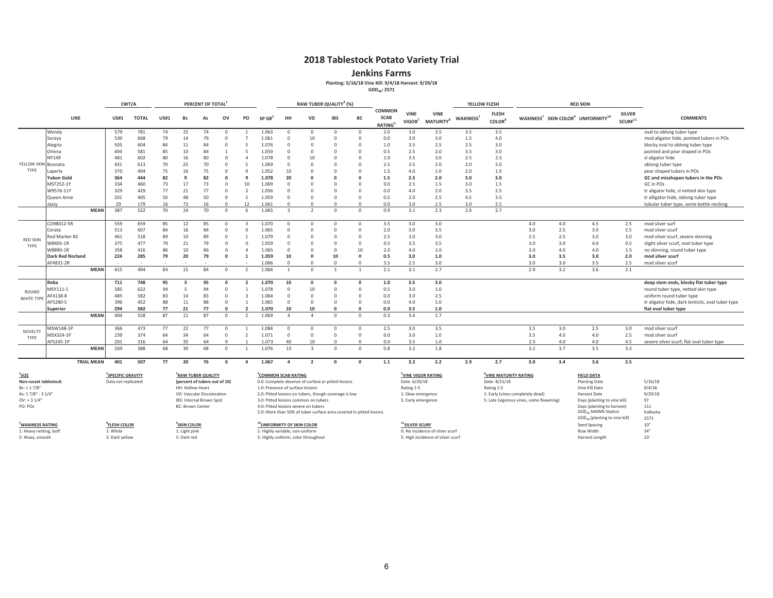**Jenkins Farms**

**Planting: 5/16/18 Vine Kill: 9/4/18 Harvest: 9/29/18**

**GDD40: 2571**

|                       |                         |                   |                               | CWT/A        |             |                                | PERCENT OF TOTAL |              |                |                                      |                |                | RAW TUBER QUALITY <sup>4</sup> (%)                                 |                |                                                     |                                   |                                             |                       | YELLOW FLESH                       |                                          |     | <b>RED SKIN</b>                                                        |                               |                                                   |
|-----------------------|-------------------------|-------------------|-------------------------------|--------------|-------------|--------------------------------|------------------|--------------|----------------|--------------------------------------|----------------|----------------|--------------------------------------------------------------------|----------------|-----------------------------------------------------|-----------------------------------|---------------------------------------------|-----------------------|------------------------------------|------------------------------------------|-----|------------------------------------------------------------------------|-------------------------------|---------------------------------------------------|
|                       | LINE                    |                   | US#1                          | <b>TOTAL</b> | <b>US#1</b> | <b>Bs</b>                      | As               | ov           | PO             | $SP$ GR <sup>2</sup>                 | HH             | <b>VD</b>      | <b>IBS</b>                                                         | <b>BC</b>      | <b>COMMON</b><br><b>SCAB</b><br>RATING <sup>5</sup> | <b>VINE</b><br>VIGOR <sup>7</sup> | <b>VINE</b><br><b>MATURITY</b> <sup>8</sup> | WAXINESS <sup>7</sup> | <b>FLESH</b><br>COLOR <sup>8</sup> |                                          |     | WAXINESS <sup>7</sup> SKIN COLOR <sup>9</sup> UNIFORMITY <sup>10</sup> | <b>SILVER</b><br>$SCURF^{11}$ | <b>COMMENTS</b>                                   |
|                       | Wendy                   |                   | 579                           | 781          | 74          | 25                             | 74               | $\Omega$     |                | 1.063                                | $\Omega$       | $^{\circ}$     | $\Omega$                                                           | $\Omega$       | 2.0                                                 | 3.0                               | 3.5                                         | 3.5                   | 3.5                                |                                          |     |                                                                        |                               | oval to oblong tuber type                         |
|                       | Soraya                  |                   | 530                           | 668          | 79          | 14                             | 79               | $\Omega$     |                | 1.061                                | $\Omega$       | 10             | $\Omega$                                                           | $\Omega$       | 0.0                                                 | 3.0                               | 3.0                                         | 1.5                   | 4.0                                |                                          |     |                                                                        |                               | mod aligator hide, pointed tubers in POs          |
|                       | Alegria                 |                   | 505                           | 604          | 84          | 11                             | 84               | $\Omega$     | 5              | 1.076                                | $\Omega$       | $\Omega$       | $\Omega$                                                           | $\Omega$       | 1.0                                                 | 3.5                               | 2.5                                         | 2.5                   | 3.0                                |                                          |     |                                                                        |                               | blocky oval to oblong tuber type                  |
|                       | Orlena                  |                   | 494                           | 581          | 85          | 10                             | 84               | $\mathbf{1}$ | $\overline{a}$ | 1.059                                | $\Omega$       | $\Omega$       | $\Omega$                                                           | $\Omega$       | 0.5                                                 | 2.5                               | 2.0                                         | 3.5                   | 3.0                                |                                          |     |                                                                        |                               | pointed and pear shaped in POs                    |
|                       | NY149                   |                   | 481                           | 602          | 80          | 16                             | 80               | $\Omega$     | Δ              | 1.078                                | $\Omega$       | 10             | $\mathbf 0$                                                        | $\Omega$       | 1.0                                                 | 3.5                               | 3.0                                         | 2.5                   | 2.5                                |                                          |     |                                                                        |                               | sl aligator hide                                  |
| YELLOW SKIN           | Bonnata                 |                   | 431                           | 613          | 70          | 25                             | 70               | $\Omega$     | $\overline{5}$ | 1.069                                | $\Omega$       | $\Omega$       | $\Omega$                                                           | $\Omega$       | 2.5                                                 | 3.5                               | 2.0                                         | 2.0                   | 2.0                                |                                          |     |                                                                        |                               | oblong tuber type                                 |
| TYPE                  | Laperla                 |                   | 370                           | 494          | 75          | 16                             | 75               | $\Omega$     | $\Omega$       | 1.052                                | 10             | $\Omega$       | $\Omega$                                                           | $\Omega$       | 1.5                                                 | 4.0                               | 1.0                                         | 2.0                   | 1.0                                |                                          |     |                                                                        |                               | pear shaped tubers in POs                         |
|                       | Yukon Gold              |                   | 364                           | 444          | 82          | $\mathbf{a}$                   | 82               | $\Omega$     | $\mathbf{q}$   | 1.078                                | 20             | $\Omega$       | $\Omega$                                                           | $\Omega$       | 1.5                                                 | 2.5                               | 2.0                                         | 3.0                   | 3.0                                |                                          |     |                                                                        |                               | GC and misshapen tubers in the POs                |
|                       | MST252-1Y               |                   | 334                           | 460          | 73          | 17                             | 73               | $\Omega$     | 10             | 1.069                                | $\Omega$       | $\Omega$       | $\Omega$                                                           | $\Omega$       | 0.0                                                 | 2.5                               | 1.5                                         | 3.0                   | 1.5                                |                                          |     |                                                                        |                               | GC in POs                                         |
|                       | W9576-11Y               |                   | 329                           | 429          | 77          | 21                             | 77               | $\Omega$     | $\overline{2}$ | 1.056                                | $\Omega$       | $\Omega$       | $\Omega$                                                           | $\Omega$       | 0.0                                                 | 4.0                               | 2.0                                         | 3.5                   | 2.5                                |                                          |     |                                                                        |                               | tr aligator hide, sl netted skin type             |
|                       | Queen Anne              |                   | 201                           | 405          | 50          | 48                             | 50               | $\Omega$     | $\overline{2}$ | 1.059                                | $\Omega$       | $\Omega$       | $\Omega$                                                           | $\Omega$       | 0.5                                                 | 2.0                               | 2.5                                         | 4.5                   | 3.5                                |                                          |     |                                                                        |                               | tr alligator hide, oblong tuber type              |
|                       | azzv                    |                   | 29                            | 179          | 16          | 72                             | 16               | $\Omega$     | 12             | 1.061                                | $\Omega$       | $\Omega$       | $\Omega$                                                           | $\Omega$       | 0.0                                                 | 3.0                               | 2.5                                         | 3.0                   | 2.5                                |                                          |     |                                                                        |                               | tubular tuber type, some bottle necking           |
|                       |                         | <b>MEAN</b>       | 387                           | 522          | 70          | 24                             | 70               | $\Omega$     | -6             | 1.065                                | $\overline{z}$ | $\overline{2}$ | $\Omega$                                                           | $\Omega$       | 0.9                                                 | 3.1                               | 2.3                                         | 2.9                   | 2.7                                |                                          |     |                                                                        |                               |                                                   |
|                       | CO98012-5R              |                   | 559                           | 659          | 85          | 12                             | 85               | $\Omega$     |                | 1.070                                | $\Omega$       | $^{\circ}$     | $\Omega$                                                           | $\Omega$       | 3.5                                                 | 3.0                               | 3.0                                         |                       |                                    | 4.0                                      | 4.0 | 4.5                                                                    | 2.5                           | mod sliver surf                                   |
|                       | Cerata                  |                   | 513                           | 607          | 84          | 16                             | 84               | $\Omega$     |                | 1.065                                | $\Omega$       | $\Omega$       | $\Omega$                                                           | $\Omega$       | 2.0                                                 | 3.0                               | 3.5                                         |                       |                                    | 3.0                                      | 2.5 | 3.0                                                                    | 2.5                           | mod silver scurf                                  |
|                       | led Marker #2           |                   | 461                           | 518          | 89          | 10                             | 89               | $\Omega$     |                | 1.079                                | $\Omega$       | $\Omega$       | $\Omega$                                                           | $\Omega$       | 2.5                                                 | 3.0                               | 3.0                                         |                       |                                    | 2.5                                      | 2.5 | 3.0                                                                    | 3.0                           | mod silver scurf, severe skinning                 |
| <b>RED SKIN</b>       | V8405-1R                |                   | 375                           | 477          | 79          | 21                             | 79               | $\Omega$     | $\Omega$       | 1.059                                | $\Omega$       | $\Omega$       | $\Omega$                                                           | $\Omega$       | 0.5                                                 | 3.5                               | 3.5                                         |                       |                                    | 3.0                                      | 3.0 | 4.0                                                                    | 0.5                           | slight silver scurf, oval tuber type              |
| TYPE                  | W8890-1R                |                   | 358                           | 416          | 86          | 10                             | 86               | $\Omega$     | $\Delta$       | 1.065                                | $\Omega$       | $\Omega$       | $\Omega$                                                           | 10             | 2.0                                                 | 4.0                               | 2.0                                         |                       |                                    | 2.0                                      | 4.0 | 4.0                                                                    | 1.5                           | no skinning, round tuber type                     |
|                       | <b>Dark Red Norland</b> |                   | 224                           | 285          | 79          | 20                             | 79               | $\Omega$     |                | 1.059                                | 10             | $\Omega$       | 10                                                                 | $\Omega$       | 0.5                                                 | 3.0                               | 1.0                                         |                       |                                    | 3.0                                      | 3.5 | 3.0                                                                    | 2.0                           | mod silver scurf                                  |
|                       | AF4831-2R               |                   |                               |              |             |                                |                  |              |                | 1.066                                | $\Omega$       | $\Omega$       | $\overline{0}$                                                     | $\Omega$       | 3.5                                                 | 2.5                               | 3.0                                         |                       |                                    | 3.0                                      | 3.0 | 3.5                                                                    | 2.5                           | mod silver scurf                                  |
|                       |                         | <b>MEAN</b>       | 415                           | 494          | 84          | 15                             | 84               | $\Omega$     | $\overline{2}$ | 1.066                                |                | $\Omega$       |                                                                    | $\mathbf{1}$   | 2.1                                                 | 3.1                               | 2.7                                         |                       |                                    | 2.9                                      | 3.2 | 3.6                                                                    | 2.1                           |                                                   |
|                       | Reba                    |                   | 711                           | 748          | 95          |                                | 95               | $\Omega$     |                | 1.070                                | 10             | $\mathbf 0$    | $\Omega$                                                           | $\Omega$       | 1.0                                                 | 3.5                               | 3.0                                         |                       |                                    |                                          |     |                                                                        |                               | deep stem ends, blocky flat tuber type            |
|                       | ASY111-1                |                   | 585                           | 622          | 94          |                                | 94               | $\Omega$     |                | 1.078                                | $\Omega$       | 10             | $\Omega$                                                           | $\Omega$       | 0.5                                                 | 3.0                               | 1.0                                         |                       |                                    |                                          |     |                                                                        |                               | round tuber type, netted skin type                |
| ROUND                 | F4138-8                 |                   | 485                           | 582          | 83          | 14                             | 83               | $\Omega$     | $\mathbf{R}$   | 1.064                                | $\Omega$       | $\Omega$       | $\Omega$                                                           | $\Omega$       | 0.0                                                 | 3.0                               | 2.5                                         |                       |                                    |                                          |     |                                                                        |                               | uniform round tuber type                          |
| WHITE TYPE            | AF5280-5                |                   | 396                           | 452          | 88          | 11                             | 88               | $\circ$      |                | 1.065                                | $\Omega$       | $\Omega$       | $\Omega$                                                           | $\Omega$       | 0.0                                                 | 4.0                               | 1.0                                         |                       |                                    |                                          |     |                                                                        |                               | tr aligator hide, dark lenticils, oval tuber type |
|                       | Superior                |                   | 294                           | 382          | 77          | 21                             | 77               | $\Omega$     |                | 1.070                                | 10             | 10             | $\Omega$                                                           | $\Omega$       | 0.0                                                 | 3.5                               | 1.0                                         |                       |                                    |                                          |     |                                                                        |                               | flat oval tuber type                              |
|                       |                         | <b>MEAN</b>       | 494                           | 558          | 87          | 11                             | 87               | $\circ$      | $\overline{2}$ | 1.069                                | $\Delta$       | $\Delta$       | $\overline{0}$                                                     | $\overline{0}$ | 0.3                                                 | 3.4                               | 1.7                                         |                       |                                    |                                          |     |                                                                        |                               |                                                   |
|                       | /ISW148-1P              |                   | 366                           | 473          | 77          | 22                             | 77               | $\Omega$     |                | 1.084                                | $\Omega$       | $^{\circ}$     | $\Omega$                                                           | $\Omega$       | 2.5                                                 | 3.0                               | 3.5                                         |                       |                                    | 3.5                                      | 3.0 | 2.5                                                                    | 3.0                           | mod silver scurf                                  |
| NOVELTY               | ASX324-1P               |                   | 239                           | 374          | 64          | 34                             | 64               | $\Omega$     | $\overline{2}$ | 1.071                                | $\Omega$       | $\Omega$       | $\Omega$                                                           | $\Omega$       | 0.0                                                 | 3.0                               | 1.0                                         |                       |                                    | 3.5                                      | 4.0 | 4.0                                                                    | 2.5                           | mod silver scurf                                  |
| TYPE                  | AF5245-1P               |                   | 201                           | 316          | 64          | 35                             | 64               | $\Omega$     | $\overline{1}$ | 1.073                                | 40             | 10             | $\Omega$                                                           | $\Omega$       | 0.0                                                 | 3.5                               | 1.0                                         |                       |                                    | 2.5                                      | 4.0 | 4.0                                                                    | 4.5                           | severe silver scurf, flat oval tuber type         |
|                       |                         | <b>MEAN</b>       | 269                           | 388          | 68          | 30                             | 68               | $\Omega$     |                | 1.076                                | 13             | $\overline{z}$ | $\Omega$                                                           | $\Omega$       | 0.8                                                 | 3.2                               | 1.8                                         |                       |                                    | 3.2                                      | 3.7 | 3.5                                                                    | 3.3                           |                                                   |
|                       |                         | <b>TRIAL MEAN</b> | 401                           | 507          | 77          | 20                             | 76               | $\Omega$     | $\Lambda$      | 1.067                                | $\overline{a}$ | $\overline{2}$ | $\Omega$                                                           | $\Omega$       | 1.1                                                 | 3.2                               | 2.2                                         | 2.9                   | 2.7                                | 3.0                                      | 3.4 | 3.6                                                                    | 2.5                           |                                                   |
| $^{1}$ SIZE           |                         |                   | <sup>2</sup> SPECIFIC GRAVITY |              |             | <sup>3</sup> RAW TUBER QUALITY |                  |              |                | <sup>4</sup> COMMON SCAB RATING      |                |                |                                                                    |                |                                                     |                                   | <sup>5</sup> VINE VIGOR RATING              |                       | <sup>6</sup> VINE MATURITY RATING  |                                          |     | <b>FIELD DATA</b>                                                      |                               |                                                   |
| Non-russet tablestock |                         |                   | Data not replicated           |              |             | (percent of tubers out of 10)  |                  |              |                |                                      |                |                | 0.0: Complete absence of surface or pitted lesions                 |                |                                                     | Date: 6/20/18                     |                                             |                       | Date: 8/21/18                      |                                          |     | <b>Planting Date</b>                                                   |                               | 5/16/18                                           |
| Bs: < 1.7/8"          |                         |                   |                               |              |             | HH: Hollow Heart               |                  |              |                | 1.0: Presence of surface lesions     |                |                |                                                                    |                |                                                     | Rating 1-5                        |                                             |                       | Rating 1-5                         |                                          |     | Vine Kill Date                                                         |                               | 9/4/18                                            |
| As: 17/8" - 3 1/4"    |                         |                   |                               |              |             | VD: Vascular Discoloration     |                  |              |                |                                      |                |                | 2.0: Pitted lesions on tubers, though coverage is low              |                |                                                     | 1: Slow emergence                 |                                             |                       |                                    | 1: Early (vines completely dead)         |     | <b>Harvest Date</b>                                                    |                               | 9/29/18                                           |
| $OV:$ > 3 $1/4"$      |                         |                   |                               |              |             | IBS: Internal Brown Spot       |                  |              |                | 3.0: Pitted lesions common on tubers |                |                |                                                                    |                |                                                     | 5: Early emergence                |                                             |                       |                                    | 5: Late (vigorous vines, some flowering) |     | Days (planting to vine kill)                                           |                               | 97                                                |
| PO: POs               |                         |                   |                               |              |             | <b>BC: Brown Center</b>        |                  |              |                | 4.0: Pitted lesions severe on tubers |                |                |                                                                    |                |                                                     |                                   |                                             |                       |                                    |                                          |     | Days (planting to harvest)<br>GDD <sub>40</sub> MAWN Station           |                               | 111<br>Kalkaska                                   |
|                       |                         |                   |                               |              |             |                                |                  |              |                |                                      |                |                | 5.0: More than 50% of tuber surface area covered in pitted lesions |                |                                                     |                                   |                                             |                       |                                    |                                          |     | $GDD40$ (planting to vine kill)                                        |                               | 2571                                              |
|                       |                         |                   |                               |              |             |                                |                  |              |                |                                      |                |                |                                                                    |                |                                                     |                                   |                                             |                       |                                    |                                          |     |                                                                        |                               |                                                   |

*T***WAXINESS RATING**<br>1: Heavy netting, buff

5: Dark yellow

**8FLESH COLOR**

"WAXINESS RATING NOT "SESS AREA AND THE SECURE "SAN MANUS AREA " "WIND-ROWITY OF SKIN COLOR " "SILVER SCURE" "<br>1: Heavy netting, buff the security of the security of the security and the security of the security of the se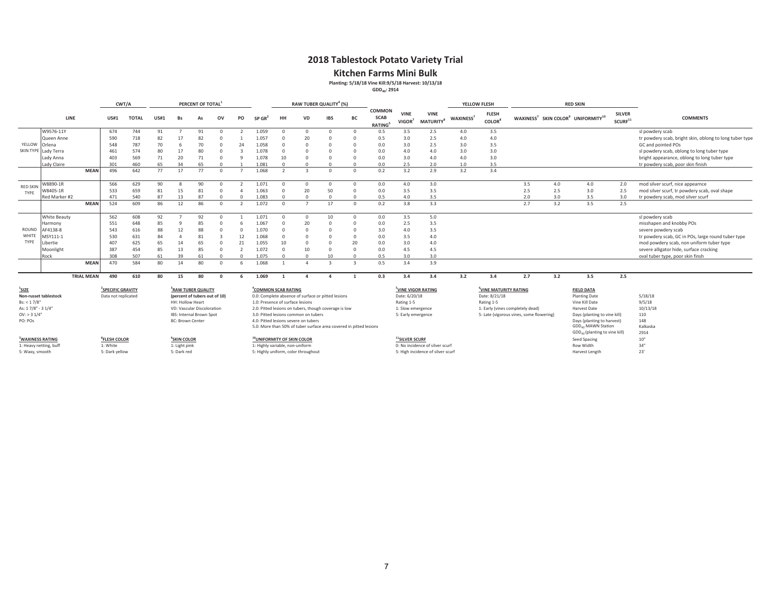### **Kitchen Farms Mini Bulk**

**Planting: 5/18/18 Vine Kill:9/5/18 Harvest: 10/13/18**

**GDD40: 2914**

|                              |                        |                   |                                                      | CWT/A        |             |                         | PERCENT OF TOTAL                                                |        |          |                                                                                       |                | RAW TUBER QUALITY <sup>4</sup> (%)   |            |                |                                               |                                   |                                             |                       | YELLOW FLESH                          |                                          |     | <b>RED SKIN</b>                                                        |                                      |                                                         |
|------------------------------|------------------------|-------------------|------------------------------------------------------|--------------|-------------|-------------------------|-----------------------------------------------------------------|--------|----------|---------------------------------------------------------------------------------------|----------------|--------------------------------------|------------|----------------|-----------------------------------------------|-----------------------------------|---------------------------------------------|-----------------------|---------------------------------------|------------------------------------------|-----|------------------------------------------------------------------------|--------------------------------------|---------------------------------------------------------|
|                              | LINE                   |                   | <b>US#1</b>                                          | <b>TOTAL</b> | <b>US#1</b> | Bs                      | As                                                              | ov     | PO       | $SP$ GR <sup>2</sup>                                                                  | HH             | <b>VD</b>                            | <b>IBS</b> | BC             | <b>COMMON</b><br><b>SCAB</b><br><b>RATING</b> | <b>VINE</b><br>VIGOR <sup>7</sup> | <b>VINE</b><br><b>MATURITY</b> <sup>8</sup> | WAXINESS <sup>7</sup> | <b>FLESH</b><br>COLOR <sup>8</sup>    |                                          |     | WAXINESS <sup>7</sup> SKIN COLOR <sup>9</sup> UNIFORMITY <sup>10</sup> | <b>SILVER</b><br>SCURE <sup>11</sup> | <b>COMMENTS</b>                                         |
|                              | W9576-11Y              |                   | 674                                                  | 744          | 91          |                         | 91                                                              |        |          | 1.059                                                                                 | $\Omega$       | $\Omega$                             | $\Omega$   | $\Omega$       | 0.5                                           | 3.5                               | 2.5                                         | 4.0                   | 3.5                                   |                                          |     |                                                                        |                                      | sl powdery scab                                         |
|                              | Queen Anne             |                   | 590                                                  | 718          | 82          | 17                      | 82                                                              |        |          | 1.057                                                                                 | $\Omega$       | 20                                   |            | $\Omega$       | 0.5                                           | 3.0                               | 2.5                                         | 4.0                   | 4.0                                   |                                          |     |                                                                        |                                      | tr powdery scab, bright skin, oblong to long tuber type |
| YELLOW                       | Orlena                 |                   | 548                                                  | 787          | 70          | 6                       | 70                                                              |        | 24       | 1.058                                                                                 | $\Omega$       | $\Omega$                             |            |                | 0.0                                           | 3.0                               | 2.5                                         | 3.0                   | 3.5                                   |                                          |     |                                                                        |                                      | GC and pointed POs                                      |
| <b>SKIN TYPE</b>             | Lady Terra             |                   | 461                                                  | 574          | 80          | 17                      | 80                                                              |        |          | 1.078                                                                                 | $\Omega$       | $\Omega$                             |            | $\Omega$       | 0.0                                           | 4.0                               | 4.0                                         | 3.0                   | 3.0                                   |                                          |     |                                                                        |                                      | sl powdery scab, oblong to long tuber type              |
|                              | Lady Anna              |                   | 403                                                  | 569          | 71          | 20                      | 71                                                              |        |          | 1.078                                                                                 | 10             | $\Omega$                             | n          | n              | 0.0                                           | 3.0                               | 4.0                                         | 4.0                   | 3.0                                   |                                          |     |                                                                        |                                      | bright appearance, oblong to long tuber type            |
|                              | Lady Claire            |                   | 301                                                  | 460          | 65          | 34                      | 65                                                              |        |          | 1.081                                                                                 | $\Omega$       | $\Omega$                             |            | $\Omega$       | 0.0                                           | 2.5                               | 2.0                                         | 1.0                   | 3.5                                   |                                          |     |                                                                        |                                      | tr powdery scab, poor skin finish                       |
|                              |                        | <b>MEAN</b>       | 496                                                  | 642          | 77          | 17                      | 77                                                              |        |          | 1.068                                                                                 | $\overline{2}$ | $\mathbf{R}$                         | $\Omega$   | $\Omega$       | 0.2                                           | 3.2                               | 2.9                                         | 3.2                   | 3.4                                   |                                          |     |                                                                        |                                      |                                                         |
| <b>RED SKIN</b>              | W8890-1R               |                   | 566                                                  | 629          | 90          | 8                       | 90                                                              |        |          | 1.071                                                                                 | $\Omega$       | $^{\circ}$                           | $\Omega$   | $^{\circ}$     | 0.0                                           | 4.0                               | 3.0                                         |                       |                                       | 3.5                                      | 4.0 | 4.0                                                                    | 2.0                                  | mod silver scurf, nice appearnce                        |
| TYPE                         | W8405-1R               |                   | 533                                                  | 659          | 81          | 15                      | 81                                                              |        |          | 1.063                                                                                 | $\Omega$       | 20                                   | 50         | $\Omega$       | 0.0                                           | 3.5                               | 3.5                                         |                       |                                       | 2.5                                      | 2.5 | 3.0                                                                    | 2.5                                  | mod silver scurf, tr powdery scab, oval shape           |
|                              | Red Marker #2          |                   | 471                                                  | 540          | 87          | 13                      | 87                                                              |        | $\Omega$ | 1.083                                                                                 | $\Omega$       | $\Omega$                             | $\Omega$   | $\Omega$       | 0.5                                           | 4.0                               | 3.5                                         |                       |                                       | 2.0                                      | 3.0 | 3.5                                                                    | 3.0                                  | tr powdery scab, mod silver scurf                       |
|                              |                        | <b>MEAN</b>       | 524                                                  | 609          | 86          | 12                      | 86                                                              |        |          | 1.072                                                                                 | $\Omega$       |                                      | 17         | $\Omega$       | 0.2                                           | 3.8                               | 3.3                                         |                       |                                       | 2.7                                      | 3.2 | 3.5                                                                    | 2.5                                  |                                                         |
|                              | White Beauty           |                   | 562                                                  | 608          | 92          |                         | 92                                                              |        |          | 1.071                                                                                 | $\Omega$       | $^{\circ}$                           | 10         | $\overline{0}$ | 0.0                                           | 3.5                               | 5.0                                         |                       |                                       |                                          |     |                                                                        |                                      | sl powdery scab                                         |
|                              | Harmony                |                   | 551                                                  | 648          | 85          | Q                       | 85                                                              |        |          | 1.067                                                                                 | $\Omega$       | 20                                   |            | $\Omega$       | 0.0                                           | 2.5                               | 3.5                                         |                       |                                       |                                          |     |                                                                        |                                      | misshapen and knobby POs                                |
| ROUND                        | AF4138-8               |                   | 543                                                  | 616          | 88          | 12                      | 88                                                              |        |          | 1.070                                                                                 | $\Omega$       | $\Omega$                             |            | $\Omega$       | 3.0                                           | 4.0                               | 3.5                                         |                       |                                       |                                          |     |                                                                        |                                      | severe powdery scab                                     |
| WHITE                        | MSY111-1               |                   | 530                                                  | 631          | 84          | $\Delta$                | 81                                                              |        | 12       | 1.068                                                                                 | $\Omega$       | $\Omega$                             |            | $\Omega$       | 0.0                                           | 3.5                               | 4.0                                         |                       |                                       |                                          |     |                                                                        |                                      | tr powdery scab, GC in POs, large round tuber type      |
| TYPE                         | Libertie               |                   | 407                                                  | 625          | 65          | 14                      | 65                                                              |        | 21       | 1.055                                                                                 | 10             | $\Omega$                             |            | 20             | 0.0                                           | 3.0                               | 4.0                                         |                       |                                       |                                          |     |                                                                        |                                      | mod powdery scab, non uniform tuber type                |
|                              | Moonlight              |                   | 387                                                  | 454          | 85          | 13                      | 85                                                              |        |          | 1.072                                                                                 | $\Omega$       | 10                                   |            | $\Omega$       | 0.0                                           | 4.5                               | 4.5                                         |                       |                                       |                                          |     |                                                                        |                                      | severe alligator hide, surface cracking                 |
|                              | Rock                   |                   | 308                                                  | 507          | 61          | 39                      | 61                                                              |        |          | 1.075                                                                                 | $\cap$         | $\Omega$                             | 10         |                | 0.5                                           | 3.0                               | 3.0                                         |                       |                                       |                                          |     |                                                                        |                                      | oval tuber type, poor skin finsh                        |
|                              |                        | <b>MEAN</b>       | 470                                                  | 584          | 80          | 14                      | 80                                                              | $\cap$ | 6        | 1.068                                                                                 |                | $\Delta$                             |            | $\overline{z}$ | 0.5                                           | 3.4                               | 3.9                                         |                       |                                       |                                          |     |                                                                        |                                      |                                                         |
|                              |                        | <b>TRIAL MEAN</b> | 490                                                  | 610          | 80          | 15                      | 80                                                              |        |          | 1.069                                                                                 |                |                                      |            |                | 0.3                                           | 3.4                               | 3.4                                         | 3.2                   | 3.4                                   | 2.7                                      | 3.2 | 3.5                                                                    | 2.5                                  |                                                         |
| $^{1}$ SIZE                  | Non-russet tablestock  |                   | <sup>2</sup> SPECIFIC GRAVITY<br>Data not replicated |              |             |                         | <sup>3</sup> RAW TUBER QUALITY<br>(percent of tubers out of 10) |        |          | <sup>4</sup> COMMON SCAB RATING<br>0.0: Complete absence of surface or pitted lesions |                |                                      |            |                |                                               | Date: 6/20/18                     | <sup>5</sup> VINE VIGOR RATING              |                       | UINE MATURITY RATING<br>Date: 8/21/18 |                                          |     | <b>FIELD DATA</b><br><b>Planting Date</b>                              |                                      | 5/18/18                                                 |
| Bs: < 1.7/8"                 |                        |                   |                                                      |              |             | HH: Hollow Heart        |                                                                 |        |          | 1.0: Presence of surface lesions                                                      |                |                                      |            |                |                                               | Rating 1-5                        |                                             |                       | Rating 1-5                            |                                          |     | Vine Kill Date                                                         |                                      | 9/5/18                                                  |
| As: 17/8" - 31/4"            |                        |                   |                                                      |              |             |                         | VD: Vascular Discoloration                                      |        |          | 2.0: Pitted lesions on tubers, though coverage is low                                 |                |                                      |            |                |                                               | 1: Slow emergence                 |                                             |                       |                                       | 1: Early (vines completely dead)         |     | Harvest Date                                                           |                                      | 10/13/18                                                |
| $OV:$ > 3 $1/4"$             |                        |                   |                                                      |              |             |                         | IBS: Internal Brown Spot                                        |        |          |                                                                                       |                | 3.0: Pitted lesions common on tubers |            |                |                                               | 5: Early emergence                |                                             |                       |                                       | 5: Late (vigorous vines, some flowering) |     | Days (planting to vine kill)                                           |                                      | 110                                                     |
| PO: POs                      |                        |                   |                                                      |              |             | <b>BC: Brown Center</b> |                                                                 |        |          |                                                                                       |                | 4.0: Pitted lesions severe on tubers |            |                |                                               |                                   |                                             |                       |                                       |                                          |     | Days (planting to harvest)                                             |                                      | 148                                                     |
|                              |                        |                   |                                                      |              |             |                         |                                                                 |        |          | 5.0: More than 50% of tuber surface area covered in pitted lesions                    |                |                                      |            |                |                                               |                                   |                                             |                       |                                       |                                          |     | GDD <sub>40</sub> MAWN Station                                         |                                      | Kalkaska                                                |
|                              |                        |                   |                                                      |              |             |                         |                                                                 |        |          |                                                                                       |                |                                      |            |                |                                               |                                   |                                             |                       |                                       |                                          |     | GDD <sub>40</sub> (planting to vine kill)                              |                                      | 2914                                                    |
| <sup>7</sup> WAXINESS RATING |                        |                   | <sup>8</sup> FLESH COLOR                             |              |             | <sup>9</sup> SKIN COLOR |                                                                 |        |          | <sup>10</sup> UNIFORMITY OF SKIN COLOR                                                |                |                                      |            |                |                                               | <sup>11</sup> SILVER SCURF        |                                             |                       |                                       |                                          |     | Seed Spacing                                                           |                                      | 10"                                                     |
|                              | 1: Heavy netting, buff |                   | 1: White                                             |              |             | 1: Light pink           |                                                                 |        |          | 1: Highly variable, non-uniform                                                       |                |                                      |            |                |                                               |                                   | 0: No incidence of silver scurf             |                       |                                       |                                          |     | Row Width                                                              |                                      | 34"<br>23'                                              |
| 5: Waxy, smooth              |                        |                   | 5: Dark yellow                                       |              |             | 5: Dark red             |                                                                 |        |          | 5: Highly uniform, color throughout                                                   |                |                                      |            |                |                                               |                                   | 5: High incidence of silver scurf           |                       |                                       |                                          |     | Harvest Length                                                         |                                      |                                                         |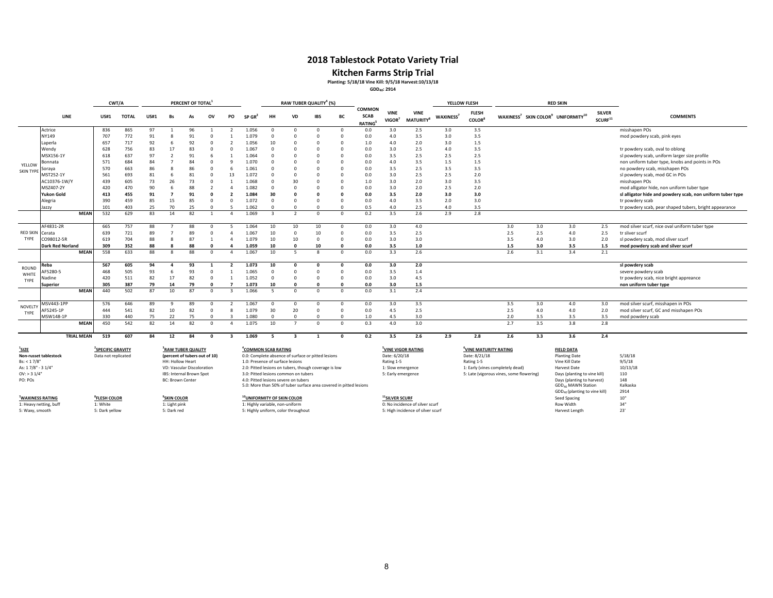### **Kitchen Farms Strip Trial**

**Planting: 5/18/18 Vine Kill: 9/5/18 Harvest:10/13/18**

**GDD40: 2914**

|                    |                         |                   | CWT/A                         |              |             |                         | PERCENT OF TOTAL               |                      |                |                                 |                                  |                                      | RAW TUBER QUALITY <sup>4</sup> (%)                                 |             |                                        |                                   |                                             |                       | YELLOW FLESH                              |                                                              |                                                                          | <b>RED SKIN</b>                                                        |                                      |                                                            |
|--------------------|-------------------------|-------------------|-------------------------------|--------------|-------------|-------------------------|--------------------------------|----------------------|----------------|---------------------------------|----------------------------------|--------------------------------------|--------------------------------------------------------------------|-------------|----------------------------------------|-----------------------------------|---------------------------------------------|-----------------------|-------------------------------------------|--------------------------------------------------------------|--------------------------------------------------------------------------|------------------------------------------------------------------------|--------------------------------------|------------------------------------------------------------|
|                    | <b>LINE</b>             |                   | <b>US#1</b>                   | <b>TOTAL</b> | <b>US#1</b> | Bs                      | As                             | ov                   | PO             | SP GR'                          | HH                               | <b>VD</b>                            | <b>IBS</b>                                                         | BC          | COMMON<br><b>SCAB</b><br><b>RATING</b> | <b>VINE</b><br>VIGOR <sup>7</sup> | <b>VINE</b><br><b>MATURITY</b> <sup>8</sup> | WAXINESS <sup>7</sup> | <b>FLESH</b><br><b>COLOR</b> <sup>8</sup> |                                                              |                                                                          | WAXINESS <sup>7</sup> SKIN COLOR <sup>9</sup> UNIFORMITY <sup>10</sup> | <b>SILVER</b><br>SCURF <sup>11</sup> | <b>COMMENTS</b>                                            |
|                    | Actrice                 |                   | 836                           | 865          | 97          |                         | 96                             |                      |                | 1.056                           | $\Omega$                         | $\Omega$                             |                                                                    | $\Omega$    | 0.0                                    | 3.0                               | 2.5                                         | 3.0                   | 3.5                                       |                                                              |                                                                          |                                                                        |                                      | misshapen POs                                              |
|                    | NY149                   |                   | 707                           | 772          | 91          |                         | 91                             | $\Omega$             |                | 1.079                           | $\Omega$                         | $\Omega$                             |                                                                    | $\Omega$    | 0.0                                    | 4.0                               | 3.5                                         | 3.0                   | 3.5                                       |                                                              |                                                                          |                                                                        |                                      | mod powdery scab, pink eyes                                |
|                    | Laperla                 |                   | 657                           | 717          | 92          |                         | 92                             | n                    |                | 1.056                           | 10                               | $\Omega$                             |                                                                    | $\Omega$    | 1.0                                    | 4.0                               | 2.0                                         | 3.0                   | 1.5                                       |                                                              |                                                                          |                                                                        |                                      |                                                            |
|                    | Wendy                   |                   | 628                           | 756          | 83          | 17                      | 83                             |                      | $\Omega$       | 1.067                           | $\Omega$                         | $\Omega$                             |                                                                    | $\Omega$    | 0.0                                    | 3.0                               | 2.5                                         | 4.0                   | 3.5                                       |                                                              |                                                                          |                                                                        |                                      | tr powdery scab, oval to oblong                            |
|                    | MSX156-1Y               |                   | 618                           | 637          | 97          | $\overline{2}$          | 91                             | 6                    |                | 1.064                           | $\Omega$                         | $\Omega$                             |                                                                    | $\Omega$    | 0.0                                    | 3.5                               | 2.5                                         | 2.5                   | 2.5                                       |                                                              |                                                                          |                                                                        |                                      | sl powdery scab, uniform larger size profile               |
| YELLOW             | Bonnata                 |                   | 571                           | 684          | 84          |                         | 84                             | $\Omega$             | 9              | 1.070                           | $\Omega$                         | $\Omega$                             |                                                                    | $\Omega$    | 0.0                                    | 4.0                               | 3.5                                         | 1.5                   | 1.5                                       |                                                              |                                                                          |                                                                        |                                      | non uniform tuber type, knobs and points in POs            |
| <b>SKIN TYPE</b>   | Soraya                  |                   | 570                           | 663          | 86          | 8                       | 86                             | $\Omega$             | 6              | 1.061                           |                                  | $\Omega$                             |                                                                    | $\Omega$    | 0.0                                    | 3.5                               | 2.5                                         | 3.5                   | 3.5                                       |                                                              |                                                                          |                                                                        |                                      | no powdery scab, misshapen POs                             |
|                    | MST252-1Y               |                   | 561                           | 693          | 81          | 6                       | 81                             | $\Omega$             | 13             | 1.072                           | $\Omega$                         | $\Omega$                             |                                                                    | $\Omega$    | 0.0                                    | 3.0                               | 2.5                                         | 2.5                   | 2.0                                       |                                                              |                                                                          |                                                                        |                                      | sl powdery scab, mod GC in POs                             |
|                    | AC10376-1W/Y            |                   | 439                           | 605          | 73          | 26                      | 73                             | n                    |                | 1.068                           | $\Omega$                         | 30                                   |                                                                    | $\Omega$    | 1.0                                    | 3.0                               | 2.0                                         | 3.0                   | 3.5                                       |                                                              |                                                                          |                                                                        |                                      | misshapen POs                                              |
|                    | MSZ407-2Y               |                   | 420                           | 470          | 90          | 6                       | 88                             |                      | $\Delta$       | 1.082                           | $\Omega$                         | $\Omega$                             |                                                                    | $\Omega$    | 0.0                                    | 3.0                               | 2.0                                         | 2.5                   | 2.0                                       |                                                              |                                                                          |                                                                        |                                      | mod alligator hide, non uniform tuber type                 |
|                    | <b>Yukon Gold</b>       |                   | 413                           | 455          | 91          | $\overline{7}$          | 91                             | n                    | $\overline{2}$ | 1.084                           | 30                               | $\Omega$                             |                                                                    |             | 0.0                                    | 3.5                               | 2.0                                         | 3.0                   | 3.0                                       |                                                              |                                                                          |                                                                        |                                      | sl alligator hide and powdery scab, non uniform tuber type |
|                    | Alegria                 |                   | 390                           | 459          | 85          | 15                      | 85                             | $\Omega$<br>$\Omega$ | $\Omega$<br>5  | 1.072                           | $\Omega$<br>$\Omega$             | $\Omega$                             |                                                                    | $\Omega$    | 0.0                                    | 4.0                               | 3.5                                         | 2.0                   | 3.0                                       |                                                              |                                                                          |                                                                        |                                      | tr powdery scab                                            |
|                    | Jazzy                   |                   | 101                           | 403          | 25          | 70                      | 25                             |                      |                | 1.062                           |                                  | $\Omega$                             |                                                                    | $\Omega$    | 0.5                                    | 4.0                               | 2.5                                         | 4.0                   | 3.5                                       |                                                              |                                                                          |                                                                        |                                      | tr powdery scab, pear shaped tubers, bright appearance     |
|                    |                         | <b>MEAN</b>       | 532                           | 629          | 83          | 14                      | 82                             | $\overline{1}$       | $\overline{4}$ | 1.069                           | $\mathbf{3}$                     | $\overline{\phantom{a}}$             | $\Omega$                                                           | $\Omega$    | 0.2                                    | 3.5                               | 2.6                                         | 2.9                   | 2.8                                       |                                                              |                                                                          |                                                                        |                                      |                                                            |
|                    | AF4831-2R               |                   | 665                           | 757          | 88          |                         | 88                             | $\Omega$             | 5              | 1.064                           | 10                               | 10                                   | 10                                                                 | $^{\circ}$  | 0.0                                    | 3.0                               | 4.0                                         |                       |                                           | 3.0                                                          | 3.0                                                                      | 3.0                                                                    | 2.5                                  | mod silver scurf, nice oval uniform tuber type             |
| <b>RED SKIN</b>    | Cerata                  |                   | 639                           | 721          | 89          | $\overline{7}$          | 89                             | $\Omega$             | $\overline{4}$ | 1.067                           | 10                               | $\Omega$                             | 10                                                                 | $\Omega$    | 0.0                                    | 3.5                               | 2.5                                         |                       |                                           | 2.5                                                          | 2.5                                                                      | 4.0                                                                    | 2.5                                  | tr sliver scurf                                            |
| TYPE               | CO98012-5R              |                   | 619                           | 704          | 88          |                         | 87                             |                      | $\Delta$       | 1.079                           | 10                               | 10                                   |                                                                    | $\Omega$    | 0.0                                    | 3.0                               | 3.0                                         |                       |                                           | 3.5                                                          | 4.0                                                                      | 3.0                                                                    | 2.0                                  | sl powdery scab, mod sliver scurf                          |
|                    | <b>Dark Red Norland</b> |                   | 309                           | 352          | 88          |                         | 88                             | n                    | $\overline{a}$ | 1.059                           | 10                               | $\Omega$                             | 10                                                                 | $\Omega$    | 0.0                                    | 3.5                               | 1.0                                         |                       |                                           | 1.5                                                          | 3.0                                                                      | 3.5                                                                    | 1.5                                  | mod powdery scab and silver scurf                          |
|                    |                         | <b>MEAN</b>       | 558                           | 633          | 88          | $\mathbf{8}$            | 88                             | $\Omega$             | $\overline{4}$ | 1.067                           | 10                               | 5                                    |                                                                    | $\Omega$    | 0.0                                    | 3.3                               | 2.6                                         |                       |                                           | 2.6                                                          | 3.1                                                                      | 3.4                                                                    | 2.1                                  |                                                            |
| ROUND              | Reba                    |                   | 567                           | 605          | 94          |                         | 93                             | -1                   | $\overline{2}$ | 1.073                           | 10                               | $\Omega$                             | - 0                                                                | $\Omega$    | 0.0                                    | 3.0                               | 2.0                                         |                       |                                           |                                                              |                                                                          |                                                                        |                                      | sl powdery scab                                            |
| WHITE              | AF5280-5                |                   | 468                           | 505          | 93          | 6                       | 93                             | $\Omega$             | $\mathbf{1}$   | 1.065                           | $\Omega$                         | $\Omega$                             |                                                                    | $\Omega$    | 0.0                                    | 3.5                               | 1.4                                         |                       |                                           |                                                              |                                                                          |                                                                        |                                      | severe powdery scab                                        |
| TYPE               | Vadine                  |                   | 420                           | 511          | 82          | 17                      | 82                             | $\Omega$             | $\mathbf{1}$   | 1.052                           | $\Omega$                         | $\Omega$                             |                                                                    | $\Omega$    | 0.0                                    | 3.0                               | 4.5                                         |                       |                                           |                                                              |                                                                          |                                                                        |                                      | tr powdery scab, nice bright appreance                     |
|                    | <b>Superior</b>         |                   | 305                           | 387          | 79          | 14                      | 79                             |                      |                | 1.073                           | 10                               | $\Omega$                             |                                                                    | $\Omega$    | 0.0                                    | 3.0                               | 1.5                                         |                       |                                           |                                                              |                                                                          |                                                                        |                                      | non uniform tuber type                                     |
|                    |                         | <b>MEAN</b>       | 440                           | 502          | 87          | 10                      | 87                             | $\Omega$             | $\overline{3}$ | 1.066                           | 5                                | $\Omega$                             |                                                                    | $\Omega$    | 0.0                                    | 3.1                               | 2.4                                         |                       |                                           |                                                              |                                                                          |                                                                        |                                      |                                                            |
| NOVELTY            | MSV443-1PP              |                   | 576                           | 646          | 89          | $\mathbf{Q}$            | 89                             | $\Omega$             |                | 1.067                           | $\Omega$                         | $\Omega$                             | $\Omega$                                                           | $^{\circ}$  | 0.0                                    | 3.0                               | 3.5                                         |                       |                                           | 3.5                                                          | 3.0                                                                      | 4.0                                                                    | 3.0                                  | mod silver scurf, misshapen in POs                         |
| TYPE               | AF5245-1P               |                   | 444                           | 541          | 82          | 10                      | 82                             | $\Omega$             | 8              | 1.079                           | 30                               | 20                                   |                                                                    | $\mathbf 0$ | 0.0                                    | 4.5                               | 2.5                                         |                       |                                           | 2.5                                                          | 4.0                                                                      | 4.0                                                                    | 2.0                                  | mod silver scurf, GC and misshapen POs                     |
|                    | MSW148-1P               |                   | 330                           | 440          | 75          | 22                      | 75                             | $\Omega$             | ্ব             | 1.080                           | $\Omega$                         | $\Omega$                             |                                                                    | $\Omega$    | 1.0                                    | 4.5                               | 3.0                                         |                       |                                           | 2.0                                                          | 3.5                                                                      | 3.5                                                                    | 3.5                                  | mod powdery scab                                           |
|                    |                         | <b>MEAN</b>       | 450                           | 542          | 82          | 14                      | 82                             | $\Omega$             | $\overline{4}$ | 1.075                           | 10                               | $\overline{z}$                       | $\Omega$                                                           | $\Omega$    | 0.3                                    | 4.0                               | 3.0                                         |                       |                                           | 2.7                                                          | 3.5                                                                      | 3.8                                                                    | 2.8                                  |                                                            |
|                    |                         | <b>TRIAL MEAN</b> | 519                           | 607          | 84          | 12                      | 84                             | $\Omega$             | 3              | 1.069                           | 5                                | в                                    |                                                                    | $\Omega$    | 0.2                                    | 3.5                               | 2.6                                         | 2.9                   | 2.8                                       | 2.6                                                          | 3.3                                                                      | 3.6                                                                    | 2.4                                  |                                                            |
| $^{1}$ SIZE        |                         |                   | <sup>2</sup> SPECIFIC GRAVITY |              |             |                         | <sup>3</sup> RAW TUBER QUALITY |                      |                | <sup>4</sup> COMMON SCAB RATING |                                  |                                      |                                                                    |             |                                        |                                   | <sup>5</sup> VINE VIGOR RATING              |                       | <sup>6</sup> VINE MATURITY RATING         |                                                              |                                                                          | <b>FIELD DATA</b>                                                      |                                      |                                                            |
|                    | Non-russet tablestock   |                   | Data not replicated           |              |             |                         | (percent of tubers out of 10)  |                      |                |                                 |                                  |                                      | 0.0: Complete absence of surface or pitted lesions                 |             |                                        | Date: 6/20/18                     |                                             |                       | Date: 8/21/18                             |                                                              |                                                                          | <b>Planting Date</b>                                                   |                                      | 5/18/18                                                    |
| Bs: < 1.7/8        |                         |                   |                               |              |             | HH: Hollow Heart        |                                |                      |                |                                 | 1.0: Presence of surface lesions |                                      |                                                                    |             |                                        | Rating 1-5                        |                                             |                       | Rating 1-5                                |                                                              |                                                                          | Vine Kill Date                                                         |                                      | 9/5/18                                                     |
| As: 17/8" - 3 1/4" |                         |                   |                               |              |             |                         | VD: Vascular Discoloration     |                      |                |                                 |                                  |                                      | 2.0: Pitted lesions on tubers, though coverage is low              |             |                                        | 1: Slow emergence                 |                                             |                       |                                           | 1: Early (vines completely dead)                             |                                                                          | <b>Harvest Date</b>                                                    |                                      | 10/13/18                                                   |
| $OV:$ > 3 $1/4"$   |                         |                   |                               |              |             |                         | IBS: Internal Brown Spot       |                      |                |                                 |                                  | 3.0: Pitted lesions common on tubers |                                                                    |             |                                        | 5: Early emergence                |                                             |                       |                                           |                                                              | 5: Late (vigorous vines, some flowering)<br>Days (planting to vine kill) |                                                                        |                                      | 110                                                        |
| PO: POs            |                         |                   |                               |              |             | <b>BC: Brown Center</b> |                                |                      |                |                                 |                                  | 4.0: Pitted lesions severe on tubers | 5.0: More than 50% of tuber surface area covered in pitted lesions |             |                                        |                                   |                                             |                       |                                           | Days (planting to harvest)<br>GDD <sub>40</sub> MAWN Station |                                                                          |                                                                        |                                      | 148<br>Kalkaska                                            |

**7 WAXINESS RATING <sup>9</sup>**

**8 FLESH COLOR** 5: Dark yellow 5: Highly uniform, color throughout

PO: POs BC: Brown Center 4.0: Pitted lesions severe on tubers or tubers of tubers and the surface area covered in pitted lesions days (planting to harvest) 148<br>GDD<sub>40</sub> MAWN Station Kalkaska 5.0: More than 50% of tuber sur GDD<sub>40</sub> (planting to vine kill) 2914<br>Seed Spacing 20<sup>11</sup> **SKIN COLOR** <sup>10</sup>UNIFORMITY OF SKIN COLOR<br>
1.1 Highly variable, non-uniform **100 and 100 and 11 Students** Seed Spacing Spacing Spacing Seed Spacing 10"<br>
1.1 Highly variable, non-uniform 34" (1.1 Non-uniform 100 and 100 and 1: Heavy netting, buff 1: White 1: White 1: White 1: Highly variable, non-uniform 1: Highly variable, non-uniform 1: Highly variable, non-uniform 1: Highly variable, non-uniform 1: No incidence of silver scurf and the scur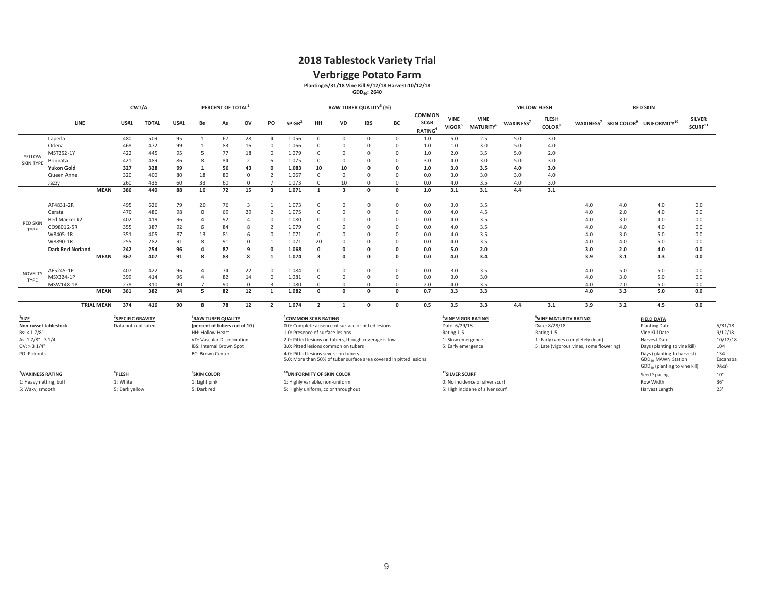### **2018 Tablestock Variety Trial**

**Verbrigge Potato Farm**<br>
Planting:5/31/18 Vine Kill:9/12/18 Harvest:10/12/18<br>
GDD<sub>40</sub>: 2640

|                                                                           |                                                                                                                         |             | CWT/A                                            |              |             |                                                   | PERCENT OF TOTAL                                                                                                          |                         |                         |                                                                           |                         |                                                                              | RAW TUBER QUALITY <sup>3</sup> (%)                                                                                                                                                |            |                                              |                                                                                                          |                                                                     |                       | YELLOW FLESH                                        |                                                                              |     | <b>RED SKIN</b>                                                                                                                                                             |                                        |                                                          |
|---------------------------------------------------------------------------|-------------------------------------------------------------------------------------------------------------------------|-------------|--------------------------------------------------|--------------|-------------|---------------------------------------------------|---------------------------------------------------------------------------------------------------------------------------|-------------------------|-------------------------|---------------------------------------------------------------------------|-------------------------|------------------------------------------------------------------------------|-----------------------------------------------------------------------------------------------------------------------------------------------------------------------------------|------------|----------------------------------------------|----------------------------------------------------------------------------------------------------------|---------------------------------------------------------------------|-----------------------|-----------------------------------------------------|------------------------------------------------------------------------------|-----|-----------------------------------------------------------------------------------------------------------------------------------------------------------------------------|----------------------------------------|----------------------------------------------------------|
|                                                                           | LINE                                                                                                                    |             | <b>US#1</b>                                      | <b>TOTAL</b> | <b>US#1</b> | <b>Bs</b>                                         | As                                                                                                                        | ov                      | PO                      | $SP$ GR <sup>2</sup>                                                      | HH                      | <b>VD</b>                                                                    | <b>IBS</b>                                                                                                                                                                        | BC         | COMMON<br><b>SCAB</b><br>RATING <sup>4</sup> | <b>VINE</b><br>VIGOR <sup>5</sup>                                                                        | <b>VINE</b><br>MATURITY <sup>6</sup>                                | WAXINESS <sup>7</sup> | <b>FLESH</b><br>COLOR <sup>8</sup>                  |                                                                              |     | WAXINESS <sup>7</sup> SKIN COLOR <sup>9</sup> UNIFORMITY <sup>10</sup>                                                                                                      | <b>SILVER</b><br>$\mathsf{SCURF}^{11}$ |                                                          |
|                                                                           | Laperla                                                                                                                 |             | 480                                              | 509          | 95          | $\mathbf{1}$                                      | 67                                                                                                                        | 28                      | $\Delta$                | 1.056                                                                     | $\overline{0}$          | $\mathbf{0}$                                                                 | $^{\circ}$                                                                                                                                                                        | $^{\circ}$ | 1.0                                          | 5.0                                                                                                      | 2.5                                                                 | 5.0                   | 3.0                                                 |                                                                              |     |                                                                                                                                                                             |                                        |                                                          |
|                                                                           | Orlena                                                                                                                  |             | 468                                              | 472          | 99          |                                                   | 83                                                                                                                        | 16                      | $\Omega$                | 1.066                                                                     | $\Omega$                | $\Omega$                                                                     | $\Omega$                                                                                                                                                                          | $\Omega$   | 1.0                                          | 1.0                                                                                                      | 3.0                                                                 | 5.0                   | 4.0                                                 |                                                                              |     |                                                                                                                                                                             |                                        |                                                          |
| YELLOW                                                                    | MST252-1Y                                                                                                               |             | 422                                              | 445          | 95          | 5                                                 | 77                                                                                                                        | 18                      | $\mathbf{0}$            | 1.079                                                                     | $\Omega$                | $\Omega$                                                                     | $\Omega$                                                                                                                                                                          | $\Omega$   | 1.0                                          | 2.0                                                                                                      | 3.5                                                                 | 5.0                   | 2.0                                                 |                                                                              |     |                                                                                                                                                                             |                                        |                                                          |
| <b>SKIN TYPE</b>                                                          | Bonnata                                                                                                                 |             | 421                                              | 489          | 86          |                                                   | 84                                                                                                                        | $\overline{2}$          | 6                       | 1.075                                                                     | $\Omega$                | $\Omega$                                                                     | $\Omega$                                                                                                                                                                          | $\Omega$   | 3.0                                          | 4.0                                                                                                      | 3.0                                                                 | 5.0                   | 3.0                                                 |                                                                              |     |                                                                                                                                                                             |                                        |                                                          |
|                                                                           | <b>Yukon Gold</b>                                                                                                       |             | 327                                              | 328          | 99          | 1                                                 | 56                                                                                                                        | 43                      | $\Omega$                | 1.083                                                                     | 10                      | 10                                                                           | $\Omega$                                                                                                                                                                          |            | 1.0                                          | 3.0                                                                                                      | 3.5                                                                 | 4.0                   | 3.0                                                 |                                                                              |     |                                                                                                                                                                             |                                        |                                                          |
|                                                                           | Queen Anne                                                                                                              |             | 320                                              | 400          | 80          | 18                                                | 80                                                                                                                        | $\mathbf 0$             | $\overline{2}$          | 1.067                                                                     | $\Omega$                | $\Omega$                                                                     | $\Omega$                                                                                                                                                                          | $\Omega$   | 0.0                                          | 3.0                                                                                                      | 3.0                                                                 | 3.0                   | 4.0                                                 |                                                                              |     |                                                                                                                                                                             |                                        |                                                          |
|                                                                           | Jazzy                                                                                                                   |             | 260                                              | 436          | 60          | 33                                                | 60                                                                                                                        | $\Omega$                | $\overline{7}$          | 1.073                                                                     | $\Omega$                | 10                                                                           | $\Omega$                                                                                                                                                                          | $\Omega$   | 0.0                                          | 4.0                                                                                                      | 3.5                                                                 | 4.0                   | 3.0                                                 |                                                                              |     |                                                                                                                                                                             |                                        |                                                          |
|                                                                           |                                                                                                                         | <b>MEAN</b> | 386                                              | 440          | 88          | 10                                                | 72                                                                                                                        | 15                      | $\overline{\mathbf{3}}$ | 1.071                                                                     | 1                       | $\overline{\mathbf{3}}$                                                      | $\Omega$                                                                                                                                                                          | $\Omega$   | 1.0                                          | 3.1                                                                                                      | 3.1                                                                 | 4.4                   | 3.1                                                 |                                                                              |     |                                                                                                                                                                             |                                        |                                                          |
|                                                                           | AF4831-2R                                                                                                               |             | 495                                              | 626          | 79          | 20                                                | 76                                                                                                                        | $\overline{\mathbf{3}}$ | $\mathbf{1}$            | 1.073                                                                     | $\overline{0}$          | $\Omega$                                                                     | $^{\circ}$                                                                                                                                                                        | $\Omega$   | 0.0                                          | 3.0                                                                                                      | 3.5                                                                 |                       |                                                     | 4.0                                                                          | 4.0 | 4.0                                                                                                                                                                         | 0.0                                    |                                                          |
|                                                                           | Cerata                                                                                                                  |             | 470                                              | 480          | 98          | $\Omega$                                          | 69                                                                                                                        | 29                      | $\overline{2}$          | 1.075                                                                     | $\Omega$                | $\Omega$                                                                     | $\Omega$                                                                                                                                                                          | $\Omega$   | 0.0                                          | 4.0                                                                                                      | 4.5                                                                 |                       |                                                     | 4.0                                                                          | 2.0 | 4.0                                                                                                                                                                         | 0.0                                    |                                                          |
| <b>RED SKIN</b>                                                           | Red Marker #2                                                                                                           |             | 402                                              | 419          | 96          | $\Delta$                                          | 92                                                                                                                        | $\overline{4}$          | $\Omega$                | 1.080                                                                     | $\Omega$                | $\Omega$                                                                     | $\Omega$                                                                                                                                                                          | $\Omega$   | 0.0                                          | 4.0                                                                                                      | 3.5                                                                 |                       |                                                     | 4.0                                                                          | 3.0 | 4.0                                                                                                                                                                         | 0.0                                    |                                                          |
| TYPF                                                                      | CO98012-5R                                                                                                              |             | 355                                              | 387          | 92          | 6                                                 | 84                                                                                                                        | 8                       | $\overline{2}$          | 1.079                                                                     | $\Omega$                | $\Omega$                                                                     | $\Omega$                                                                                                                                                                          | $\Omega$   | 0.0                                          | 4.0                                                                                                      | 3.5                                                                 |                       |                                                     | 4.0                                                                          | 4.0 | 4.0                                                                                                                                                                         | 0.0                                    |                                                          |
|                                                                           | W8405-1R                                                                                                                |             | 351                                              | 405          | 87          | 13                                                | 81                                                                                                                        | 6                       | $\Omega$                | 1.071                                                                     | $\Omega$                | $\Omega$                                                                     | $\Omega$                                                                                                                                                                          | $\Omega$   | 0.0                                          | 4.0                                                                                                      | 3.5                                                                 |                       |                                                     | 4.0                                                                          | 3.0 | 5.0                                                                                                                                                                         | 0.0                                    |                                                          |
|                                                                           | W8890-1R                                                                                                                |             | 255                                              | 282          | 91          | $\mathbf{R}$                                      | 91                                                                                                                        | $\mathbf{0}$            | $\overline{1}$          | 1.071                                                                     | 20                      | $\Omega$                                                                     | $\Omega$                                                                                                                                                                          | $\Omega$   | 0.0                                          | 4.0                                                                                                      | 3.5                                                                 |                       |                                                     | 4.0                                                                          | 4.0 | 5.0                                                                                                                                                                         | 0.0                                    |                                                          |
|                                                                           | <b>Dark Red Norland</b>                                                                                                 |             | 242                                              | 254          | 96          | $\mathbf{a}$                                      | 87                                                                                                                        | q                       | $\Omega$                | 1.068                                                                     | $\Omega$                | $\Omega$                                                                     | $\mathbf{0}$                                                                                                                                                                      | $\Omega$   | 0.0                                          | 5.0                                                                                                      | 2.0                                                                 |                       |                                                     | 3.0                                                                          | 2.0 | 4.0                                                                                                                                                                         | 0.0                                    |                                                          |
|                                                                           |                                                                                                                         | <b>MEAN</b> | 367                                              | 407          | 91          | $\mathbf{R}$                                      | 83                                                                                                                        | 8                       | $\overline{1}$          | 1.074                                                                     | $\overline{\mathbf{3}}$ | $\Omega$                                                                     | $\Omega$                                                                                                                                                                          | $\Omega$   | 0.0                                          | 4.0                                                                                                      | 3.4                                                                 |                       |                                                     | 3.9                                                                          | 3.1 | 4.3                                                                                                                                                                         | 0.0                                    |                                                          |
| NOVELTY                                                                   | AF5245-1P                                                                                                               |             | 407                                              | 422          | 96          | $\Lambda$                                         | 74                                                                                                                        | 22                      | $\mathbf{0}$            | 1.084                                                                     | $\mathbf 0$             | $\Omega$                                                                     | $^{\circ}$                                                                                                                                                                        | $\Omega$   | 0.0                                          | 3.0                                                                                                      | 3.5                                                                 |                       |                                                     | 4.0                                                                          | 5.0 | 5.0                                                                                                                                                                         | 0.0                                    |                                                          |
| TYPE                                                                      | MSX324-1P                                                                                                               |             | 399                                              | 414          | 96          |                                                   | 82                                                                                                                        | 14                      | $\Omega$                | 1.081                                                                     | $\Omega$                | $\Omega$                                                                     | $\Omega$                                                                                                                                                                          | $\Omega$   | 0.0                                          | 3.0                                                                                                      | 3.0                                                                 |                       |                                                     | 4.0                                                                          | 3.0 | 5.0                                                                                                                                                                         | 0.0                                    |                                                          |
|                                                                           | MSW148-1P                                                                                                               |             | 278                                              | 310          | 90          |                                                   | 90                                                                                                                        | $\mathbf 0$             | $\overline{3}$          | 1.080                                                                     | $\Omega$                | $\Omega$                                                                     | $\Omega$                                                                                                                                                                          | $\Omega$   | 2.0                                          | 4.0                                                                                                      | 3.5                                                                 |                       |                                                     | 4.0                                                                          | 2.0 | 5.0                                                                                                                                                                         | 0.0                                    |                                                          |
|                                                                           |                                                                                                                         | <b>MEAN</b> | 361                                              | 382          | 94          | 5                                                 | 82                                                                                                                        | 12                      | 1                       | 1.082                                                                     | $\mathbf 0$             | $\Omega$                                                                     | $\Omega$                                                                                                                                                                          | $\Omega$   | 0.7                                          | 3.3                                                                                                      | 3.3                                                                 |                       |                                                     | 4.0                                                                          | 3.3 | 5.0                                                                                                                                                                         | 0.0                                    |                                                          |
|                                                                           |                                                                                                                         |             | 374                                              | 416          | 90          | R                                                 | 78                                                                                                                        | 12                      | $\overline{2}$          | 1.074                                                                     | $\overline{2}$          | $\mathbf{1}$                                                                 | $\Omega$                                                                                                                                                                          | $\Omega$   | 0.5                                          | 3.5                                                                                                      | 3.3                                                                 | 4.4                   | 3.1                                                 | 3.9                                                                          | 3.2 | 4.5                                                                                                                                                                         | 0.0                                    |                                                          |
| $1$ SIZE<br>Bs: < 1.7/8"<br>OV: > 31/4'<br>PO: Pickouts                   | <b>TRIAL MEAN</b><br><sup>2</sup> SPECIFIC GRAVITY<br>Non-russet tablestock<br>Data not replicated<br>As: 17/8" - 31/4" |             |                                                  |              |             | HH: Hollow Heart<br><b>BC: Brown Center</b>       | <sup>3</sup> RAW TUBER QUALITY<br>(percent of tubers out of 10)<br>VD: Vascular Discoloration<br>IBS: Internal Brown Spot |                         |                         | <sup>4</sup> COMMON SCAB RATING<br>1.0: Presence of surface lesions       |                         | 3.0: Pitted lesions common on tubers<br>4.0: Pitted lesions severe on tubers | 0.0: Complete absence of surface or pitted lesions<br>2.0: Pitted lesions on tubers, though coverage is low<br>5.0: More than 50% of tuber surface area covered in pitted lesions |            |                                              | <sup>5</sup> VINE VIGOR RATING<br>Date: 6/29/18<br>Rating 1-5<br>1: Slow emergence<br>5: Early emergence |                                                                     |                       | VINE MATURITY RATING<br>Date: 8/29/18<br>Rating 1-5 | 1: Early (vines completely dead)<br>5: Late (vigorous vines, some flowering) |     | <b>FIELD DATA</b><br><b>Planting Date</b><br>Vine Kill Date<br>Harvest Date<br>Days (planting to vine kill)<br>Days (planting to harvest)<br>GDD <sub>40</sub> MAWN Station |                                        | 5/31/18<br>9/12/18<br>10/12/18<br>104<br>134<br>Escanaba |
| <sup>7</sup> WAXINESS RATING<br>1: Heavy netting, buff<br>5: Waxy, smooth |                                                                                                                         |             | <sup>8</sup> FLESH<br>1: White<br>5: Dark yellow |              |             | <b>SKIN COLOR</b><br>1: Light pink<br>5: Dark red |                                                                                                                           |                         |                         | <sup>10</sup> UNIFORMITY OF SKIN COLOR<br>1: Highly variable, non-uniform |                         | 5: Highly uniform, color throughout                                          |                                                                                                                                                                                   |            |                                              | <sup>11</sup> SILVER SCURF                                                                               | 0: No incidence of silver scurf<br>5: High incidene of silver scurf |                       |                                                     |                                                                              |     | GDD <sub>40</sub> (planting to vine kill)<br>Seed Spacing<br>Row Width<br>Harvest Length                                                                                    |                                        | 2640<br>10"<br>36"<br>23'                                |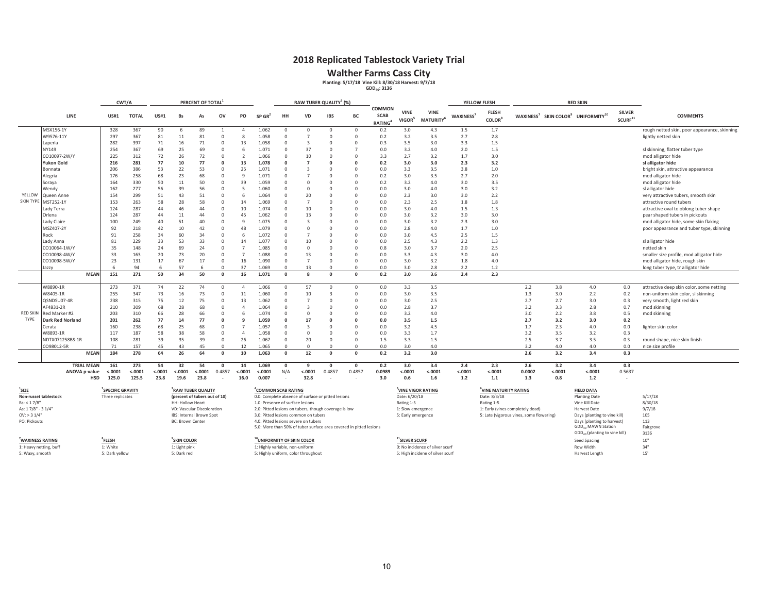### **2018 Replicated Tablestock Variety Trial**

Walther Farms Cass City<br>Planting: 5/17/18 Vine Kill: 8/30/18 Harvest: 9/7/18<br><sup>GDD<sub>40</sub>: 3136</sup>

|                              |                   |                         | CWT/A        |             |                               | PERCENT OF TOTAL |                |                |                                        |          | RAW TUBER QUALITY <sup>3</sup> (%)                    |                |                                                                    |                                        |                                   |                                      |                 | YELLOW FLESH                              |                                          |         | <b>RED SKIN</b>                                                        |                                        |                                              |
|------------------------------|-------------------|-------------------------|--------------|-------------|-------------------------------|------------------|----------------|----------------|----------------------------------------|----------|-------------------------------------------------------|----------------|--------------------------------------------------------------------|----------------------------------------|-----------------------------------|--------------------------------------|-----------------|-------------------------------------------|------------------------------------------|---------|------------------------------------------------------------------------|----------------------------------------|----------------------------------------------|
|                              | LINE              | <b>US#1</b>             | <b>TOTAL</b> | <b>US#1</b> | Bs                            | As               | OV             | PO             | $SP$ GR <sup>2</sup>                   | HH       | VD                                                    | <b>IBS</b>     | BC                                                                 | COMMON<br><b>SCAB</b><br><b>RATING</b> | <b>VINE</b><br>VIGOR <sup>5</sup> | <b>VINE</b><br>MATURITY <sup>6</sup> | <b>WAXINESS</b> | <b>FLESH</b><br><b>COLOR</b> <sup>8</sup> |                                          |         | WAXINESS <sup>7</sup> SKIN COLOR <sup>9</sup> UNIFORMITY <sup>10</sup> | <b>SILVER</b><br>$\mathsf{SCURF}^{11}$ | <b>COMMENTS</b>                              |
|                              | MSX156-1Y         | 328                     | 367          | 90          | -6                            | 89               | $\overline{1}$ | 4              | 1.062                                  |          | $\overline{0}$                                        | $^{\circ}$     | $^{\circ}$                                                         | 0.2                                    | 3.0                               | 4.3                                  | 1.5             | 1.7                                       |                                          |         |                                                                        |                                        | rough netted skin, poor appearance, skinning |
|                              | W9576-11Y         | 297                     | 367          | 81          | 11                            | 81               | $\cap$         | 8              | 1.058                                  | $\Omega$ | $\overline{7}$                                        | $^{\circ}$     | $\overline{0}$                                                     | 0.2                                    | 3.2                               | 3.5                                  | 2.7             | 2.8                                       |                                          |         |                                                                        |                                        | lightly netted skin                          |
|                              | Laperla           | 282                     | 397          | 71          | 16                            | 71               | $\Omega$       | 13             | 1.058                                  | $\Omega$ | $\overline{3}$                                        | $\Omega$       | $\Omega$                                                           | 0.3                                    | 3.5                               | 3.0                                  | 3.3             | 1.5                                       |                                          |         |                                                                        |                                        |                                              |
|                              | NY149             | 254                     | 367          | 69          | 25                            | 69               |                | 6              | 1.071                                  | $\Omega$ | 37                                                    | $\Omega$       | $\overline{7}$                                                     | 0.0                                    | 3.2                               | 4.0                                  | 2.0             | 1.5                                       |                                          |         |                                                                        |                                        | sl skinning, flatter tuber type              |
|                              | CO10097-2W/Y      | 225                     | 312          | 72          | 26                            | 72               | $\Omega$       | $\overline{2}$ | 1.066                                  | $\Omega$ | 10                                                    | $\Omega$       | $\Omega$                                                           | 3.3                                    | 2.7                               | 3.2                                  | 1.7             | 3.0                                       |                                          |         |                                                                        |                                        | mod alligator hide                           |
|                              | <b>Yukon Gold</b> | 216                     | 281          | 77          | 10                            | 77               |                | 13             | 1.078                                  |          | $\overline{7}$                                        | $\mathbf{0}$   | $\Omega$                                                           | 0.2                                    | 3.0                               | 3.0                                  | 2.3             | 3.2                                       |                                          |         |                                                                        |                                        | sl alligator hide                            |
|                              | Bonnata           | 206                     | 386          | 53          | 22                            | 53               | $\Omega$       | 25             | 1.071                                  | $\Omega$ | $\overline{3}$                                        | $\Omega$       | $\Omega$                                                           | 0.0                                    | 3.3                               | 3.5                                  | 3.8             | 1.0                                       |                                          |         |                                                                        |                                        | bright skin, attractive appearance           |
|                              | Alegria           | 176                     | 258          | 68          | 23                            | 68               | $\Omega$       | 9              | 1.071                                  |          | $\overline{7}$                                        | $\mathbf 0$    | $\overline{0}$                                                     | 0.2                                    | 3.0                               | 3.5                                  | 2.7             | 2.0                                       |                                          |         |                                                                        |                                        | mod alligator hide                           |
|                              | Soraya            | 164                     | 330          | 50          | 11                            | 50               | $\Omega$       | 39             | 1.059                                  | $\Omega$ | $\overline{0}$                                        | 0              | $\overline{0}$                                                     | 0.2                                    | 3.2                               | 4.0                                  | 3.0             | 3.5                                       |                                          |         |                                                                        |                                        | mod alligator hide                           |
|                              | Wendy             | 162                     | 277          | 56          | 39                            | 56               | $\Omega$       | 5              | 1.060                                  |          | $\Omega$                                              | $\Omega$       | $\Omega$                                                           | 0.0                                    | 3.0                               | 4.0                                  | 3.0             | 3.2                                       |                                          |         |                                                                        |                                        | sl alligator hide                            |
| YELLOW                       | Queen Anne        | 154                     | 299          | 51          | 43                            | 51               | $\Omega$       | 6              | 1.064                                  | $\Omega$ | 20                                                    | $\Omega$       | $\Omega$                                                           | 0.0                                    | 2.3                               | 3.0                                  | 3.0             | 2.2                                       |                                          |         |                                                                        |                                        | very attractive tubers, smooth skin          |
| <b>SKIN TYPE</b>             | MST252-1Y         | 153                     | 263          | 58          | 28                            | 58               |                | 14             | 1.069                                  |          | $\overline{7}$                                        | $\Omega$       | $\Omega$                                                           | 0.0                                    | 2.3                               | 2.5                                  | 1.8             | 1.8                                       |                                          |         |                                                                        |                                        | attractive round tubers                      |
|                              | Lady Terra        | 124                     | 287          | 44          | 46                            | 44               | $\Omega$       | 10             | 1.074                                  |          | 10                                                    | $\Omega$       | $\Omega$                                                           | 0.0                                    | 3.0                               | 4.0                                  | 1.5             | 1.3                                       |                                          |         |                                                                        |                                        | attractive oval to oblong tuber shape        |
|                              | Orlena            | 124                     | 287          | 44          | 11                            | 44               | $\Omega$       | 45             | 1.062                                  |          | 13                                                    | $\Omega$       | $\Omega$                                                           | 0.0                                    | 3.0                               | 3.2                                  | 3.0             | 3.0                                       |                                          |         |                                                                        |                                        | pear shaped tubers in pickouts               |
|                              | Lady Claire       | 100                     | 249          | 40          | 51                            | 40               | $\Omega$       | q              | 1.075                                  | $\Omega$ | $\mathbf{R}$                                          | $\Omega$       | $\Omega$                                                           | 0.0                                    | 3.0                               | 3.2                                  | 2.3             | 3.0                                       |                                          |         |                                                                        |                                        | mod alligator hide, some skin flaking        |
|                              | MSZ407-2Y         | 92                      | 218          | 42          | 10                            | 42               | $\Omega$       | 48             | 1.079                                  | $\Omega$ | $\Omega$                                              | $\Omega$       | $\Omega$                                                           | 0.0                                    | 2.8                               | 4.0                                  | 1.7             | 1.0                                       |                                          |         |                                                                        |                                        | poor appearance and tuber type, skinning     |
|                              | Rock              | 91                      | 258          | 34          | 60                            | 34               | $\Omega$       | 6              | 1.072                                  |          | $\overline{7}$                                        | $\Omega$       | $\Omega$                                                           | 0.0                                    | 3.0                               | 4.5                                  | 2.5             | 1.5                                       |                                          |         |                                                                        |                                        |                                              |
|                              | Lady Anna         | 81                      | 229          | 33          | 53                            | 33               | $\Omega$       | 14             | 1.077                                  | $\Omega$ | 10                                                    | $\Omega$       | $\Omega$                                                           | 0.0                                    | 2.5                               | 4.3                                  | 2.2             | 1.3                                       |                                          |         |                                                                        |                                        | sl alligator hide                            |
|                              | CO10064-1W/Y      | 35                      | 148          | 24          | 69                            | 24               | $\Omega$       | $\overline{7}$ | 1.085                                  |          | $\Omega$                                              | $\Omega$       | $\Omega$                                                           | 0.8                                    | 3.0                               | 3.7                                  | 2.0             | 2.5                                       |                                          |         |                                                                        |                                        | netted skin                                  |
|                              | CO10098-4W/Y      | 33                      | 163          | 20          | 73                            | 20               | $\Omega$       | $\overline{7}$ | 1.088                                  | $\Omega$ | 13                                                    | $\Omega$       | $\Omega$                                                           | 0.0                                    | 3.3                               | 4.3                                  | 3.0             | 4.0                                       |                                          |         |                                                                        |                                        | smaller size profile, mod alligator hide     |
|                              | CO10098-5W/Y      | 23                      | 131          | 17          | 67                            | 17               | $\Omega$       | 16             | 1.090                                  | $\Omega$ | $\overline{7}$                                        | $\Omega$       | $\circ$                                                            | 0.0                                    | 3.0                               | 3.2                                  | 1.8             | 4.0                                       |                                          |         |                                                                        |                                        | mod alligator hide, rough skin               |
|                              | Jazzy             |                         | 94           | 6           | 57                            | ĥ.               | $\cap$         | 37             | 1.069                                  | $\Omega$ | 13                                                    | $\Omega$       | $\Omega$                                                           | 0.0                                    | 3.0                               | 2.8                                  | 2.2             | 1.2                                       |                                          |         |                                                                        |                                        | long tuber type, tr alligator hide           |
|                              | <b>MEAN</b>       | 151                     | 271          | 50          | 34                            | 50               | $\Omega$       | 16             | 1.071                                  | $\Omega$ | $\mathbf{R}$                                          | $\Omega$       | $\Omega$                                                           | 0.2                                    | 3.0                               | 3.6                                  | 2.4             | 2.3                                       |                                          |         |                                                                        |                                        |                                              |
|                              | W8890-1R          | 273                     | 371          | 74          | 22                            | 74               | $\Omega$       | $\overline{4}$ | 1.066                                  | $\Omega$ | 57                                                    | $\Omega$       | $^{\circ}$                                                         | 0.0                                    | 3.3                               | 3.5                                  |                 |                                           | 2.2                                      | 3.8     | 4.0                                                                    | 0.0                                    | attractive deep skin color, some netting     |
|                              | W8405-1R          | 255                     | 347          | 73          | 16                            | 73               | $\Omega$       | 11             | 1.060                                  | $\Omega$ | 10                                                    | $\overline{3}$ | $\Omega$                                                           | 0.0                                    | 3.0                               | 3.5                                  |                 |                                           | 1.3                                      | 3.0     | 2.2                                                                    | 0.2                                    | non-uniform skin color, sl skinning          |
|                              | QSNDSU07-4R       | 238                     | 315          | 75          | 12                            | 75               | $\Omega$       | 13             | 1.062                                  | $\Omega$ | $\overline{7}$                                        | $^{\circ}$     | $\overline{0}$                                                     | 0.0                                    | 3.0                               | 2.5                                  |                 |                                           | 2.7                                      | 2.7     | 3.0                                                                    | 0.3                                    | very smooth, light red skin                  |
|                              | AF4831-2R         | 210                     | 309          | 68          | 28                            | 68               |                | 4              | 1.064                                  | $\Omega$ | $\overline{3}$                                        | $\Omega$       | $\Omega$                                                           | 0.0                                    | 2.8                               | 3.7                                  |                 |                                           | 3.2                                      | 3.3     | 2.8                                                                    | 0.7                                    | mod skinning                                 |
| <b>RED SKIN</b>              | Red Marker #2     | 203                     | 310          | 66          | 28                            | 66               |                | 6              | 1.074                                  | $\Omega$ | $\Omega$                                              | $\Omega$       | $\Omega$                                                           | 0.0                                    | 3.2                               | 4.0                                  |                 |                                           | 3.0                                      | 2.2     | 3.8                                                                    | 0.5                                    | mod skinning                                 |
| TYPE                         | Dark Red Norland  | 201                     | 262          | 77          | 14                            | 77               | $\Omega$       | 9              | 1.059                                  |          | 17                                                    | $\Omega$       | $\Omega$                                                           | 0.0                                    | 3.5                               | 1.5                                  |                 |                                           | 2.7                                      | 3.2     | 3.0                                                                    | 0.2                                    |                                              |
|                              | Cerata            | 160                     | 238          | 68          | 25                            | 68               | $\Omega$       | $\overline{7}$ | 1.057                                  | $\Omega$ | $\overline{3}$                                        | $\Omega$       | $\Omega$                                                           | 0.0                                    | 3.2                               | 4.5                                  |                 |                                           | 1.7                                      | 2.3     | 4.0                                                                    | 0.0                                    | lighter skin color                           |
|                              | W8893-1R          | 117                     | 187          | 58          | 38                            | 58               | $\Omega$       | $\overline{4}$ | 1.058                                  | $\Omega$ | $\Omega$                                              | $\Omega$       | $\Omega$                                                           | 0.0                                    | 3.3                               | 1.7                                  |                 |                                           | 3.2                                      | 3.5     | 3.2                                                                    | 0.3                                    |                                              |
|                              | NDTX071258BS-1R   | 108                     | 281          | 39          | 35                            | 39               | $\Omega$       | 26             | 1.067                                  | $\Omega$ | 20                                                    | $\Omega$       | $\Omega$                                                           | 1.5                                    | 3.3                               | 1.5                                  |                 |                                           | 2.5                                      | 3.7     | 3.5                                                                    | 0.3                                    | round shape, nice skin finish                |
|                              | CO98012-5R        | 71                      | 157          | 45          | 43                            | 45               | $\Omega$       | 12             | 1.065                                  | $\Omega$ | $\Omega$                                              | $\Omega$       | $\Omega$                                                           | 0.0                                    | 3.0                               | 4.0                                  |                 |                                           | 3.2                                      | 4.0     | 4.0                                                                    | 0.0                                    | nice size profile                            |
|                              | <b>MEAN</b>       | 184                     | 278          | 64          | 26                            | 64               | $\Omega$       | 10             | 1.063                                  | $\Omega$ | 12                                                    | $\Omega$       | $\Omega$                                                           | 0.2                                    | 3.2                               | 3.0                                  |                 |                                           | 2.6                                      | 3.2     | 3.4                                                                    | 0.3                                    |                                              |
|                              | <b>TRIAL MEAN</b> | 161                     | 273          | 54          | 32                            | 54               | $\Omega$       | 14             | 1.069                                  | - 0      | 9                                                     | $\Omega$       | $\Omega$                                                           | 0.2                                    | 3.0                               | 3.4                                  | 2.4             | 2.3                                       | 2.6                                      | 3.2     | 3.4                                                                    | 0.3                                    |                                              |
|                              | ANOVA p-value     | < .0001                 | $-.0001$     | $-.0001$    | < .0001                       | < .0001          | 0.4857         | < .0001        | < .0001                                | N/A      | < .0001                                               | 0.4857         | 0.4857                                                             | 0.0989                                 | < .0001                           | < .0001                              | $-.0001$        | $-.0001$                                  | 0.0002                                   | < .0001 | < .0001                                                                | 0.5637                                 |                                              |
|                              | <b>HSD</b>        | 125.0                   | 125.5        | 23.8        | 19.6                          | 23.8             |                | 16.0           | 0.007                                  |          | 32.8                                                  |                |                                                                    | 3.0                                    | 0.6                               | 1.6                                  | 1.2             | 1.1                                       | 1.3                                      | 0.8     | 1.2                                                                    | $\sim$                                 |                                              |
| $^{\prime}$ SIZE             |                   | <b>SPECIFIC GRAVITY</b> |              |             | RAW TUBER QUALITY             |                  |                |                | "COMMON SCAB RATING                    |          |                                                       |                |                                                                    |                                        |                                   | VINE VIGOR RATING                    |                 | VINE MATURITY RATING                      |                                          |         | <b>FIELD DATA</b>                                                      |                                        |                                              |
| Non-russet tablestock        |                   | Three replicates        |              |             | (percent of tubers out of 10) |                  |                |                |                                        |          | 0.0: Complete absence of surface or pitted lesions    |                |                                                                    |                                        | Date: 6/20/18                     |                                      |                 | Date: 8/3/18                              |                                          |         | <b>Planting Date</b>                                                   |                                        | 5/17/18                                      |
| Bs: < 17/8                   |                   |                         |              |             | HH: Hollow Heart              |                  |                |                | 1.0: Presence of surface lesions       |          |                                                       |                |                                                                    |                                        | Rating 1-5                        |                                      |                 | Rating 1-5                                |                                          |         | Vine Kill Date                                                         |                                        | 8/30/18                                      |
| As: 17/8" - 31/4"            |                   |                         |              |             | VD: Vascular Discoloration    |                  |                |                |                                        |          | 2.0: Pitted lesions on tubers, though coverage is low |                |                                                                    |                                        | 1: Slow emergence                 |                                      |                 |                                           | 1: Early (vines completely dead)         |         | Harvest Date                                                           |                                        | 9/7/18                                       |
| $OV:$ > 3 $1/4"$             |                   |                         |              |             | IBS: Internal Brown Spot      |                  |                |                |                                        |          | 3.0: Pitted lesions common on tubers                  |                |                                                                    |                                        | 5: Early emergence                |                                      |                 |                                           | 5: Late (vigorous vines, some flowering) |         | Days (planting to vine kill)                                           |                                        | 105                                          |
| PO: Pickouts                 |                   |                         |              |             | <b>BC: Brown Center</b>       |                  |                |                |                                        |          | 4.0: Pitted lesions severe on tubers                  |                | 5.0: More than 50% of tuber surface area covered in pitted lesions |                                        |                                   |                                      |                 |                                           |                                          |         | Days (planting to harvest)<br>GDD <sub>40</sub> MAWN Station           |                                        | 113<br>Fairgrove                             |
|                              |                   |                         |              |             |                               |                  |                |                |                                        |          |                                                       |                |                                                                    |                                        |                                   |                                      |                 |                                           |                                          |         | GDD <sub>40</sub> (planting to vine kill)                              |                                        | 3136                                         |
| <sup>7</sup> WAXINESS RATING |                   | <sup>8</sup> FLESH      |              |             | <sup>9</sup> SKIN COLOR       |                  |                |                | <sup>10</sup> UNIFORMITY OF SKIN COLOR |          |                                                       |                |                                                                    |                                        | <sup>11</sup> SILVER SCURF        |                                      |                 |                                           |                                          |         | Seed Spacing                                                           |                                        | $10"$                                        |
| 1: Heavy netting, buff       |                   | 1: White                |              |             | 1: Light pink                 |                  |                |                | 1: Highly variable, non-uniform        |          |                                                       |                |                                                                    |                                        |                                   | 0: No incidence of silver scurf      |                 |                                           |                                          |         | Row Width                                                              |                                        | 34"                                          |
| 5: Waxy, smooth              |                   | 5: Dark yellow          |              |             | 5: Dark red                   |                  |                |                |                                        |          | 5: Highly uniform, color throughout                   |                |                                                                    |                                        |                                   | 5: High incidene of silver scurf     |                 |                                           |                                          |         | Harvest Length                                                         |                                        | $15'$                                        |
|                              |                   |                         |              |             |                               |                  |                |                |                                        |          |                                                       |                |                                                                    |                                        |                                   |                                      |                 |                                           |                                          |         |                                                                        |                                        |                                              |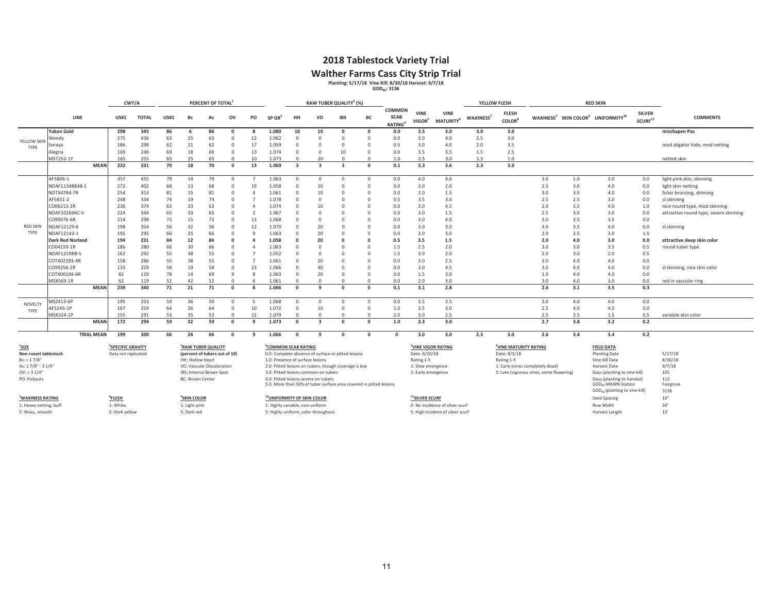### **2018 Tablestock Variety Trial**

Walther Farms Cass City Strip Trial<br>
Planting: 5/17/18 Vine Kill: 8/30/18 Harvest: 9/7/18<br>
GDD<sub>40</sub>: 3136

|                                   |                         |                   |                                                      | CWT/A        |             |                         | PERCENT OF TOTAL <sup>1</sup>                                   |          |                |                                  |                         | RAW TUBER QUALITY <sup>3</sup> (%)                                 |            |          |                                        |                                   |                                      |                       | YELLOW FLESH                                      |                                          |     | <b>RED SKIN</b>                                                        |                                      |                                        |
|-----------------------------------|-------------------------|-------------------|------------------------------------------------------|--------------|-------------|-------------------------|-----------------------------------------------------------------|----------|----------------|----------------------------------|-------------------------|--------------------------------------------------------------------|------------|----------|----------------------------------------|-----------------------------------|--------------------------------------|-----------------------|---------------------------------------------------|------------------------------------------|-----|------------------------------------------------------------------------|--------------------------------------|----------------------------------------|
|                                   | <b>LINE</b>             |                   | <b>US#1</b>                                          | <b>TOTAL</b> | <b>US#1</b> | Bs                      | As                                                              | ov       | PO             | $SP$ GR <sup>2</sup>             | HH                      | <b>VD</b>                                                          | <b>IBS</b> | BC       | COMMON<br><b>SCAB</b><br><b>RATING</b> | <b>VINE</b><br>VIGOR <sup>5</sup> | <b>VINE</b><br>MATURITY <sup>6</sup> | WAXINESS <sup>7</sup> | <b>FLESH</b><br><b>COLOR</b> <sup>8</sup>         |                                          |     | WAXINESS <sup>7</sup> SKIN COLOR <sup>9</sup> UNIFORMITY <sup>10</sup> | <b>SILVER</b><br>SCURF <sup>11</sup> | <b>COMMENTS</b>                        |
|                                   | <b>Yukon Gold</b>       |                   | 298                                                  | 345          | 86          | -6                      | 86                                                              | $\Omega$ |                | 1.080                            | 10                      | 10                                                                 | $\Omega$   | $\Omega$ | 0.0                                    | 3.5                               | 3.0                                  | 3.0                   | 3.0                                               |                                          |     |                                                                        |                                      | misshapen Pos                          |
| YELLOW SKIN                       | Wendv                   |                   | 275                                                  | 436          | 63          | 25                      | 63                                                              | $\Omega$ | 12             | 1.062                            | $\Omega$                | $\Omega$                                                           | $\Omega$   | $\Omega$ | 0.0                                    | 3.0                               | 4.0                                  | 2.5                   | 3.0                                               |                                          |     |                                                                        |                                      |                                        |
| TYPE                              | Soraya                  |                   | 186                                                  | 298          | 62          | 21                      | 62                                                              | $\Omega$ | 17             | 1.059                            | $\Omega$                | $\Omega$                                                           | $\Omega$   | $\Omega$ | 0.5                                    | 3.0                               | 4.0                                  | 2.0                   | 3.5                                               |                                          |     |                                                                        |                                      | mod aligator hide, mod netting         |
|                                   | Alegria                 |                   | 169                                                  | 246          | 69          | 18                      | 69                                                              | $\Omega$ | 13             | 1.074                            | $\Omega$                | $\Omega$                                                           | 10         | $\Omega$ | 0.0                                    | 3.5                               | 3.5                                  | 1.5                   | 2.5                                               |                                          |     |                                                                        |                                      |                                        |
|                                   | MST252-1Y               |                   | 165                                                  | 255          | 65          | 25                      | 65                                                              | $\Omega$ | 10             | 1.073                            | $\Omega$                | 20                                                                 | $\Omega$   | $\Omega$ | 1.0                                    | 2.5                               | 3.0                                  | 1.5                   | 1.0                                               |                                          |     |                                                                        |                                      | netted skin                            |
|                                   |                         | <b>MEAN</b>       | 232                                                  | 331          | 70          | 18                      | 70                                                              | $\Omega$ | 13             | 1.069                            | $\overline{\mathbf{3}}$ | ∍                                                                  | ર          | $\Omega$ | 0.1                                    | 3.3                               | 3.6                                  | 2.3                   | 3.0                                               |                                          |     |                                                                        |                                      |                                        |
|                                   | AF5806-1                |                   | 357                                                  | 455          | 79          | 14                      | 79                                                              | $\Omega$ |                | 1.063                            | $\Omega$                | $\Omega$                                                           | $\Omega$   | $\Omega$ | 0.0                                    | 4.0                               | 4.0                                  |                       |                                                   | 3.0                                      | 1.0 | 3.0                                                                    | 0.0                                  | light pink skin, skinning              |
|                                   | NDAF1134884B-1          |                   | 272                                                  | 402          | 68          | 13                      | 68                                                              | O        | 19             | 1.058                            |                         | 10                                                                 | $\Omega$   | $\Omega$ | 0.0                                    | 3.0                               | 2.0                                  |                       |                                                   | 2.5                                      | 3.0 | 4.0                                                                    | 0.0                                  | light skin netting                     |
|                                   | NDTX4784-7R             |                   | 254                                                  | 313          | 81          | 15                      | 81                                                              | $\Omega$ |                | 1.061                            | $\Omega$                | 10                                                                 | $\Omega$   | $\Omega$ | 0.0                                    | 2.0                               | 1.5                                  |                       |                                                   | 3.0                                      | 3.5 | 4.0                                                                    | 0.0                                  | foliar bronzing, skinning              |
|                                   | AF5831-2                |                   | 248                                                  | 334          | 74          | 19                      | 74                                                              | $\Omega$ |                | 1.078                            | O                       | $\Omega$                                                           | $\Omega$   |          | 0.5                                    | 3.5                               | 3.0                                  |                       |                                                   | 2.5                                      | 2.5 | 3.0                                                                    | 0.0                                  | sl skinning                            |
|                                   | CO06215-2R              |                   | 236                                                  | 374          | 63          | 33                      | 63                                                              | $\Omega$ |                | 1.074                            | O                       | 10                                                                 | $\Omega$   | n        | 0.0                                    | 3.0                               | 4.5                                  |                       |                                                   | 2.0                                      | 3.5 | 4.0                                                                    | 1.0                                  | nice round type, mod skinning          |
|                                   | NDAF102696C-5           |                   | 224                                                  | 344          | 65          | 33                      | 65                                                              | $\Omega$ | $\overline{2}$ | 1.067                            | O                       | $\sqrt{ }$                                                         | $\Omega$   | n        | 0.0                                    | 3.0                               | 1.5                                  |                       |                                                   | 2.5                                      | 3.0 | 3.0                                                                    | 0.0                                  | attractive round type, severe skinning |
|                                   | CO99076-6R              |                   | 214                                                  | 298          | 72          | 15                      | 72                                                              | $\Omega$ | 13             | 1.068                            | $\Omega$                | $\Omega$                                                           | $\Omega$   | $\Omega$ | 0.0                                    | 3.0                               | 4.0                                  |                       |                                                   | 3.0                                      | 3.5 | 3.5                                                                    | 0.0                                  |                                        |
| <b>RED SKIN</b>                   | NDAF12129-6             |                   | 198                                                  | 354          | 56          | 32                      | 56                                                              | $\Omega$ | 12             | 1.070                            | $\Omega$                | 20                                                                 | $\Omega$   | n        | 0.0                                    | 3.0                               | 3.0                                  |                       |                                                   | 3.0                                      | 3.5 | 4.0                                                                    | 0.0                                  | sl skinning                            |
| TYPE                              | NDAF12143-1             |                   | 195                                                  | 295          | 66          | 25                      | 66                                                              | $\Omega$ | q              | 1.063                            | O                       | 20                                                                 | $\Omega$   | $\Omega$ | 0.0                                    | 3.0                               | 3.0                                  |                       |                                                   | 2.0                                      | 3.5 | 3.0                                                                    | 1.5                                  |                                        |
|                                   | <b>Dark Red Norland</b> |                   | 194                                                  | 231          | 84          | 12                      | 84                                                              | $\Omega$ | $\Delta$       | 1.058                            |                         | 20                                                                 |            |          | 0.5                                    | 3.5                               | 1.5                                  |                       |                                                   | 2.0                                      | 4.0 | 3.0                                                                    | 0.0                                  | attractive deep skin color             |
|                                   | CO04159-1R              |                   | 186                                                  | 280          | 66          | 30                      | 66                                                              | $\Omega$ |                | 1.063                            |                         | $\Omega$                                                           |            |          | 1.5                                    | 2.5                               | 2.0                                  |                       |                                                   | 3.0                                      | 3.0 | 3.5                                                                    | 0.5                                  | round tuber type                       |
|                                   | NDAF12198B-5            |                   | 162                                                  | 292          | 55          | 38                      | 55                                                              | $\Omega$ | 7              | 1.052                            |                         | $\Omega$                                                           | $\Omega$   | n        | 1.5                                    | 3.0                               | 2.0                                  |                       |                                                   | 2.0                                      | 3.0 | 2.0                                                                    | 0.5                                  |                                        |
|                                   | COTX02293-4R            |                   | 158                                                  | 286          | 55          | 38                      | 55                                                              | $\Omega$ | $\overline{7}$ | 1.061                            |                         | 20                                                                 | $\Omega$   |          | 0.0                                    | 3.0                               | 2.5                                  |                       |                                                   | 3.0                                      | 4.0 | 4.0                                                                    | 0.0                                  |                                        |
|                                   | CO99256-2R              |                   | 133                                                  | 229          | 58          | 19                      | 58                                                              | $\Omega$ | 23             | 1.066                            | $\Omega$                | 40                                                                 | $\Omega$   | n        | 0.0                                    | 3.0                               | 4.5                                  |                       |                                                   | 3.0                                      | 4.0 | 4.0                                                                    | 0.0                                  | sl skinning, nice skin color           |
|                                   | COTX00104-6R            |                   | 82                                                   | 119          | 78          | 14                      | 69                                                              | q        | 8              | 1.063                            | $\Omega$                | 20                                                                 | $\Omega$   | $\Omega$ | 0.0                                    | 1.5                               | 3.0                                  |                       |                                                   | 1.0                                      | 4.0 | 4.0                                                                    | 0.0                                  |                                        |
|                                   | MSX569-1R               |                   | 62                                                   | 119          | 52          | 42                      | 52                                                              | $\Omega$ |                | 1.061                            | $\Omega$                | $\Omega$                                                           | $\Omega$   | $\Omega$ | 0.0                                    | 2.0                               | 3.0                                  |                       |                                                   | 3.0                                      | 4.0 | 3.0                                                                    | 0.0                                  | red in vascular ring                   |
|                                   |                         | <b>MEAN</b>       | 239                                                  | 340          | 71          | 21                      | 71                                                              | $\Omega$ |                | 1.066                            | $\Omega$                | q                                                                  | $\Omega$   | $\Omega$ | 0.1                                    | 3.1                               | 2.8                                  |                       |                                                   | 2.6                                      | 3.1 | 3.5                                                                    | 0.3                                  |                                        |
|                                   | MSZ413-6P               |                   | 195                                                  | 333          | 59          | 36                      | 59                                                              | $\Omega$ | -5             | 1.068                            | $\Omega$                | $\Omega$                                                           | $\Omega$   | $\Omega$ | 0.0                                    | 3.5                               | 3.5                                  |                       |                                                   | 3.0                                      | 4.0 | 4.0                                                                    | 0.0                                  |                                        |
| NOVELT<br>TYPE                    | AF5245-1P               |                   | 167                                                  | 259          | 64          | 26                      | 64                                                              | $\Omega$ | 10             | 1.072                            | $\Omega$                | 10                                                                 | $\Omega$   | $\Omega$ | 1.0                                    | 3.5                               | 3.0                                  |                       |                                                   | 2.5                                      | 4.0 | 4.0                                                                    | 0.0                                  |                                        |
|                                   | MSX324-1P               |                   | 155                                                  | 291          | 53          | 35                      | 53                                                              | $\Omega$ | 12             | 1.079                            | $\Omega$                | $\Omega$                                                           | $\Omega$   | $\Omega$ | 2.0                                    | 3.0                               | 2.5                                  |                       |                                                   | 2.5                                      | 3.5 | 1.5                                                                    | 0.5                                  | variable skin color                    |
|                                   |                         | <b>MEAN</b>       | 172                                                  | 294          | 59          | 32                      | 59                                                              | $\Omega$ | q              | 1.073                            | $\Omega$                | ্ব                                                                 | $\Omega$   | $\Omega$ | 1.0                                    | 3.3                               | 3.0                                  |                       |                                                   | 2.7                                      | 3.8 | 3.2                                                                    | 0.2                                  |                                        |
|                                   |                         | <b>TRIAL MEAN</b> | 199                                                  | 300          | 66          | 24                      | 66                                                              | $\Omega$ | 9              | 1.066                            | $\Omega$                | -9                                                                 | $\Omega$   | $\Omega$ | $\Omega$                               | 3.0                               | 3.0                                  | 2.3                   | 3.0                                               | 2.6                                      | 3.4 | 3.4                                                                    | 0.2                                  |                                        |
|                                   |                         |                   |                                                      |              |             |                         |                                                                 |          |                |                                  |                         |                                                                    |            |          |                                        |                                   |                                      |                       |                                                   |                                          |     |                                                                        |                                      |                                        |
| $1$ SIZE<br>Non-russet tablestock |                         |                   | <sup>2</sup> SPECIFIC GRAVITY<br>Data not replicated |              |             |                         | <sup>3</sup> RAW TUBER QUALITY<br>(percent of tubers out of 10) |          |                | <sup>4</sup> COMMON SCAB RATING  |                         | 0.0: Complete absence of surface or pitted lesions                 |            |          |                                        | Date: 6/20/18                     | <sup>5</sup> VINE VIGOR RATING       |                       | <sup>6</sup> VINE MATURITY RATING<br>Date: 8/3/18 |                                          |     | <b>FIELD DATA</b><br><b>Planting Date</b>                              |                                      | 5/17/18                                |
| Bs: < 1.7/8"                      |                         |                   |                                                      |              |             | <b>HH: Hollow Heart</b> |                                                                 |          |                | 1.0: Presence of surface lesions |                         |                                                                    |            |          |                                        | Rating 1-5                        |                                      |                       | Rating 1-5                                        |                                          |     | Vine Kill Date                                                         |                                      | 8/30/18                                |
| As: 17/8" - 31/4"                 |                         |                   |                                                      |              |             |                         | VD: Vascular Discoloration                                      |          |                |                                  |                         | 2.0: Pitted lesions on tubers, though coverage is low              |            |          |                                        | 1: Slow emergence                 |                                      |                       |                                                   | 1: Early (vines completely dead)         |     | Harvest Date                                                           |                                      | 9/7/18                                 |
| OV: > 31/4"                       |                         |                   |                                                      |              |             |                         | IBS: Internal Brown Spot                                        |          |                |                                  |                         | 3.0: Pitted lesions common on tubers                               |            |          |                                        | 5: Early emergence                |                                      |                       |                                                   | 5: Late (vigorous vines, some flowering) |     | Days (planting to vine kill)                                           |                                      | 105                                    |
| PO: Pickouts                      |                         |                   |                                                      |              |             | <b>BC: Brown Center</b> |                                                                 |          |                |                                  |                         | 4.0: Pitted lesions severe on tubers                               |            |          |                                        |                                   |                                      |                       |                                                   |                                          |     | Days (planting to harvest)                                             |                                      | 113                                    |
|                                   |                         |                   |                                                      |              |             |                         |                                                                 |          |                |                                  |                         | 5.0: More than 50% of tuber surface area covered in pitted lesions |            |          |                                        |                                   |                                      |                       |                                                   |                                          |     | GDD <sub>40</sub> MAWN Station                                         |                                      | Fairgrove                              |
|                                   |                         |                   |                                                      |              |             |                         |                                                                 |          |                |                                  |                         |                                                                    |            |          |                                        |                                   |                                      |                       |                                                   |                                          |     | GDD <sub>40</sub> (planting to vine kill)                              |                                      | 3136                                   |

**7WAXINESS RATING**

1: Highly variable, non-uniform

 **8FLESH 9SKIN COLOR 10UNIFORMITY OF SKIN COLOR 11SILVER SCURF** Seed Spacing 10" 5: Waxy, smooth 5: Dark yellow 5: Dark red 5: Highly uniform, color throughout 5: High incidene of silver scurf Harvest Length 15'

GDD<sub>40</sub> (planting to vine kill)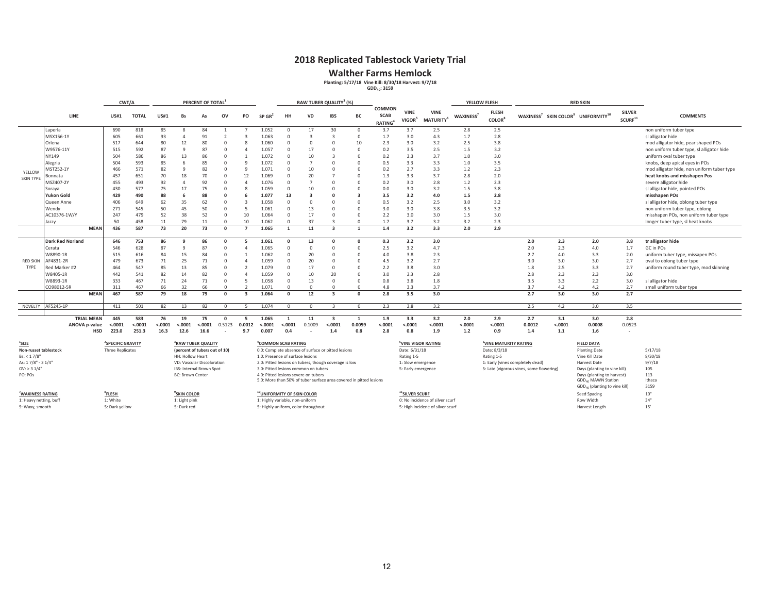### **2018 Replicated Tablestock Variety Trial**

**Walther Farms Hemlock**<br>Planting: 5/17/18 Vine Kill: 8/30/18 Harvest: 9/7/18<br>GDD<sub>40</sub>: 3159

|                         |                                                                                     |                   |                               | CWT/A                                                 |             |                         | PERCENT OF TOTAL               |              |                          |                      | RAW TUBER QUALITY3 (%)                                                                 |                                      |                         |                                                                    |                                               |                                                                          |                                      | YELLOW FLESH          |                                           |        | <b>RED SKIN</b>      |                                                                        |                                      |                                            |
|-------------------------|-------------------------------------------------------------------------------------|-------------------|-------------------------------|-------------------------------------------------------|-------------|-------------------------|--------------------------------|--------------|--------------------------|----------------------|----------------------------------------------------------------------------------------|--------------------------------------|-------------------------|--------------------------------------------------------------------|-----------------------------------------------|--------------------------------------------------------------------------|--------------------------------------|-----------------------|-------------------------------------------|--------|----------------------|------------------------------------------------------------------------|--------------------------------------|--------------------------------------------|
|                         |                                                                                     | <b>LINE</b>       | <b>US#1</b>                   | <b>TOTAL</b>                                          | <b>US#1</b> | Bs                      | As                             | ov           | PO                       | $SP$ GR <sup>4</sup> | HH                                                                                     | <b>VD</b>                            | <b>IBS</b>              | <b>BC</b>                                                          | <b>COMMON</b><br><b>SCAB</b><br><b>RATING</b> | <b>VINE</b><br>VIGOR <sup>5</sup>                                        | <b>VINE</b><br>MATURITY <sup>6</sup> | WAXINESS <sup>7</sup> | <b>FLESH</b><br><b>COLOR</b> <sup>8</sup> |        |                      | WAXINESS <sup>7</sup> SKIN COLOR <sup>9</sup> UNIFORMITY <sup>10</sup> | <b>SILVER</b><br>SCURF <sup>11</sup> | <b>COMMENTS</b>                            |
|                         | Laperla                                                                             |                   | 690                           | 818                                                   | 85          |                         | 84                             |              |                          | 1.052                | $\cap$                                                                                 | 17                                   | 30                      | $\Omega$                                                           | 3.7                                           | 3.7                                                                      | 2.5                                  | 2.8                   | 2.5                                       |        |                      |                                                                        |                                      | non uniform tuber type                     |
|                         | MSX156-1Y                                                                           |                   | 605                           | 661                                                   | 93          |                         | 91                             |              |                          | 1.063                |                                                                                        |                                      | $\overline{3}$          | $\Omega$                                                           | 1.7                                           | 3.0                                                                      | 4.3                                  | 1.7                   | 2.8                                       |        |                      |                                                                        |                                      | sl alligator hide                          |
|                         | Orlena                                                                              |                   | 517                           | 644                                                   | 80          | 12                      | 80                             |              | ×                        | 1.060                |                                                                                        | $\Omega$                             | $\Omega$                | 10                                                                 | 2.3                                           | 3.0                                                                      | 3.2                                  | 2.5                   | 3.8                                       |        |                      |                                                                        |                                      | mod alligator hide, pear shaped POs        |
|                         | W9576-11Y                                                                           |                   | 515                           | 592                                                   | 87          | $\Omega$                | 87                             | $\Omega$     |                          | 1.057                | $\Omega$                                                                               | 17                                   | $\Omega$                |                                                                    | 0.2                                           | 3.5                                                                      | 2.5                                  | 1.5                   | 3.2                                       |        |                      |                                                                        |                                      | non uniform tuber type, sl alligator hide  |
|                         | NY149                                                                               |                   | 504                           | 586                                                   | 86          | 13                      | 86                             | $\Omega$     |                          | 1.072                |                                                                                        | 10                                   |                         |                                                                    | 0.2                                           | 3.3                                                                      | 3.7                                  | 1.0                   | 3.0                                       |        |                      |                                                                        |                                      | uniform oval tuber type                    |
|                         | Alegria                                                                             |                   | 504                           | 593                                                   | 85          |                         | 85                             | $\Omega$     | q                        | 1.072                | $\Omega$                                                                               | $\overline{7}$                       | $\Omega$                |                                                                    | 0.5                                           | 3.3                                                                      | 3.3                                  | 1.0                   | 3.5                                       |        |                      |                                                                        |                                      | knobs, deep apical eyes in POs             |
| YELLOW                  | MST252-1Y                                                                           |                   | 466                           | 571                                                   | 82          |                         | 82                             | $\Omega$     | q                        | 1.07 <sub>2</sub>    |                                                                                        | 10                                   | $\Omega$                |                                                                    | 0.2                                           | 2.7                                                                      | 3.3                                  | 1.2                   | 2.3                                       |        |                      |                                                                        |                                      | mod alligator hide, non uniform tuber type |
| <b>SKIN TYPE</b>        | Bonnata                                                                             |                   | 457                           | 651                                                   | 70          | 18                      | 70                             | $\Omega$     | 12                       | 1.069                |                                                                                        | 20                                   |                         | $\Omega$                                                           | 1.3                                           | 3.3                                                                      | 3.7                                  | 2.8                   | 2.0                                       |        |                      |                                                                        |                                      | heat knobs and misshapen Pos               |
|                         | MSZ407-2Y                                                                           |                   | 455                           | 493                                                   | 92          |                         | 92                             | $\Omega$     | Δ                        | 1.076                |                                                                                        |                                      | $\Omega$                |                                                                    | 0.2                                           | 3.0                                                                      | 2.8                                  | 1.2                   | 2.3                                       |        |                      |                                                                        |                                      | severe alligator hide                      |
|                         | Soraya                                                                              |                   | 430                           | 577                                                   | 75          | 17                      | 75                             | $\cap$       | 8                        | 1.059                | $\Omega$                                                                               | 10                                   | $\Omega$                |                                                                    | 0.0                                           | 3.0                                                                      | 3.2                                  | 1.5                   | 3.8                                       |        |                      |                                                                        |                                      | sl alligator hide, pointed POs             |
|                         | <b>Yukon Gold</b>                                                                   |                   | 429                           | 490                                                   | 88          |                         | 88                             | $\Omega$     |                          | 1.077                | 13                                                                                     | $\overline{\mathbf{3}}$              | $\Omega$                | $\overline{\mathbf{a}}$                                            | 3.5                                           | 3.2                                                                      | 4.0                                  | 1.5                   | 2.8                                       |        |                      |                                                                        |                                      | misshapen POs                              |
|                         | Queen Anne                                                                          |                   | 406                           | 649                                                   | 62          | 35                      | 62                             | $\Omega$     | 3                        | 1.058                |                                                                                        | $\Omega$                             | $\Omega$                |                                                                    | 0.5                                           | 3.2                                                                      | 2.5                                  | 3.0                   | 3.2                                       |        |                      |                                                                        |                                      | sl alligator hide, oblong tuber type       |
|                         | Wendy                                                                               |                   | 271                           | 545                                                   | 50          | 45                      | 50                             | $\Omega$     | 5                        | 1.061                | $\Omega$                                                                               | 13                                   | $\Omega$                |                                                                    | 3.0                                           | 3.0                                                                      | 3.8                                  | 3.5                   | 3.2                                       |        |                      |                                                                        |                                      | non uniform tuber type, oblong             |
|                         | AC10376-1W/Y                                                                        |                   | 247                           | 479                                                   | 52          | 38                      | 52                             | $\Omega$     | 10                       | 1.064                | $\Omega$                                                                               | 17                                   | $\Omega$                |                                                                    | 2.2                                           | 3.0                                                                      | 3.0                                  | 1.5                   | 3.0                                       |        |                      |                                                                        |                                      | misshapen POs, non uniform tuber type      |
|                         | Jazzy                                                                               |                   | 50                            | 458                                                   | 11          | 79                      |                                | $\Omega$     | 10                       | 1.062                |                                                                                        | 37                                   |                         |                                                                    | 1.7                                           | 3.7                                                                      | 3.2                                  | 3.2                   | 2.3                                       |        |                      |                                                                        |                                      | longer tuber type, sl heat knobs           |
|                         |                                                                                     | <b>MEAN</b>       | 436                           | 587                                                   | 73          | 20                      | 73                             | $\Omega$     |                          | 1.065                |                                                                                        | 11                                   | ્વ                      |                                                                    | 1.4                                           | 3.2                                                                      | 3.3                                  | 2.0                   | 2.9                                       |        |                      |                                                                        |                                      |                                            |
|                         |                                                                                     |                   |                               |                                                       |             |                         |                                |              | 5                        |                      |                                                                                        |                                      | $\Omega$                |                                                                    |                                               |                                                                          |                                      |                       |                                           |        |                      |                                                                        |                                      |                                            |
|                         | <b>Dark Red Norland</b>                                                             |                   | 646                           | 753                                                   | 86          | ۰a                      | 86                             |              |                          | 1.061                |                                                                                        | 13                                   | $\Omega$                | $\Omega$                                                           | 0.3                                           | 3.2                                                                      | 3.0                                  |                       |                                           | 2.0    | 2.3                  | 2.0                                                                    | 3.8                                  | tr alligator hide                          |
|                         | Cerata                                                                              |                   | 546                           | 628                                                   | 87          |                         | 87                             |              |                          | 1.065                | $\Omega$                                                                               | $\Omega$                             |                         |                                                                    | 2.5                                           | 3.2                                                                      | 4.7                                  |                       |                                           | 2.0    | 2.3                  | 4.0                                                                    | 1.7                                  | GC in POs                                  |
|                         | W8890-1R                                                                            |                   | 515                           | 616                                                   | 84          | 15                      | 84                             | $\Omega$     |                          | 1.062                |                                                                                        | 20                                   | $\Omega$                |                                                                    | 4.0                                           | 3.8                                                                      | 2.3                                  |                       |                                           | 2.7    | 4.0                  | 3.3                                                                    | 2.0                                  | uniform tuber type, missapen POs           |
| <b>RED SKIN</b><br>TYPE | AF4831-2R                                                                           |                   | 479                           | 673                                                   | 71          | 25                      | 71                             | $\Omega$     | Δ                        | 1.059                |                                                                                        | 20                                   | $\Omega$                |                                                                    | 4.5                                           | 3.2                                                                      | 2.7                                  |                       |                                           | 3.0    | 3.0                  | 3.0                                                                    | 2.7                                  | oval to oblong tuber type                  |
|                         | Red Marker #2                                                                       |                   | 464                           | 547                                                   | 85          | 13                      | 85                             | $\Omega$     | $\overline{\phantom{a}}$ | 1.079                |                                                                                        | 17                                   | $\Omega$                | $\Omega$                                                           | 2.2                                           | 3.8                                                                      | 3.0                                  |                       |                                           | 1.8    | 2.5                  | 3.3                                                                    | 2.7                                  | uniform round tuber type, mod skinning     |
|                         | W8405-1R                                                                            |                   | 442                           | 541                                                   | 82          | 14                      | 82                             | $\Omega$     | $\Delta$                 | 1.059                | $\Omega$                                                                               | 10                                   | 20                      |                                                                    | 3.0                                           | 3.3                                                                      | 2.8                                  |                       |                                           | 2.8    | 2.3                  | 2.3                                                                    | 3.0                                  |                                            |
|                         | W8893-1R                                                                            |                   | 333                           | 467                                                   | 71          | 24                      | 71                             | $\Omega$     | -5                       | 1.058                | $\Omega$                                                                               | 13                                   | $\Omega$                | $\Omega$                                                           | 0.8                                           | 3.8                                                                      | 1.8                                  |                       |                                           | 3.5    | 3.3                  | 2.2                                                                    | 3.0                                  | sl alligator hide                          |
|                         | CO98012-5R                                                                          |                   | 311                           | 467                                                   | 66          | 32                      | 66                             | $\Omega$     | $\mathbf{a}$             | 1.071                | $\Omega$                                                                               | $\Omega$                             | $\Omega$                | $\Omega$                                                           | 4.8                                           | 3.3                                                                      | 3.7                                  |                       |                                           | 3.7    | 4.2                  | 4.2                                                                    | 2.7                                  | small uniform tuber type                   |
|                         |                                                                                     | <b>MEAN</b>       | 467                           | 587                                                   | 79          | 18                      | 79                             | $\Omega$     | -3                       | 1.064                | $\Omega$                                                                               | 12                                   | $\overline{\mathbf{3}}$ | $\Omega$                                                           | 2.8                                           | 3.5                                                                      | 3.0                                  |                       |                                           | 2.7    | 3.0                  | 3.0                                                                    | 2.7                                  |                                            |
| NOVELTY                 | AF5245-1P                                                                           |                   | 411                           | 501                                                   | 82          | 13                      | 82                             | $\Omega$     |                          | 1.074                | $\Omega$                                                                               | $\Omega$                             |                         | $\Omega$                                                           | 2.3                                           | 3.8                                                                      | 3.2                                  |                       |                                           | 2.5    | 4.2                  | 3.0                                                                    | 3.5                                  |                                            |
|                         |                                                                                     | <b>TRIAL MEAN</b> | 445                           | 583                                                   | 76          | 19                      | 75                             |              | 5                        | 1.065                |                                                                                        | 11                                   | $\overline{\mathbf{3}}$ | 1                                                                  | 1.9                                           | 3.3                                                                      | 3.2                                  | 2.0                   | 2.9                                       | 2.7    | 3.1                  | 3.0                                                                    | 2.8                                  |                                            |
|                         |                                                                                     | ANOVA p-value     | < .000                        | < .0001                                               | < .0001     | < .0001                 | $-.0001$                       | 0.5123       | 0.0012                   | < .0001              | < .0001                                                                                | 0.1009                               | < .0001                 | 0.0059                                                             | < .0001                                       | $-.0001$                                                                 | < .0001                              | < .0001               | < .0001                                   | 0.0012 | < .0001              | 0.0008                                                                 | 0.0523                               |                                            |
|                         |                                                                                     |                   | <b>HSD</b><br>223.0           | 251.3                                                 | 16.3        | 12.6                    | 16.6                           | $\sim$       | 9.7                      | 0.007                | 0.4                                                                                    |                                      | 1.4                     | 0.8                                                                | 2.8                                           | 0.8                                                                      | 1.9                                  | 1.2                   | 0.9                                       | 1.4    | 1.1                  | 1.6                                                                    | $\sim$                               |                                            |
|                         |                                                                                     |                   |                               |                                                       |             |                         |                                |              |                          |                      |                                                                                        |                                      |                         |                                                                    |                                               |                                                                          |                                      |                       |                                           |        |                      |                                                                        |                                      |                                            |
| <sup>1</sup> SIZE       |                                                                                     |                   | <sup>2</sup> SPECIFIC GRAVITY |                                                       |             |                         | <sup>3</sup> RAW TUBER QUALITY |              |                          |                      | <sup>4</sup> COMMON SCAB RATING                                                        |                                      |                         |                                                                    |                                               | <sup>5</sup> VINE VIGOR RATING                                           |                                      |                       | <sup>6</sup> VINE MATURITY RATING         |        |                      | <b>FIELD DATA</b>                                                      |                                      |                                            |
| Non-russet tablestock   |                                                                                     |                   | <b>Three Replicates</b>       |                                                       |             |                         | (percent of tubers out of 10)  |              |                          |                      | 0.0: Complete absence of surface or pitted lesions<br>1.0: Presence of surface lesions |                                      |                         |                                                                    | Date: 6/31/18                                 |                                                                          |                                      | Date: 8/3/18          |                                           |        | <b>Planting Date</b> |                                                                        | 5/17/18                              |                                            |
| Bs: < 1.7/8"            |                                                                                     |                   |                               |                                                       |             | HH: Hollow Heart        |                                |              |                          |                      |                                                                                        |                                      |                         |                                                                    | Rating 1-5                                    |                                                                          |                                      | Rating 1-5            |                                           |        | Vine Kill Date       |                                                                        | 8/30/18                              |                                            |
| As: 17/8" - 31/4"       | VD: Vascular Discoloration<br>2.0: Pitted lesions on tubers, though coverage is low |                   |                               | 1: Slow emergence<br>1: Early (vines completely dead) |             |                         |                                | Harvest Date |                          | 9/7/18               |                                                                                        |                                      |                         |                                                                    |                                               |                                                                          |                                      |                       |                                           |        |                      |                                                                        |                                      |                                            |
| $OV:$ > 3 $1/4"$        |                                                                                     |                   |                               |                                                       |             |                         | IBS: Internal Brown Spot       |              |                          |                      | 3.0: Pitted lesions common on tubers<br>5: Early emergence                             |                                      |                         |                                                                    |                                               | Days (planting to vine kill)<br>5: Late (vigorous vines, some flowering) |                                      |                       |                                           |        | 105                  |                                                                        |                                      |                                            |
| PO: POs                 |                                                                                     |                   |                               |                                                       |             | <b>BC: Brown Center</b> |                                |              |                          |                      |                                                                                        | 4.0: Pitted lesions severe on tubers |                         |                                                                    |                                               |                                                                          |                                      |                       |                                           |        |                      | Days (planting to harvest)                                             |                                      | 113                                        |
|                         |                                                                                     |                   |                               |                                                       |             |                         |                                |              |                          |                      |                                                                                        |                                      |                         | 5.0: More than 50% of tuber surface area covered in pitted lesions |                                               |                                                                          |                                      |                       |                                           |        |                      | GDD <sub>40</sub> MAWN Station                                         |                                      | Ithaca                                     |

|                        |                |                   | 5.0: More than 50% of tuber surface area covered in pitted lesions |                                  | GDD. MAWN Station                  | Ithaca           |
|------------------------|----------------|-------------------|--------------------------------------------------------------------|----------------------------------|------------------------------------|------------------|
|                        |                |                   |                                                                    |                                  | $GDD_{40}$ (planting to vine kill) | 3159             |
| <b>WAXINESS RATING</b> | <b>FLESH</b>   | <b>SKIN COLOR</b> | <sup>10</sup> UNIFORMITY OF SKIN COLOR                             | <sup>11</sup> SILVER SCURF       | Seed Spacing                       | 10 <sup>11</sup> |
| 1: Heavy netting, buff | : White        | 1: Light pink     | 1: Highly variable, non-uniform                                    | 0: No incidence of silver scurf  | Row Width                          | 2.4              |
| 5: Waxy, smooth        | 5: Dark yellow | 5: Dark red       | 5: Highly uniform, color throughout                                | 5: High incidene of silver scurf | Harvest Length                     |                  |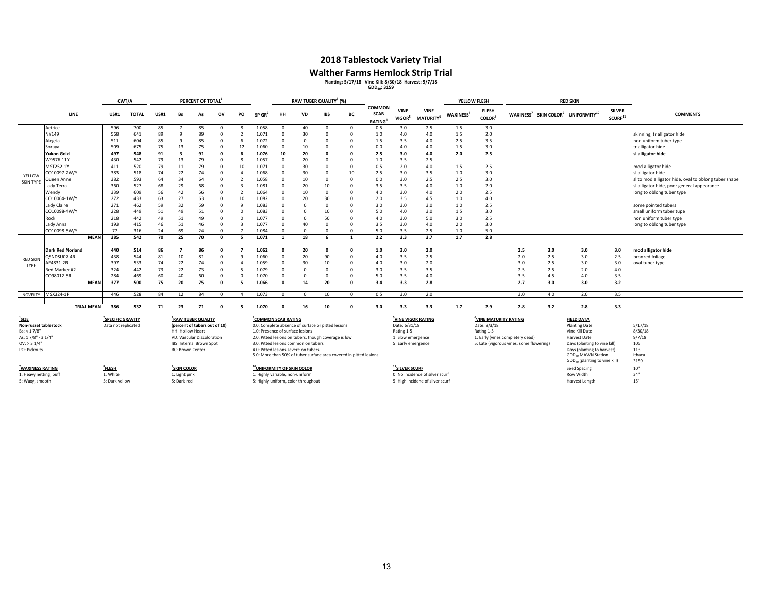### **2018 Tablestock Variety Trial**

# Walther Farms Hemlock Strip Trial<br>Planting: 5/17/18 Vine Kill: 8/30/18 Harvest: 9/7/18<br><sup>GDD<sub>40</sub>: 3159</sup>

|                        |                         |                   | CWT/A                         |              |             |                                | PERCENT OF TOTAL <sup>3</sup> |            |                          |                                        | RAW TUBER QUALITY <sup>3</sup> (%) |                                      |                                                                    |                         |                                        |                                   | YELLOW FLESH                     |                       |                                           | <b>RED SKIN</b> |     |                                                                        |                                      |                                                      |
|------------------------|-------------------------|-------------------|-------------------------------|--------------|-------------|--------------------------------|-------------------------------|------------|--------------------------|----------------------------------------|------------------------------------|--------------------------------------|--------------------------------------------------------------------|-------------------------|----------------------------------------|-----------------------------------|----------------------------------|-----------------------|-------------------------------------------|-----------------|-----|------------------------------------------------------------------------|--------------------------------------|------------------------------------------------------|
|                        | LINE                    |                   | <b>US#1</b>                   | <b>TOTAL</b> | <b>US#1</b> | Bs                             | As                            | ov         | PO                       | SP GR                                  | HH                                 | VD                                   | <b>IBS</b>                                                         | BC                      | COMMON<br><b>SCAB</b><br><b>RATING</b> | <b>VINE</b><br>VIGOR <sup>5</sup> | <b>VINE</b><br><b>MATURITY</b>   | WAXINESS <sup>7</sup> | <b>FLESH</b><br><b>COLOR</b> <sup>8</sup> |                 |     | WAXINESS <sup>7</sup> SKIN COLOR <sup>9</sup> UNIFORMITY <sup>10</sup> | <b>SILVER</b><br>SCURF <sup>11</sup> | <b>COMMENTS</b>                                      |
|                        | Actrice                 |                   | 596                           | 700          | 85          |                                | 85                            | $\Omega$   | 8                        | 1.058                                  | $\Omega$                           | 40                                   | $\Omega$                                                           | $\mathbf 0$             | 0.5                                    | 3.0                               | 2.5                              | 1.5                   | 3.0                                       |                 |     |                                                                        |                                      |                                                      |
|                        | NY149                   |                   | 568                           | 641          | 89          | $\mathbf{q}$                   | 89                            | $\Omega$   | $\overline{\phantom{a}}$ | 1.071                                  | $\Omega$                           | 30                                   | $\Omega$                                                           | $\Omega$                | 1.0                                    | 4.0                               | 4.0                              | 1.5                   | 2.0                                       |                 |     |                                                                        |                                      | skinning, tr alligator hide                          |
|                        | Alegria                 |                   | 511                           | 604          | 85          | 9                              | 85                            | $\Omega$   | 6                        | 1.072                                  | $\Omega$                           | $\Omega$                             | C                                                                  | $\Omega$                | 1.5                                    | 3.5                               | 4.0                              | 2.5                   | 3.5                                       |                 |     |                                                                        |                                      | non uniform tuber type                               |
|                        | Soraya                  |                   | 509                           | 675          | 75          | 13                             | 75                            | $\Omega$   | 12                       | 1.060                                  | $\Omega$                           | 10                                   | C                                                                  | $^{\circ}$              | 0.0                                    | 4.0                               | 4.0                              | 1.5                   | 3.0                                       |                 |     |                                                                        |                                      | tr alligator hide                                    |
|                        | <b>Yukon Gold</b>       |                   | 497                           | 548          | 91          | $\overline{\mathbf{3}}$        | 91                            | $\Omega$   |                          | 1.076                                  | 10                                 | 20                                   |                                                                    | $\Omega$                | 2.5                                    | 3.0                               | 4.0                              | 2.0                   | 2.5                                       |                 |     |                                                                        |                                      | sl alligator hide                                    |
|                        | W9576-11Y               |                   | 430                           | 542          | 79          | 13                             | 79                            | $\Omega$   | 8                        | 1.057                                  | n                                  | 20                                   | C                                                                  | $\Omega$                | 1.0                                    | 3.5                               | 2.5                              |                       | $\sim$                                    |                 |     |                                                                        |                                      |                                                      |
|                        | MST252-1Y               |                   | 411                           | 520          | 79          | 11                             | 79                            | $\Omega$   | 10                       | 1.071                                  | $\Omega$                           | 30                                   |                                                                    | $^{\circ}$              | 0.5                                    | 2.0                               | 4.0                              | 1.5                   | 2.5                                       |                 |     |                                                                        |                                      | mod alligator hide                                   |
| YELLOW                 | CO10097-2W/Y            |                   | 383                           | 518          | 74          | 22                             | 74                            | $\Omega$   | $\Delta$                 | 1.068                                  | n                                  | 30                                   | C                                                                  | 10                      | 2.5                                    | 3.0                               | 3.5                              | 1.0                   | 3.0                                       |                 |     |                                                                        |                                      | sl alligator hide                                    |
| SKIN TYPE              | Queen Anne              |                   | 382                           | 593          | 64          | 34                             | 64                            | $\Omega$   |                          | 1.058                                  | n                                  | 10                                   | $\Omega$                                                           | $\Omega$                | 0.0                                    | 3.0                               | 2.5                              | 2.5                   | 3.0                                       |                 |     |                                                                        |                                      | sl to mod alligator hide, oval to oblong tuber shape |
|                        | Lady Terra              |                   | 360                           | 527          | 68          | 29                             | 68                            | $\Omega$   | 3                        | 1.081                                  | $\Omega$                           | 20                                   | 10                                                                 | $\Omega$                | 3.5                                    | 3.5                               | 4.0                              | 1.0                   | 2.0                                       |                 |     |                                                                        |                                      | sl alligator hide, poor general appearance           |
|                        | Wendy                   |                   | 339                           | 609          | 56          | 42                             | 56                            | $\Omega$   | $\overline{2}$           | 1.064                                  | $\Omega$                           | 10                                   | $\Omega$                                                           | $\Omega$                | 4.0                                    | 3.0                               | 4.0                              | 2.0                   | 2.5                                       |                 |     |                                                                        |                                      | long to oblong tuber type                            |
|                        | CO10064-1W/Y            |                   | 272                           | 433          | 63          | 27                             | 63                            | $\Omega$   | 10                       | 1.082                                  | $\Omega$                           | 20                                   | 30                                                                 | $\Omega$                | 2.0                                    | 3.5                               | 4.5                              | 1.0                   | $4.0$                                     |                 |     |                                                                        |                                      |                                                      |
|                        | Lady Claire             |                   | 271                           | 462          | 59          | 32                             | 59                            | $\Omega$   | 9                        | 1.083                                  | $\Omega$                           | $\Omega$                             | $\Omega$                                                           | $\Omega$                | 3.0                                    | 3.0                               | 3.0                              | 1.0                   | 2.5                                       |                 |     |                                                                        |                                      | some pointed tubers                                  |
|                        | CO10098-4W/Y            |                   | 228                           | 449          | 51          | 49                             | 51                            | $\Omega$   | $\Omega$                 | 1.083                                  | $\Omega$                           | $\Omega$                             | 10                                                                 | $\Omega$                | 5.0                                    | 4.0                               | 3.0                              | 1.5                   | 3.0                                       |                 |     |                                                                        |                                      | small uniform tuber tupe                             |
|                        | Rock                    |                   | 218                           | 442          | 49          | 51                             | 49                            | $\Omega$   | $\Omega$                 | 1.077                                  | $\Omega$                           | $\Omega$                             | 50                                                                 | $\Omega$                | 4.0                                    | 3.0                               | 5.0                              | 3.0                   | 2.5                                       |                 |     |                                                                        |                                      | non uniform tuber type                               |
|                        | Lady Anna               |                   | 193                           | 415          | 46          | 51                             | 46                            | $\Omega$   | 3                        | 1.077                                  | n                                  | 40                                   | $\Omega$                                                           | $^{\circ}$              | 3.5                                    | 3.0                               | 4.0                              | 2.0                   | 3.0                                       |                 |     |                                                                        |                                      | long to oblong tuber type                            |
|                        | CO10098-5W/Y            |                   | 77                            | 316          | 24          | 69                             | 24                            | $\Omega$   | $\overline{7}$           | 1.084                                  | $\Omega$                           | $\Omega$                             | $\Omega$                                                           | $\Omega$                | 5.0                                    | 3.5                               | 2.5                              | 1.0                   | 5.0                                       |                 |     |                                                                        |                                      |                                                      |
|                        |                         | <b>MEAN</b>       | 385                           | 542          | 70          | 25                             | 70                            | $\Omega$   | 5                        | 1.071                                  | $\mathbf{1}$                       | 18                                   | 6                                                                  | $\overline{\mathbf{1}}$ | 2.2                                    | 3.3                               | 3.7                              | 1.7                   | 2.8                                       |                 |     |                                                                        |                                      |                                                      |
|                        | <b>Dark Red Norland</b> |                   | 440                           | 514          | 86          | 7                              | 86                            | $\Omega$   |                          | 1.062                                  | $\mathbf{0}$                       | 20                                   | $\Omega$                                                           | $\Omega$                | 1.0                                    | 3.0                               | 2.0                              |                       |                                           | 2.5             | 3.0 | 3.0                                                                    | 3.0                                  | mod alligator hide                                   |
| <b>RED SKIN</b>        | QSNDSU07-4R             |                   | 438                           | 544          | 81          | 10                             | 81                            | $\Omega$   | q                        | 1.060                                  | $\Omega$                           | 20                                   | 90                                                                 | $\Omega$                | 4.0                                    | 3.5                               | 2.5                              |                       |                                           | 2.0             | 2.5 | 3.0                                                                    | 2.5                                  | bronzed foliage                                      |
| TYPE                   | AF4831-2R               |                   | 397                           | 533          | 74          | 22                             | 74                            | $\Omega$   | $\overline{4}$           | 1.059                                  | $\Omega$                           | 30                                   | 10                                                                 | $\Omega$                | 4.0                                    | 3.0                               | 2.0                              |                       |                                           | 3.0             | 2.5 | 3.0                                                                    | 3.0                                  | oval tuber type                                      |
|                        | Red Marker #2           |                   | 324                           | 442          | 73          | 22                             | 73                            | $\Omega$   | 5                        | 1.079                                  | $\Omega$                           | $\Omega$                             | $\Omega$                                                           | $\Omega$                | 3.0                                    | 3.5                               | 3.5                              |                       |                                           | 2.5             | 2.5 | 2.0                                                                    | 4.0                                  |                                                      |
|                        | CO98012-5R              |                   | 284                           | 469          | 60          | 40                             | 60                            | $\Omega$   | $\Omega$                 | 1.070                                  | $\Omega$                           | $\Omega$                             | $\Omega$                                                           | $\Omega$                | 5.0                                    | 3.5                               | 4.0                              |                       |                                           | 3.5             | 4.5 | 4.0                                                                    | 3.5                                  |                                                      |
|                        |                         | <b>MEAN</b>       | 377                           | 500          | 75          | 20                             | 75                            | $\Omega$   | 5                        | 1.066                                  | $\mathbf{0}$                       | 14                                   | 20                                                                 | $\mathbf 0$             | 3.4                                    | 3.3                               | 2.8                              |                       |                                           | 2.7             | 3.0 | 3.0                                                                    | 3.2                                  |                                                      |
|                        | NOVELTY MSX324-1P       |                   | 446                           | 528          | 84          | 12                             | 84                            | $^{\circ}$ | $\overline{4}$           | 1.073                                  | $\Omega$                           | $\Omega$                             | 10                                                                 | $^{\circ}$              | 0.5                                    | 3.0                               | 2.0                              |                       |                                           | 3.0             | 4.0 | 2.0                                                                    | 3.5                                  |                                                      |
|                        |                         | <b>TRIAL MEAN</b> | 386                           | 532          | 71          | 23                             | 71                            | $\Omega$   | - 5                      | 1.070                                  | $\Omega$                           | 16                                   | 10                                                                 | $\Omega$                | 3.0                                    | 3.3                               | 3.3                              | 1.7                   | 2.9                                       | 2.8             | 3.2 | 2.8                                                                    | 3.3                                  |                                                      |
|                        |                         |                   |                               |              |             |                                |                               |            |                          |                                        |                                    |                                      |                                                                    |                         |                                        |                                   |                                  |                       |                                           |                 |     |                                                                        |                                      |                                                      |
| $^{1}$ SIZE            |                         |                   | <sup>2</sup> SPECIFIC GRAVITY |              |             | <sup>3</sup> RAW TUBER QUALITY |                               |            |                          | <sup>4</sup> COMMON SCAB RATING        |                                    |                                      |                                                                    |                         |                                        |                                   | <sup>5</sup> VINE VIGOR RATING   |                       | <sup>6</sup> VINE MATURITY RATING         |                 |     | <b>FIELD DATA</b>                                                      |                                      |                                                      |
| Non-russet tablestock  |                         |                   | Data not replicated           |              |             | (percent of tubers out of 10)  |                               |            |                          |                                        |                                    |                                      | 0.0: Complete absence of surface or pitted lesions                 |                         |                                        | Date: 6/31/18                     |                                  |                       | Date: 8/3/18                              |                 |     | <b>Planting Date</b>                                                   |                                      | 5/17/18                                              |
| Bs: < 1.7/8"           |                         |                   |                               |              |             | <b>HH: Hollow Heart</b>        |                               |            |                          | 1.0: Presence of surface lesions       |                                    |                                      |                                                                    |                         |                                        | Rating 1-5                        |                                  |                       | Rating 1-5                                |                 |     | Vine Kill Date                                                         |                                      | 8/30/18                                              |
| As: 17/8" - 3 1/4"     |                         |                   |                               |              |             | VD: Vascular Discoloration     |                               |            |                          |                                        |                                    |                                      | 2.0: Pitted lesions on tubers, though coverage is low              |                         |                                        | 1: Slow emergence                 |                                  |                       | 1: Early (vines completely dead)          |                 |     | Harvest Date                                                           |                                      | 9/7/18                                               |
| $OV:$ > 3 $1/4"$       |                         |                   |                               |              |             | IBS: Internal Brown Spot       |                               |            |                          |                                        |                                    | 3.0: Pitted lesions common on tubers |                                                                    |                         |                                        | 5: Early emergence                |                                  |                       | 5: Late (vigorous vines, some flowering)  |                 |     | Days (planting to vine kill)                                           |                                      | 105                                                  |
| PO: Pickouts           |                         |                   |                               |              |             | <b>BC: Brown Center</b>        |                               |            |                          |                                        |                                    | 4.0: Pitted lesions severe on tubers |                                                                    |                         |                                        |                                   |                                  |                       |                                           |                 |     | Days (planting to harvest)                                             |                                      | 113                                                  |
|                        |                         |                   |                               |              |             |                                |                               |            |                          |                                        |                                    |                                      | 5.0: More than 50% of tuber surface area covered in pitted lesions |                         |                                        |                                   |                                  |                       |                                           |                 |     | GDD <sub>40</sub> MAWN Station                                         |                                      | Ithaca                                               |
|                        |                         |                   |                               |              |             |                                |                               |            |                          |                                        |                                    |                                      |                                                                    |                         |                                        |                                   |                                  |                       |                                           |                 |     | GDD <sub>40</sub> (planting to vine kill)                              |                                      | 3159                                                 |
| WAXINESS RATING        |                         |                   | <sup>8</sup> FLESH            |              |             | <sup>9</sup> SKIN COLOR        |                               |            |                          | <sup>10</sup> UNIFORMITY OF SKIN COLOR |                                    |                                      |                                                                    |                         |                                        | <sup>11</sup> SILVER SCURF        |                                  |                       |                                           |                 |     | Seed Spacing                                                           |                                      | $10"$                                                |
| 1: Heavy netting, buff |                         |                   | 1: White                      |              |             | 1: Light pink                  |                               |            |                          | 1: Highly variable, non-uniform        |                                    |                                      |                                                                    |                         |                                        |                                   | 0: No incidence of silver scurf  |                       |                                           |                 |     | <b>Row Width</b>                                                       |                                      | 34"                                                  |
| 5: Waxy, smooth        |                         |                   | 5: Dark yellow                |              |             | 5: Dark red                    |                               |            |                          |                                        |                                    | 5: Highly uniform, color throughout  |                                                                    |                         |                                        |                                   | 5: High incidene of silver scurf |                       |                                           |                 |     | Harvest Length                                                         |                                      | 15'                                                  |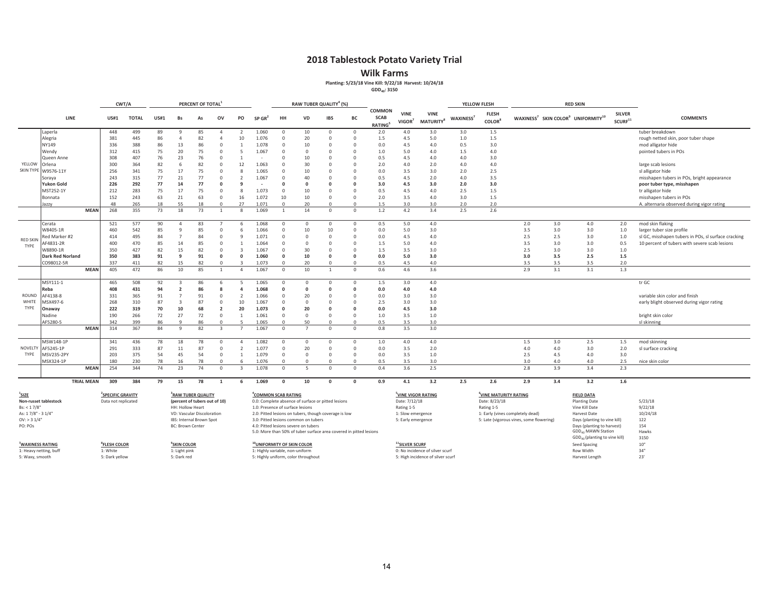**Wilk Farms**

**Planting: 5/23/18 Vine Kill: 9/22/18 Harvest: 10/24/18**

**GDD40: 3150**

|                                                                                               |                                                                                                                                     |                   | CWT/A                         |                            |             |                     | PERCENT OF TOTAL               |                                          |                          |                                  | RAW TUBER QUALITY <sup>4</sup> (%) |                                                                    | YELLOW FLESH         |                        | <b>RED SKIN</b>                        |                                   |                                             |                       |                                           |                                  |     |                                                                        |                                      |                                                     |
|-----------------------------------------------------------------------------------------------|-------------------------------------------------------------------------------------------------------------------------------------|-------------------|-------------------------------|----------------------------|-------------|---------------------|--------------------------------|------------------------------------------|--------------------------|----------------------------------|------------------------------------|--------------------------------------------------------------------|----------------------|------------------------|----------------------------------------|-----------------------------------|---------------------------------------------|-----------------------|-------------------------------------------|----------------------------------|-----|------------------------------------------------------------------------|--------------------------------------|-----------------------------------------------------|
|                                                                                               | <b>LINE</b>                                                                                                                         |                   | <b>US#1</b>                   | <b>TOTAL</b>               | <b>US#1</b> | Bs                  | As                             | ov                                       | PO                       | $SP$ GR <sup>2</sup>             | HH                                 | <b>VD</b>                                                          | <b>IBS</b>           | BC                     | COMMON<br><b>SCAB</b><br><b>RATING</b> | <b>VINE</b><br>VIGOR <sup>7</sup> | <b>VINE</b><br><b>MATURITY</b> <sup>8</sup> | WAXINESS <sup>7</sup> | <b>FLESH</b><br><b>COLOR</b> <sup>8</sup> |                                  |     | WAXINESS <sup>7</sup> SKIN COLOR <sup>9</sup> UNIFORMITY <sup>10</sup> | <b>SILVER</b><br>SCURF <sup>11</sup> | <b>COMMENTS</b>                                     |
|                                                                                               | Laperla                                                                                                                             |                   | 448                           | 499                        | 89          | 9                   | 85                             | $\overline{4}$                           |                          | 1.060                            | $\circ$                            | 10                                                                 | $\circ$              | $\mathbf{0}$           | 2.0                                    | 4.0                               | 3.0                                         | 3.0                   | 1.5                                       |                                  |     |                                                                        |                                      | tuber breakdown                                     |
|                                                                                               | Alegria                                                                                                                             |                   | 381                           | 445                        | 86          | $\Delta$            | 82                             | $\Lambda$                                | 10                       | 1.076                            | $\overline{0}$                     | 20                                                                 | $\Omega$             | $\Omega$               | 1.5                                    | 4.5                               | 5.0                                         | 1.0                   | 1.5                                       |                                  |     |                                                                        |                                      | rough netted skin, poor tuber shape                 |
|                                                                                               | NY149                                                                                                                               |                   | 336                           | 388                        | 86          | 13                  | 86                             | $\Omega$                                 |                          | 1.078                            | $\Omega$                           | 10                                                                 | $\Omega$             | $\Omega$               | 0.0                                    | 4.5                               | 4.0                                         | 0.5                   | 3.0                                       |                                  |     |                                                                        |                                      | mod alligator hide                                  |
|                                                                                               | Wendy                                                                                                                               |                   | 312                           | 415                        | 75          | 20                  | 75                             | $\Omega$                                 | 5                        | 1.067                            | $\Omega$                           | $\Omega$                                                           | $\Omega$             | $\Omega$               | 1.0                                    | 5.0                               | 4.0                                         | 1.5                   | 4.0                                       |                                  |     |                                                                        |                                      | pointed tubers in POs                               |
|                                                                                               | Queen Anne                                                                                                                          |                   | 308                           | 407                        | 76          | 23                  | 76                             | $\Omega$                                 | $\overline{1}$           | i.                               | $\Omega$                           | 10                                                                 | $\Omega$             | $\Omega$               | 0.5                                    | 4.5                               | 4.0                                         | 4.0                   | 3.0                                       |                                  |     |                                                                        |                                      |                                                     |
| YELLOW                                                                                        | Orlena                                                                                                                              |                   | 300                           | 364                        | 82          | 6                   | 82                             | $\Omega$                                 | 12                       | 1.063                            | $\Omega$                           | 30                                                                 | $\Omega$             | $\Omega$               | 2.0                                    | 4.0                               | 2.0                                         | 4.0                   | 4.0                                       |                                  |     |                                                                        |                                      | large scab lesions                                  |
| <b>SKIN TYPE</b>                                                                              | W9576-11Y                                                                                                                           |                   | 256                           | 341                        | 75          | 17                  | 75                             | $\Omega$                                 | 8                        | 1.065                            | $\Omega$                           | 10                                                                 | $\Omega$             | $\Omega$               | 0.0                                    | 3.5                               | 3.0                                         | 2.0                   | 2.5                                       |                                  |     |                                                                        |                                      | sl alligator hide                                   |
|                                                                                               | Soraya                                                                                                                              |                   | 243                           | 315                        | 77          | 21                  | 77                             | $\Omega$                                 | $\overline{2}$           | 1.067                            | $\Omega$                           | 40                                                                 | $\Omega$             | $\Omega$               | 0.5                                    | 4.5                               | 2.0                                         | 4.0                   | 3.5                                       |                                  |     |                                                                        |                                      | misshapen tubers in POs, bright appearance          |
|                                                                                               | Yukon Gold                                                                                                                          |                   | 226                           | 292                        | 77          | 14                  | 77                             | $\Omega$                                 | q                        |                                  | $\Omega$                           | 0                                                                  |                      | $\Omega$               | 3.0                                    | 4.5                               | 3.0                                         | 2.0                   | 3.0                                       |                                  |     |                                                                        |                                      | poor tuber type, misshapen                          |
|                                                                                               | MST252-1Y                                                                                                                           |                   | 212                           | 283                        | 75          | 17                  | 75                             | $\Omega$                                 | 8                        | 1.073                            | $\Omega$                           | 10                                                                 | $\Omega$             | $\Omega$               | 0.5                                    | 4.5                               | 4.0                                         | 2.5                   | 1.5                                       |                                  |     |                                                                        |                                      | tr alligator hide                                   |
|                                                                                               | Bonnata                                                                                                                             |                   | 152                           | 243                        | 63          | 21                  | 63                             | $\Omega$                                 | 16                       | 1.072                            | 10                                 | 10                                                                 | $\Omega$             | $\Omega$               | 2.0                                    | 3.5                               | 4.0                                         | 3.0                   | 1.5                                       |                                  |     |                                                                        |                                      | misshapen tubers in POs                             |
|                                                                                               | azzy                                                                                                                                |                   | 48                            | 265                        | 18          | 55                  | 18                             | $\Omega$                                 | 27                       | 1.071                            | $\Omega$                           | 20                                                                 | $\Omega$             | $\Omega$               | 1.5                                    | 3.0                               | 3.0                                         | 2.0                   | 2.0                                       |                                  |     |                                                                        |                                      | A. alternaria observed during vigor rating          |
|                                                                                               |                                                                                                                                     | <b>MEAN</b>       | 268                           | 355                        | 73          | 18                  | 73                             | $\overline{1}$                           | 8                        | 1.069                            | <sup>1</sup>                       | 14                                                                 | $\circ$              | $\circ$                | 1.2                                    | 4.2                               | 3.4                                         | 2.5                   | 2.6                                       |                                  |     |                                                                        |                                      |                                                     |
|                                                                                               |                                                                                                                                     |                   |                               |                            |             |                     |                                |                                          |                          |                                  |                                    |                                                                    |                      |                        |                                        |                                   |                                             |                       |                                           |                                  |     |                                                                        |                                      |                                                     |
|                                                                                               | Cerata                                                                                                                              |                   | 521                           | 577                        | 90          | $\overline{4}$      | 83                             |                                          | 6                        | 1.068                            | $\overline{0}$                     | $\mathbf{0}$                                                       | $\overline{0}$       | $^{\circ}$             | 0.5                                    | 5.0                               | 4.0                                         |                       |                                           | 2.0                              | 3.0 | 4.0                                                                    | 2.0                                  | mod skin flaking                                    |
|                                                                                               | W8405-1R                                                                                                                            |                   | 460                           | 542                        | 85          | 9                   | 85                             | $\Omega$                                 | 6                        | 1.066                            | $\overline{0}$                     | 10                                                                 | 10                   | $\Omega$               | 0.0                                    | 5.0                               | 3.0                                         |                       |                                           | 3.5                              | 3.0 | 3.0                                                                    | 1.0                                  | larger tuber size profile                           |
| <b>RED SKIN</b>                                                                               | Red Marker #2                                                                                                                       |                   | 414                           | 495                        | 84          | $\overline{7}$      | 84                             | $\Omega$                                 | 9                        | 1.071                            | $\circ$                            | $\mathbf{0}$                                                       | $\Omega$             | $^{\circ}$             | 0.0                                    | 4.5                               | 4.0                                         |                       |                                           | 2.5                              | 2.5 | 3.0                                                                    | 1.0                                  | sl GC, misshapen tubers in POs, sl surface cracking |
| TYPE                                                                                          | AF4831-2R                                                                                                                           |                   | 400                           | 470                        | 85          | 14                  | 85                             | $\Omega$                                 | $\mathbf{1}$             | 1.064                            | $\Omega$                           | $\Omega$                                                           | $\Omega$             | $\Omega$               | 1.5                                    | 5.0                               | 4.0                                         |                       |                                           | 3.5                              | 3.0 | 3.0                                                                    | 0.5                                  | 10 percent of tubers with severe scab lesions       |
|                                                                                               | W8890-1R                                                                                                                            |                   | 350                           | 427                        | 82          | 15                  | 82                             | $\Omega$                                 | $\overline{\mathbf{3}}$  | 1.067                            | $\overline{0}$                     | 30                                                                 | $\Omega$             | $\Omega$               | 1.5                                    | 3.5                               | 3.0                                         |                       |                                           | 2.5                              | 3.0 | 3.0                                                                    | 1.0                                  |                                                     |
|                                                                                               | <b>Dark Red Norland</b>                                                                                                             |                   | 350                           | 383                        | 91          | 9                   | 91                             | $\Omega$                                 | $\Omega$                 | 1.060                            | $\mathbf 0$                        | 10                                                                 | n                    | $\Omega$               | 0.0                                    | 5.0                               | 3.0                                         |                       |                                           | 3.0                              | 3.5 | 2.5                                                                    | 1.5                                  |                                                     |
|                                                                                               | CO98012-5R                                                                                                                          |                   | 337                           | 411                        | 82          | 15                  | 82                             | $\Omega$                                 |                          | 1.073                            | $\Omega$                           | 20                                                                 | $\Omega$             | $\Omega$               | 0.5                                    | 4.5                               | 4.0                                         |                       |                                           | 3.5                              | 3.5 | 3.5                                                                    | 2.0                                  |                                                     |
|                                                                                               |                                                                                                                                     | <b>MEAN</b>       | 405                           | 472                        | 86          | 10                  | 85                             | $\overline{1}$                           | $\overline{4}$           | 1.067                            | $\Omega$                           | 10                                                                 | $\mathbf{1}$         | $\Omega$               | 0.6                                    | 4.6                               | 3.6                                         |                       |                                           | 2.9                              | 3.1 | 3.1                                                                    | 1.3                                  |                                                     |
|                                                                                               |                                                                                                                                     |                   |                               |                            |             |                     |                                |                                          |                          |                                  |                                    |                                                                    |                      |                        |                                        |                                   |                                             |                       |                                           |                                  |     |                                                                        |                                      |                                                     |
|                                                                                               | MSY111-1                                                                                                                            |                   | 465                           | 508                        | 92<br>94    | 3<br>$\overline{2}$ | 86<br>86                       |                                          | 5<br>$\Delta$            | 1.065<br>1.068                   | $\circ$<br>$\Omega$                | $\circ$<br>$\Omega$                                                | $\Omega$             | $^{\circ}$<br>$\Omega$ | 1.5                                    | 3.0                               | 4.0                                         |                       |                                           |                                  |     |                                                                        |                                      | tr GC                                               |
| ROUND                                                                                         | Reba                                                                                                                                |                   | 408                           | 431                        |             | $\overline{7}$      |                                | $\Omega$                                 | $\overline{\phantom{a}}$ |                                  | $\Omega$                           |                                                                    | $\Omega$             | $\Omega$               | 0.0                                    | 4.0                               | 4.0                                         |                       |                                           |                                  |     |                                                                        |                                      | variable skin color and finish                      |
| WHITE                                                                                         | AF4138-8                                                                                                                            |                   | 331                           | 365                        | 91<br>87    | $\overline{3}$      | 91<br>87                       | $\Omega$                                 |                          | 1.066                            |                                    | 20                                                                 | $\Omega$             |                        | 0.0                                    | 3.0                               | 3.0                                         |                       |                                           |                                  |     |                                                                        |                                      |                                                     |
| TYPE                                                                                          | MSX497-6                                                                                                                            |                   | 268                           | 310                        |             |                     |                                |                                          | 10                       | 1.067                            | $\overline{0}$                     | $\mathbf{0}$                                                       |                      | $\Omega$               | 2.5                                    | 3.0                               | 3.0                                         |                       |                                           |                                  |     |                                                                        |                                      | early blight observed during vigor rating           |
|                                                                                               | Onaway                                                                                                                              |                   | 222                           | 319                        | 70          | 10                  | 68                             | $\overline{2}$                           | 20                       | 1.073                            | $\Omega$                           | 20                                                                 | n                    | $\Omega$               | 0.0                                    | 4.5                               | 3.0                                         |                       |                                           |                                  |     |                                                                        |                                      |                                                     |
|                                                                                               | Vadine                                                                                                                              |                   | 190                           | 266                        | 72          | 27<br>q             | 72<br>86                       | $\circ$<br>$\Omega$                      | $\overline{1}$           | 1.061<br>1.065                   | $\circ$                            | $\Omega$<br>50                                                     | $\Omega$<br>$\Omega$ | $\Omega$<br>$\Omega$   | 1.0<br>0.5                             | 3.5                               | 1.0                                         |                       |                                           |                                  |     |                                                                        |                                      | bright skin color                                   |
|                                                                                               | AF5280-5                                                                                                                            | <b>MEAN</b>       | 342<br>314                    | 399<br>367                 | 86<br>84    | 9                   | 82                             |                                          |                          | 1.067                            | $\overline{0}$<br>$\Omega$         | $\overline{7}$                                                     | $\Omega$             | $\Omega$               | 0.8                                    | 3.5<br>3.5                        | 3.0<br>3.0                                  |                       |                                           |                                  |     |                                                                        |                                      | sl skinning                                         |
|                                                                                               |                                                                                                                                     |                   |                               |                            |             |                     |                                |                                          |                          |                                  |                                    |                                                                    |                      |                        |                                        |                                   |                                             |                       |                                           |                                  |     |                                                                        |                                      |                                                     |
|                                                                                               | MSW148-1P                                                                                                                           |                   | 341                           | 436                        | 78          | 18                  | 78                             | $\Omega$                                 | $\Delta$                 | 1.082                            | $\overline{0}$                     | $\Omega$                                                           | $\Omega$             | $\Omega$               | 1.0                                    | 4.0                               | 4.0                                         |                       |                                           | 1.5                              | 3.0 | 2.5                                                                    | 1.5                                  | mod skinning                                        |
| <b>NOVELTY</b>                                                                                | AF5245-1P                                                                                                                           |                   | 291                           | 333                        | 87          | 11                  | 87                             | $\Omega$                                 | $\overline{2}$           | 1.077                            | $\overline{0}$                     | 20                                                                 | $\Omega$             | $^{\circ}$             | 0.0                                    | 3.5                               | 2.0                                         |                       |                                           | 4.0                              | 4.0 | 3.0                                                                    | 2.0                                  | sl surface cracking                                 |
| TYPE                                                                                          | <b>MSV235-2PY</b>                                                                                                                   |                   | 203                           | 375                        | 54          | 45                  | 54                             | $\Omega$                                 | $\mathbf{1}$             | 1.079                            | $\overline{0}$                     | $\mathbf 0$                                                        | $\Omega$             | $^{\circ}$             | 0.0                                    | 3.5                               | 1.0                                         |                       |                                           | 2.5                              | 4.5 | 4.0                                                                    | 3.0                                  |                                                     |
|                                                                                               | MSX324-1P                                                                                                                           |                   | 180                           | 230                        | 78          | 16                  | 78                             | $\Omega$                                 | 6                        | 1.076                            | $\Omega$                           | $\Omega$                                                           | $\Omega$             | $\Omega$               | 0.5                                    | 3.5                               | 3.0                                         |                       |                                           | 3.0                              | 4.0 | 4.0                                                                    | 2.5                                  | nice skin color                                     |
|                                                                                               |                                                                                                                                     | <b>MEAN</b>       | 254                           | 344                        | 74          | 23                  | 74                             | $\Omega$                                 | $\mathbf{R}$             | 1.078                            | $\overline{0}$                     | 5                                                                  | $\overline{0}$       | $\Omega$               | 0.4                                    | 3.6                               | 2.5                                         |                       |                                           | 2.8                              | 3.9 | 3.4                                                                    | 2.3                                  |                                                     |
|                                                                                               |                                                                                                                                     | <b>TRIAL MEAN</b> | 309                           | 384                        | 79          | 15                  | 78                             | 1                                        | 6                        | 1.069                            | $\mathbf{0}$                       | 10                                                                 | $\Omega$             | $\mathbf 0$            | 0.9                                    | 4.1                               | 3.2                                         | 2.5                   | 2.6                                       | 2.9                              | 3.4 | 3.2                                                                    | 1.6                                  |                                                     |
|                                                                                               |                                                                                                                                     |                   |                               |                            |             |                     |                                |                                          |                          |                                  |                                    |                                                                    |                      |                        |                                        |                                   |                                             |                       |                                           |                                  |     |                                                                        |                                      |                                                     |
| $1$ SIZE                                                                                      |                                                                                                                                     |                   | <sup>2</sup> SPECIFIC GRAVITY |                            |             |                     | <sup>3</sup> RAW TUBER QUALITY |                                          |                          | <sup>4</sup> COMMON SCAB RATING  |                                    |                                                                    |                      |                        |                                        |                                   | <sup>5</sup> VINE VIGOR RATING              |                       | <sup>6</sup> VINE MATURITY RATING         |                                  |     | <b>FIELD DATA</b>                                                      |                                      |                                                     |
|                                                                                               | Non-russet tablestock                                                                                                               |                   | Data not replicated           |                            |             |                     | (percent of tubers out of 10)  |                                          |                          |                                  |                                    | 0.0: Complete absence of surface or pitted lesions                 |                      |                        |                                        | Date: 7/12/18                     |                                             |                       | Date: 8/23/18                             |                                  |     | <b>Planting Date</b>                                                   |                                      | 5/23/18                                             |
| Bs: < 1.7/8"                                                                                  |                                                                                                                                     |                   |                               |                            |             | HH: Hollow Heart    |                                |                                          |                          | 1.0: Presence of surface lesions |                                    |                                                                    |                      |                        |                                        | Rating 1-5                        |                                             |                       | Rating 1-5                                |                                  |     | Vine Kill Date                                                         |                                      | 9/22/18                                             |
| As: 17/8" - 31/4"<br>$OV:$ > 3 $1/4"$                                                         |                                                                                                                                     |                   |                               |                            |             |                     | VD: Vascular Discoloration     |                                          |                          |                                  |                                    | 2.0: Pitted lesions on tubers, though coverage is low              |                      |                        |                                        | 1: Slow emergence                 |                                             |                       |                                           | 1: Early (vines completely dead) |     | <b>Harvest Date</b>                                                    |                                      | 10/24/18<br>122                                     |
|                                                                                               | IBS: Internal Brown Spot<br>3.0: Pitted lesions common on tubers<br><b>BC: Brown Center</b><br>4.0: Pitted lesions severe on tubers |                   |                               | 5: Early emergence         |             |                     |                                | 5: Late (vigorous vines, some flowering) |                          | Days (planting to vine kill)     |                                    | 154                                                                |                      |                        |                                        |                                   |                                             |                       |                                           |                                  |     |                                                                        |                                      |                                                     |
| PO: POs                                                                                       |                                                                                                                                     |                   |                               |                            |             |                     |                                |                                          |                          |                                  |                                    | 5.0: More than 50% of tuber surface area covered in pitted lesions |                      |                        |                                        |                                   |                                             |                       |                                           |                                  |     | Days (planting to harvest)<br>GDD <sub>40</sub> MAWN Station           |                                      | Hawks                                               |
|                                                                                               |                                                                                                                                     |                   |                               |                            |             |                     |                                |                                          |                          |                                  |                                    |                                                                    |                      |                        |                                        |                                   |                                             |                       |                                           |                                  |     | GDD <sub>40</sub> (planting to vine kill)                              |                                      | 3150                                                |
| <sup>10</sup> UNIFORMITY OF SKIN COLOR<br>WAXINESS RATING<br><b>FLESH COLOR</b><br>SKIN COLOR |                                                                                                                                     |                   |                               | <sup>11</sup> SILVER SCURF |             |                     |                                |                                          |                          | Seed Spacing                     |                                    | 10"                                                                |                      |                        |                                        |                                   |                                             |                       |                                           |                                  |     |                                                                        |                                      |                                                     |
| 1: Heavy netting, buff                                                                        |                                                                                                                                     |                   | 1: White                      |                            |             | 1: Light pink       |                                |                                          |                          | 1: Highly variable, non-uniform  |                                    |                                                                    |                      |                        |                                        |                                   | 0: No incidence of silver scurf             |                       |                                           |                                  |     | Row Width                                                              |                                      | 34"                                                 |
| 5: Waxy, smooth                                                                               |                                                                                                                                     |                   | 5: Dark vellow                |                            |             | 5: Dark red         |                                |                                          |                          |                                  |                                    | 5: Highly uniform, color throughout                                |                      |                        |                                        |                                   | 5: High incidence of silver scurf           |                       |                                           |                                  |     | Harvest Length                                                         |                                      | 23'                                                 |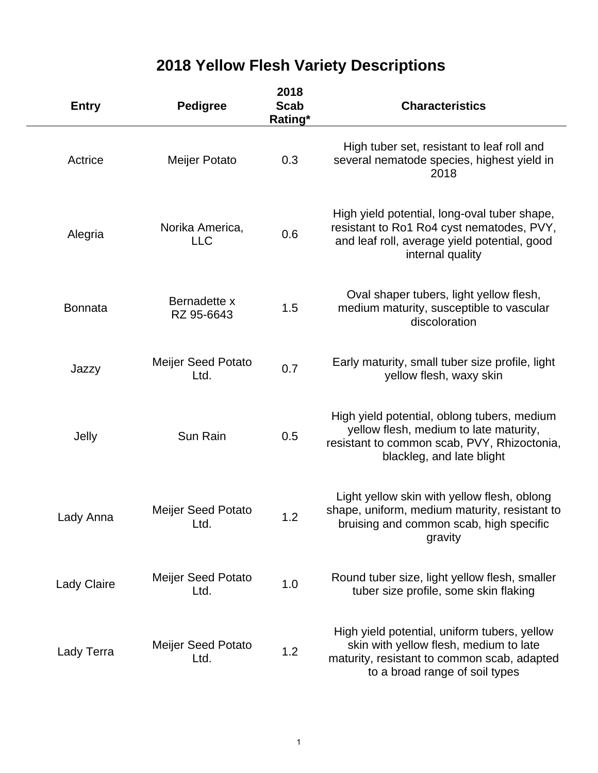# **2018 Yellow Flesh Variety Descriptions**

| <b>Entry</b>       | <b>Pedigree</b>                   | 2018<br><b>Scab</b><br>Rating* | <b>Characteristics</b>                                                                                                                                                  |
|--------------------|-----------------------------------|--------------------------------|-------------------------------------------------------------------------------------------------------------------------------------------------------------------------|
| Actrice            | Meijer Potato                     | 0.3                            | High tuber set, resistant to leaf roll and<br>several nematode species, highest yield in<br>2018                                                                        |
| Alegria            | Norika America,<br><b>LLC</b>     | 0.6                            | High yield potential, long-oval tuber shape,<br>resistant to Ro1 Ro4 cyst nematodes, PVY,<br>and leaf roll, average yield potential, good<br>internal quality           |
| <b>Bonnata</b>     | Bernadette x<br>RZ 95-6643        | 1.5                            | Oval shaper tubers, light yellow flesh,<br>medium maturity, susceptible to vascular<br>discoloration                                                                    |
| Jazzy              | <b>Meijer Seed Potato</b><br>Ltd. | 0.7                            | Early maturity, small tuber size profile, light<br>yellow flesh, waxy skin                                                                                              |
| Jelly              | Sun Rain                          | 0.5                            | High yield potential, oblong tubers, medium<br>yellow flesh, medium to late maturity,<br>resistant to common scab, PVY, Rhizoctonia,<br>blackleg, and late blight       |
| Lady Anna          | <b>Meijer Seed Potato</b><br>Ltd. | 1.2                            | Light yellow skin with yellow flesh, oblong<br>shape, uniform, medium maturity, resistant to<br>bruising and common scab, high specific<br>gravity                      |
| <b>Lady Claire</b> | <b>Meijer Seed Potato</b><br>Ltd. | 1.0                            | Round tuber size, light yellow flesh, smaller<br>tuber size profile, some skin flaking                                                                                  |
| Lady Terra         | Meijer Seed Potato<br>Ltd.        | 1.2                            | High yield potential, uniform tubers, yellow<br>skin with yellow flesh, medium to late<br>maturity, resistant to common scab, adapted<br>to a broad range of soil types |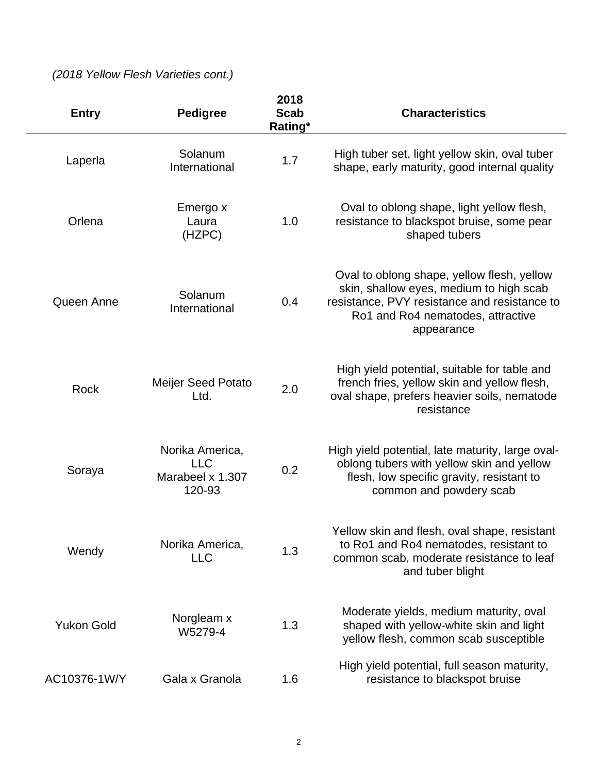## *(2018 Yellow Flesh Varieties cont.)*

| <b>Entry</b>      | <b>Pedigree</b>                                             | 2018<br><b>Scab</b><br>Rating* | <b>Characteristics</b>                                                                                                                                                                   |
|-------------------|-------------------------------------------------------------|--------------------------------|------------------------------------------------------------------------------------------------------------------------------------------------------------------------------------------|
| Laperla           | Solanum<br>International                                    | 1.7                            | High tuber set, light yellow skin, oval tuber<br>shape, early maturity, good internal quality                                                                                            |
| Orlena            | Emergo x<br>Laura<br>(HZPC)                                 | 1.0                            | Oval to oblong shape, light yellow flesh,<br>resistance to blackspot bruise, some pear<br>shaped tubers                                                                                  |
| Queen Anne        | Solanum<br>International                                    | 0.4                            | Oval to oblong shape, yellow flesh, yellow<br>skin, shallow eyes, medium to high scab<br>resistance, PVY resistance and resistance to<br>Ro1 and Ro4 nematodes, attractive<br>appearance |
| Rock              | <b>Meijer Seed Potato</b><br>Ltd.                           | 2.0                            | High yield potential, suitable for table and<br>french fries, yellow skin and yellow flesh,<br>oval shape, prefers heavier soils, nematode<br>resistance                                 |
| Soraya            | Norika America,<br><b>LLC</b><br>Marabeel x 1.307<br>120-93 | 0.2                            | High yield potential, late maturity, large oval-<br>oblong tubers with yellow skin and yellow<br>flesh, low specific gravity, resistant to<br>common and powdery scab                    |
| Wendy             | Norika America,<br><b>LLC</b>                               | 1.3                            | Yellow skin and flesh, oval shape, resistant<br>to Ro1 and Ro4 nematodes, resistant to<br>common scab, moderate resistance to leaf<br>and tuber blight                                   |
| <b>Yukon Gold</b> | Norgleam x<br>W5279-4                                       | 1.3                            | Moderate yields, medium maturity, oval<br>shaped with yellow-white skin and light<br>yellow flesh, common scab susceptible                                                               |
| AC10376-1W/Y      | Gala x Granola                                              | 1.6                            | High yield potential, full season maturity,<br>resistance to blackspot bruise                                                                                                            |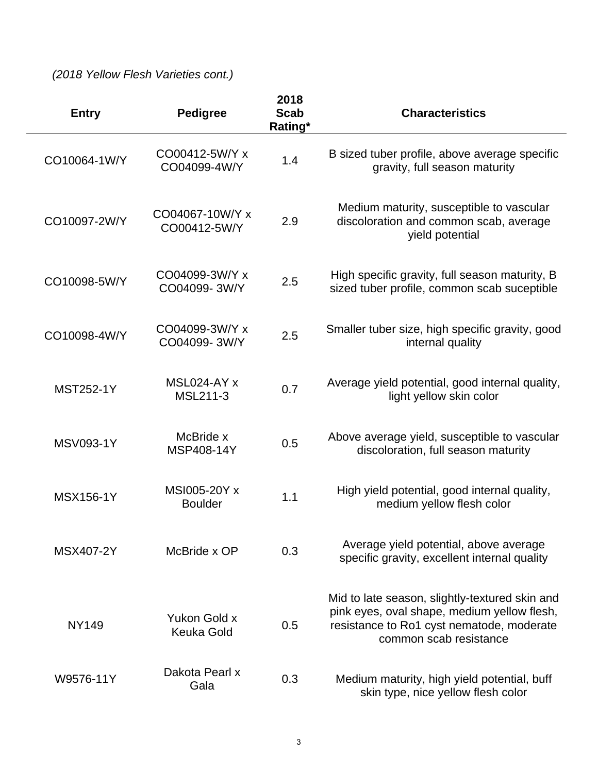*(2018 Yellow Flesh Varieties cont.)*

| <b>Entry</b>     | <b>Pedigree</b>                   | 2018<br><b>Scab</b><br>Rating* | <b>Characteristics</b>                                                                                                                                               |
|------------------|-----------------------------------|--------------------------------|----------------------------------------------------------------------------------------------------------------------------------------------------------------------|
| CO10064-1W/Y     | CO00412-5W/Y x<br>CO04099-4W/Y    | 1.4                            | B sized tuber profile, above average specific<br>gravity, full season maturity                                                                                       |
| CO10097-2W/Y     | CO04067-10W/Y x<br>CO00412-5W/Y   | 2.9                            | Medium maturity, susceptible to vascular<br>discoloration and common scab, average<br>yield potential                                                                |
| CO10098-5W/Y     | CO04099-3W/Y x<br>CO04099-3W/Y    | 2.5                            | High specific gravity, full season maturity, B<br>sized tuber profile, common scab suceptible                                                                        |
| CO10098-4W/Y     | CO04099-3W/Y x<br>CO04099-3W/Y    | 2.5                            | Smaller tuber size, high specific gravity, good<br>internal quality                                                                                                  |
| <b>MST252-1Y</b> | MSL024-AY x<br><b>MSL211-3</b>    | 0.7                            | Average yield potential, good internal quality,<br>light yellow skin color                                                                                           |
| <b>MSV093-1Y</b> | McBride x<br>MSP408-14Y           | 0.5                            | Above average yield, susceptible to vascular<br>discoloration, full season maturity                                                                                  |
| <b>MSX156-1Y</b> | MSI005-20Y x<br><b>Boulder</b>    | 1.1                            | High yield potential, good internal quality,<br>medium yellow flesh color                                                                                            |
| MSX407-2Y        | McBride x OP                      | 0.3                            | Average yield potential, above average<br>specific gravity, excellent internal quality                                                                               |
| <b>NY149</b>     | Yukon Gold x<br><b>Keuka Gold</b> | 0.5                            | Mid to late season, slightly-textured skin and<br>pink eyes, oval shape, medium yellow flesh,<br>resistance to Ro1 cyst nematode, moderate<br>common scab resistance |
| W9576-11Y        | Dakota Pearl x<br>Gala            | 0.3                            | Medium maturity, high yield potential, buff<br>skin type, nice yellow flesh color                                                                                    |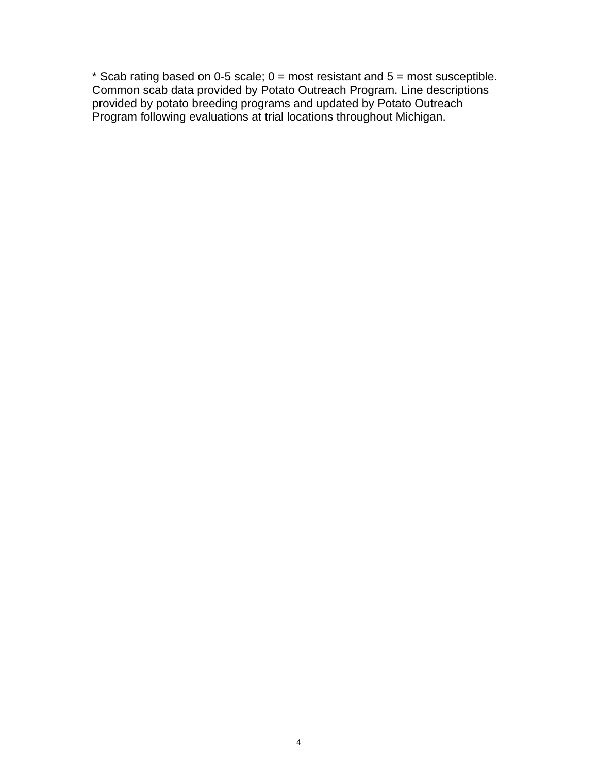\* Scab rating based on 0-5 scale; 0 = most resistant and 5 = most susceptible. Common scab data provided by Potato Outreach Program. Line descriptions provided by potato breeding programs and updated by Potato Outreach Program following evaluations at trial locations throughout Michigan.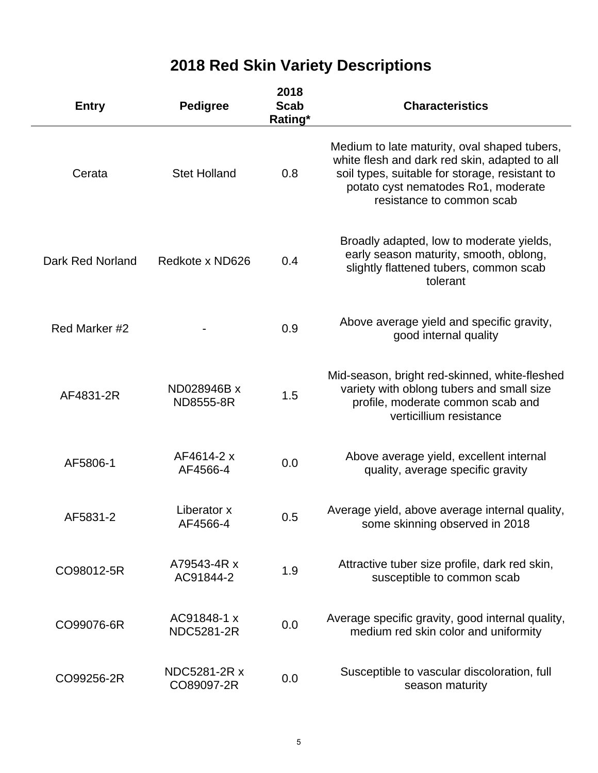# **2018 Red Skin Variety Descriptions**

| <b>Entry</b>     | <b>Pedigree</b>                  | 2018<br><b>Scab</b><br>Rating* | <b>Characteristics</b>                                                                                                                                                                                              |
|------------------|----------------------------------|--------------------------------|---------------------------------------------------------------------------------------------------------------------------------------------------------------------------------------------------------------------|
| Cerata           | <b>Stet Holland</b>              | 0.8                            | Medium to late maturity, oval shaped tubers,<br>white flesh and dark red skin, adapted to all<br>soil types, suitable for storage, resistant to<br>potato cyst nematodes Ro1, moderate<br>resistance to common scab |
| Dark Red Norland | Redkote x ND626                  | 0.4                            | Broadly adapted, low to moderate yields,<br>early season maturity, smooth, oblong,<br>slightly flattened tubers, common scab<br>tolerant                                                                            |
| Red Marker #2    |                                  | 0.9                            | Above average yield and specific gravity,<br>good internal quality                                                                                                                                                  |
| AF4831-2R        | ND028946B x<br>ND8555-8R         | 1.5                            | Mid-season, bright red-skinned, white-fleshed<br>variety with oblong tubers and small size<br>profile, moderate common scab and<br>verticillium resistance                                                          |
| AF5806-1         | AF4614-2 x<br>AF4566-4           | 0.0                            | Above average yield, excellent internal<br>quality, average specific gravity                                                                                                                                        |
| AF5831-2         | Liberator x<br>AF4566-4          | 0.5                            | Average yield, above average internal quality,<br>some skinning observed in 2018                                                                                                                                    |
| CO98012-5R       | A79543-4R x<br>AC91844-2         | 1.9                            | Attractive tuber size profile, dark red skin,<br>susceptible to common scab                                                                                                                                         |
| CO99076-6R       | AC91848-1 x<br><b>NDC5281-2R</b> | 0.0                            | Average specific gravity, good internal quality,<br>medium red skin color and uniformity                                                                                                                            |
| CO99256-2R       | NDC5281-2R x<br>CO89097-2R       | 0.0                            | Susceptible to vascular discoloration, full<br>season maturity                                                                                                                                                      |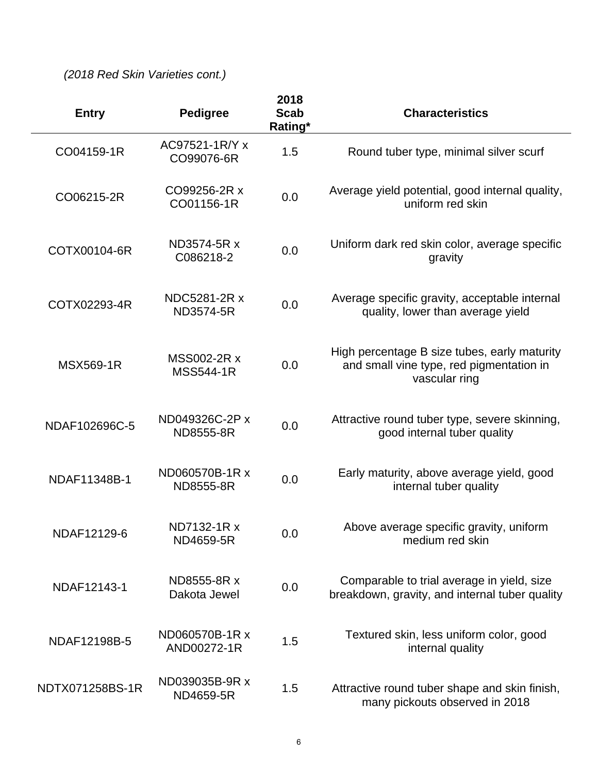*(2018 Red Skin Varieties cont.)*

| <b>Entry</b>     | <b>Pedigree</b>                 | 2018<br><b>Scab</b><br>Rating* | <b>Characteristics</b>                                                                                    |
|------------------|---------------------------------|--------------------------------|-----------------------------------------------------------------------------------------------------------|
| CO04159-1R       | AC97521-1R/Y x<br>CO99076-6R    | 1.5                            | Round tuber type, minimal silver scurf                                                                    |
| CO06215-2R       | CO99256-2R x<br>CO01156-1R      | 0.0                            | Average yield potential, good internal quality,<br>uniform red skin                                       |
| COTX00104-6R     | ND3574-5R x<br>C086218-2        | 0.0                            | Uniform dark red skin color, average specific<br>gravity                                                  |
| COTX02293-4R     | NDC5281-2R x<br>ND3574-5R       | 0.0                            | Average specific gravity, acceptable internal<br>quality, lower than average yield                        |
| <b>MSX569-1R</b> | MSS002-2R x<br><b>MSS544-1R</b> | 0.0                            | High percentage B size tubes, early maturity<br>and small vine type, red pigmentation in<br>vascular ring |
| NDAF102696C-5    | ND049326C-2P x<br>ND8555-8R     | 0.0                            | Attractive round tuber type, severe skinning,<br>good internal tuber quality                              |
| NDAF11348B-1     | ND060570B-1R x<br>ND8555-8R     | 0.0                            | Early maturity, above average yield, good<br>internal tuber quality                                       |
| NDAF12129-6      | ND7132-1R x<br>ND4659-5R        | 0.0                            | Above average specific gravity, uniform<br>medium red skin                                                |
| NDAF12143-1      | ND8555-8R x<br>Dakota Jewel     | 0.0                            | Comparable to trial average in yield, size<br>breakdown, gravity, and internal tuber quality              |
| NDAF12198B-5     | ND060570B-1R x<br>AND00272-1R   | 1.5                            | Textured skin, less uniform color, good<br>internal quality                                               |
| NDTX071258BS-1R  | ND039035B-9R x<br>ND4659-5R     | 1.5                            | Attractive round tuber shape and skin finish,<br>many pickouts observed in 2018                           |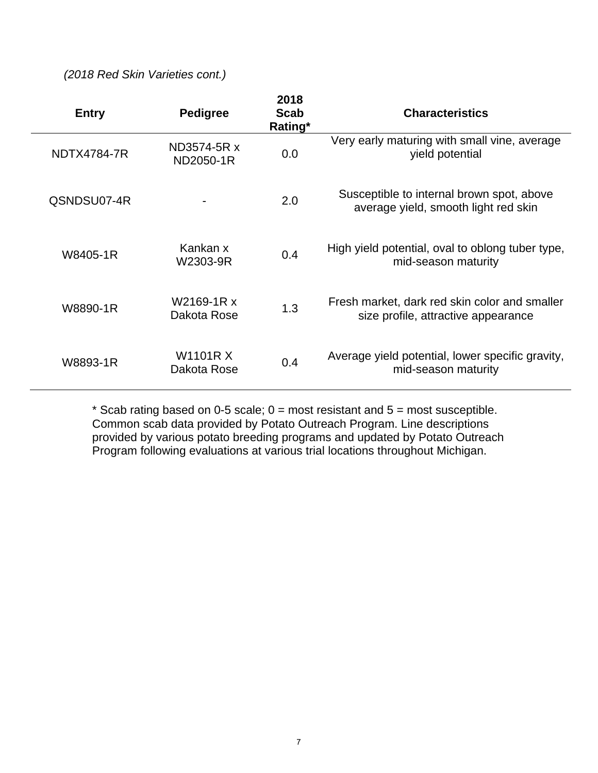*(2018 Red Skin Varieties cont.)*

| <b>Entry</b>       | <b>Pedigree</b>                | 2018<br><b>Scab</b><br>Rating* | <b>Characteristics</b>                                                               |
|--------------------|--------------------------------|--------------------------------|--------------------------------------------------------------------------------------|
| <b>NDTX4784-7R</b> | ND3574-5R x<br>ND2050-1R       | 0.0                            | Very early maturing with small vine, average<br>yield potential                      |
| QSNDSU07-4R        |                                | 2.0                            | Susceptible to internal brown spot, above<br>average yield, smooth light red skin    |
| W8405-1R           | Kankan x<br>W2303-9R           | 0.4                            | High yield potential, oval to oblong tuber type,<br>mid-season maturity              |
| W8890-1R           | W2169-1R x<br>Dakota Rose      | 1.3                            | Fresh market, dark red skin color and smaller<br>size profile, attractive appearance |
| W8893-1R           | <b>W1101R X</b><br>Dakota Rose | 0.4                            | Average yield potential, lower specific gravity,<br>mid-season maturity              |

\* Scab rating based on 0-5 scale;  $0 =$  most resistant and  $5 =$  most susceptible. Common scab data provided by Potato Outreach Program. Line descriptions provided by various potato breeding programs and updated by Potato Outreach Program following evaluations at various trial locations throughout Michigan.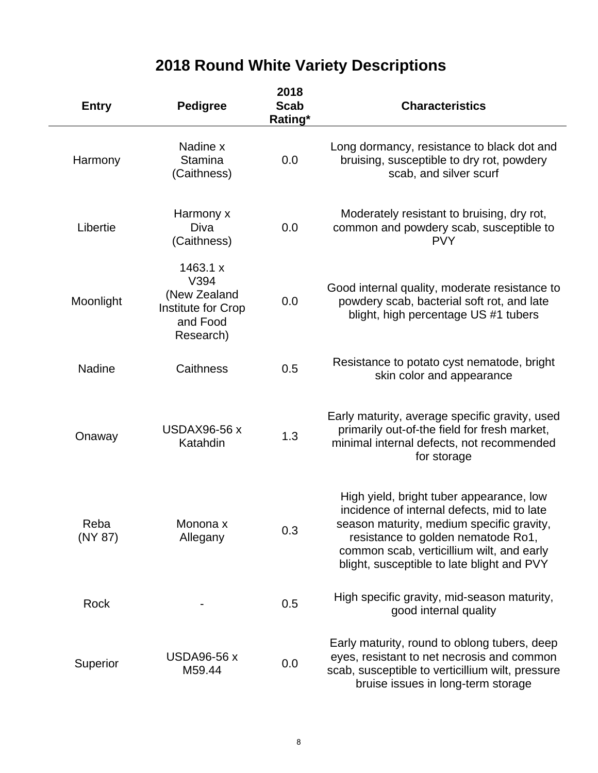## **2018 Round White Variety Descriptions**

| <b>Entry</b>    | <b>Pedigree</b>                                                                 | 2018<br><b>Scab</b><br>Rating* | <b>Characteristics</b>                                                                                                                                                                                                                                               |
|-----------------|---------------------------------------------------------------------------------|--------------------------------|----------------------------------------------------------------------------------------------------------------------------------------------------------------------------------------------------------------------------------------------------------------------|
| Harmony         | Nadine x<br><b>Stamina</b><br>(Caithness)                                       | 0.0                            | Long dormancy, resistance to black dot and<br>bruising, susceptible to dry rot, powdery<br>scab, and silver scurf                                                                                                                                                    |
| Libertie        | Harmony x<br>Diva<br>(Caithness)                                                | 0.0                            | Moderately resistant to bruising, dry rot,<br>common and powdery scab, susceptible to<br><b>PVY</b>                                                                                                                                                                  |
| Moonlight       | 1463.1 x<br>V394<br>(New Zealand<br>Institute for Crop<br>and Food<br>Research) | 0.0                            | Good internal quality, moderate resistance to<br>powdery scab, bacterial soft rot, and late<br>blight, high percentage US #1 tubers                                                                                                                                  |
| <b>Nadine</b>   | Caithness                                                                       | 0.5                            | Resistance to potato cyst nematode, bright<br>skin color and appearance                                                                                                                                                                                              |
| Onaway          | <b>USDAX96-56 x</b><br>Katahdin                                                 | 1.3                            | Early maturity, average specific gravity, used<br>primarily out-of-the field for fresh market,<br>minimal internal defects, not recommended<br>for storage                                                                                                           |
| Reba<br>(NY 87) | Monona x<br>Allegany                                                            | 0.3                            | High yield, bright tuber appearance, low<br>incidence of internal defects, mid to late<br>season maturity, medium specific gravity,<br>resistance to golden nematode Ro1,<br>common scab, verticillium wilt, and early<br>blight, susceptible to late blight and PVY |
| Rock            |                                                                                 | 0.5                            | High specific gravity, mid-season maturity,<br>good internal quality                                                                                                                                                                                                 |
| Superior        | <b>USDA96-56 x</b><br>M59.44                                                    | 0.0                            | Early maturity, round to oblong tubers, deep<br>eyes, resistant to net necrosis and common<br>scab, susceptible to verticillium wilt, pressure<br>bruise issues in long-term storage                                                                                 |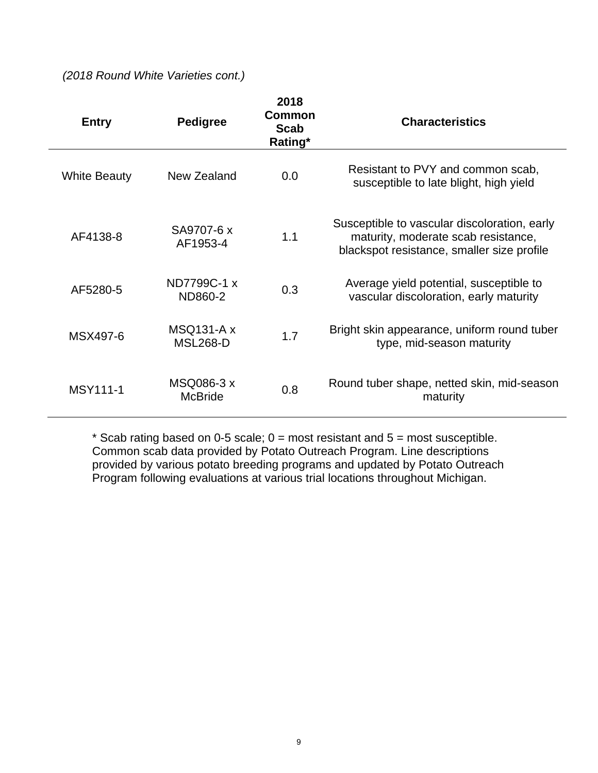*(2018 Round White Varieties cont.)*

| <b>Entry</b>        | <b>Pedigree</b>                      | 2018<br>Common<br>Scab<br>Rating* | <b>Characteristics</b>                                                                                                            |
|---------------------|--------------------------------------|-----------------------------------|-----------------------------------------------------------------------------------------------------------------------------------|
| <b>White Beauty</b> | New Zealand                          | 0.0                               | Resistant to PVY and common scab,<br>susceptible to late blight, high yield                                                       |
| AF4138-8            | SA9707-6 x<br>AF1953-4               | 1.1                               | Susceptible to vascular discoloration, early<br>maturity, moderate scab resistance,<br>blackspot resistance, smaller size profile |
| AF5280-5            | ND7799C-1 x<br>ND860-2               | 0.3                               | Average yield potential, susceptible to<br>vascular discoloration, early maturity                                                 |
| MSX497-6            | <b>MSQ131-A x</b><br><b>MSL268-D</b> | 1.7                               | Bright skin appearance, uniform round tuber<br>type, mid-season maturity                                                          |
| <b>MSY111-1</b>     | MSQ086-3 x<br><b>McBride</b>         | 0.8                               | Round tuber shape, netted skin, mid-season<br>maturity                                                                            |

\* Scab rating based on 0-5 scale;  $0 =$  most resistant and  $5 =$  most susceptible. Common scab data provided by Potato Outreach Program. Line descriptions provided by various potato breeding programs and updated by Potato Outreach Program following evaluations at various trial locations throughout Michigan.